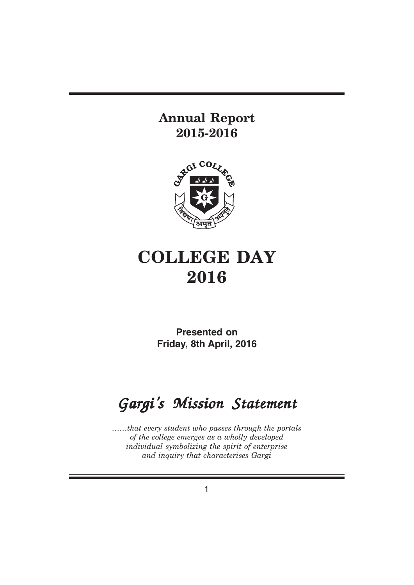# **Annual Report 2015-2016**



# **COLLEGE DAY 2016**

**Presented on Friday, 8th April, 2016**

# Gargi's Mission Statement

*……that every student who passes through the portals of the college emerges as a wholly developed individual symbolizing the spirit of enterprise and inquiry that characterises Gargi*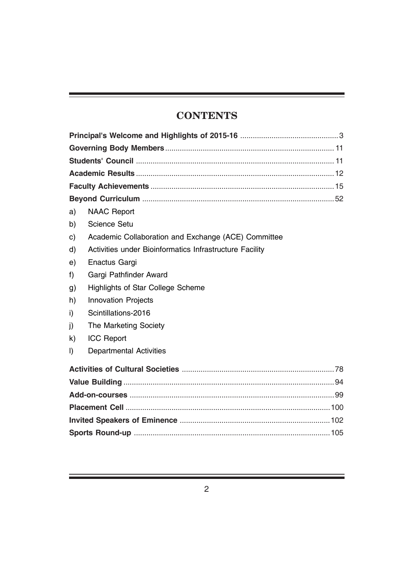# **CONTENTS**

| a)           | <b>NAAC Report</b>                                      |  |  |
|--------------|---------------------------------------------------------|--|--|
| b)           | <b>Science Setu</b>                                     |  |  |
| C)           | Academic Collaboration and Exchange (ACE) Committee     |  |  |
| d)           | Activities under Bioinformatics Infrastructure Facility |  |  |
| e)           | Enactus Gargi                                           |  |  |
| f            | Gargi Pathfinder Award                                  |  |  |
| g)           | <b>Highlights of Star College Scheme</b>                |  |  |
| h)           | <b>Innovation Projects</b>                              |  |  |
| i)           | Scintillations-2016                                     |  |  |
| j)           | The Marketing Society                                   |  |  |
| $\mathsf{k}$ | <b>ICC Report</b>                                       |  |  |
| $\vert$      | <b>Departmental Activities</b>                          |  |  |
|              |                                                         |  |  |
|              |                                                         |  |  |
|              |                                                         |  |  |
|              |                                                         |  |  |
|              |                                                         |  |  |
|              |                                                         |  |  |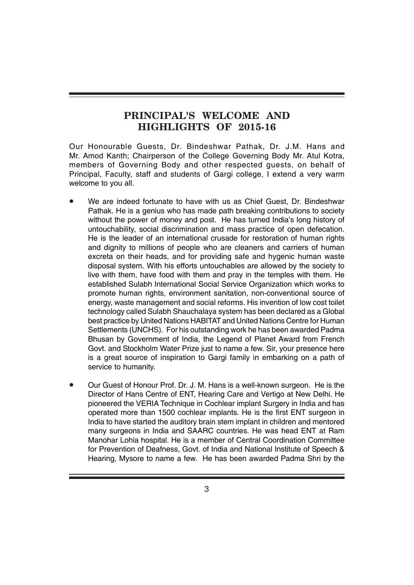# **PRINCIPAL'S WELCOME AND HIGHLIGHTS OF 2015-16**

Our Honourable Guests, Dr. Bindeshwar Pathak, Dr. J.M. Hans and Mr. Amod Kanth; Chairperson of the College Governing Body Mr. Atul Kotra, members of Governing Body and other respected guests, on behalf of Principal, Faculty, staff and students of Gargi college, I extend a very warm welcome to you all.

- We are indeed fortunate to have with us as Chief Guest, Dr. Bindeshwar Pathak. He is a genius who has made path breaking contributions to society without the power of money and post. He has turned India's long history of untouchability, social discrimination and mass practice of open defecation. He is the leader of an international crusade for restoration of human rights and dignity to millions of people who are cleaners and carriers of human excreta on their heads, and for providing safe and hygenic human waste disposal system. With his efforts untouchables are allowed by the society to live with them, have food with them and pray in the temples with them. He established Sulabh International Social Service Organization which works to promote human rights, environment sanitation, non-conventional source of energy, waste management and social reforms. His invention of low cost toilet technology called Sulabh Shauchalaya system has been declared as a Global best practice by United Nations HABITAT and United Nations Centre for Human Settlements (UNCHS). For his outstanding work he has been awarded Padma Bhusan by Government of India, the Legend of Planet Award from French Govt. and Stockholm Water Prize just to name a few. Sir, your presence here is a great source of inspiration to Gargi family in embarking on a path of service to humanity.
- Our Guest of Honour Prof. Dr. J. M. Hans is a well-known surgeon. He is the Director of Hans Centre of ENT, Hearing Care and Vertigo at New Delhi. He pioneered the VERIA Technique in Cochlear implant Surgery in India and has operated more than 1500 cochlear implants. He is the first ENT surgeon in India to have started the auditory brain stem implant in children and mentored many surgeons in India and SAARC countries. He was head ENT at Ram Manohar Lohia hospital. He is a member of Central Coordination Committee for Prevention of Deafness, Govt. of India and National Institute of Speech & Hearing, Mysore to name a few. He has been awarded Padma Shri by the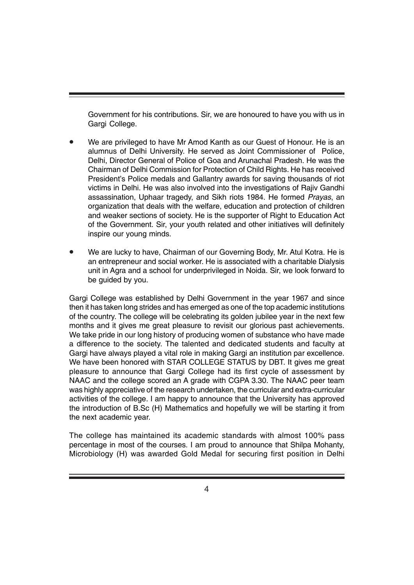Government for his contributions. Sir, we are honoured to have you with us in Gargi College.

- We are privileged to have Mr Amod Kanth as our Guest of Honour. He is an alumnus of Delhi University. He served as Joint Commissioner of Police, Delhi, Director General of Police of Goa and Arunachal Pradesh. He was the Chairman of Delhi Commission for Protection of Child Rights. He has received President's Police medals and Gallantry awards for saving thousands of riot victims in Delhi. He was also involved into the investigations of Rajiv Gandhi assassination, Uphaar tragedy, and Sikh riots 1984. He formed *Prayas*, an organization that deals with the welfare, education and protection of children and weaker sections of society. He is the supporter of Right to Education Act of the Government. Sir, your youth related and other initiatives will definitely inspire our young minds.
- We are lucky to have, Chairman of our Governing Body, Mr. Atul Kotra. He is an entrepreneur and social worker. He is associated with a charitable Dialysis unit in Agra and a school for underprivileged in Noida. Sir, we look forward to be guided by you.

Gargi College was established by Delhi Government in the year 1967 and since then it has taken long strides and has emerged as one of the top academic institutions of the country. The college will be celebrating its golden jubilee year in the next few months and it gives me great pleasure to revisit our glorious past achievements. We take pride in our long history of producing women of substance who have made a difference to the society. The talented and dedicated students and faculty at Gargi have always played a vital role in making Gargi an institution par excellence. We have been honored with STAR COLLEGE STATUS by DBT. It gives me great pleasure to announce that Gargi College had its first cycle of assessment by NAAC and the college scored an A grade with CGPA 3.30. The NAAC peer team was highly appreciative of the research undertaken, the curricular and extra-curricular activities of the college. I am happy to announce that the University has approved the introduction of B.Sc (H) Mathematics and hopefully we will be starting it from the next academic year.

The college has maintained its academic standards with almost 100% pass percentage in most of the courses. I am proud to announce that Shilpa Mohanty, Microbiology (H) was awarded Gold Medal for securing first position in Delhi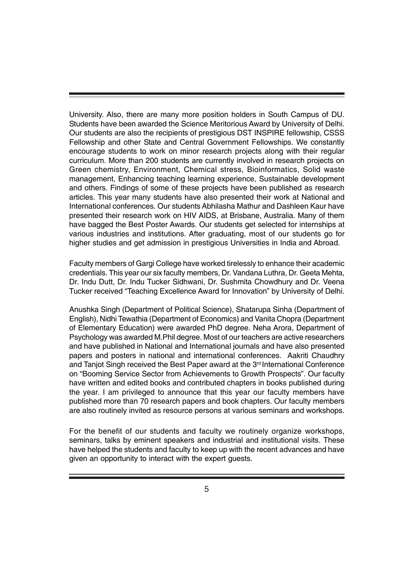University. Also, there are many more position holders in South Campus of DU. Students have been awarded the Science Meritorious Award by University of Delhi. Our students are also the recipients of prestigious DST INSPIRE fellowship, CSSS Fellowship and other State and Central Government Fellowships. We constantly encourage students to work on minor research projects along with their regular curriculum. More than 200 students are currently involved in research projects on Green chemistry, Environment, Chemical stress, Bioinformatics, Solid waste management, Enhancing teaching learning experience, Sustainable development and others. Findings of some of these projects have been published as research articles. This year many students have also presented their work at National and International conferences. Our students Abhilasha Mathur and Dashleen Kaur have presented their research work on HIV AIDS, at Brisbane, Australia. Many of them have bagged the Best Poster Awards. Our students get selected for internships at various industries and institutions. After graduating, most of our students go for higher studies and get admission in prestigious Universities in India and Abroad.

Faculty members of Gargi College have worked tirelessly to enhance their academic credentials. This year our six faculty members, Dr. Vandana Luthra, Dr. Geeta Mehta, Dr. Indu Dutt, Dr. Indu Tucker Sidhwani, Dr. Sushmita Chowdhury and Dr. Veena Tucker received "Teaching Excellence Award for Innovation" by University of Delhi.

Anushka Singh (Department of Political Science), Shatarupa Sinha (Department of English), Nidhi Tewathia (Department of Economics) and Vanita Chopra (Department of Elementary Education) were awarded PhD degree. Neha Arora, Department of Psychology was awarded M.Phil degree. Most of our teachers are active researchers and have published in National and International journals and have also presented papers and posters in national and international conferences. Aakriti Chaudhry and Tanjot Singh received the Best Paper award at the  $3<sup>rd</sup>$  International Conference on "Booming Service Sector from Achievements to Growth Prospects". Our faculty have written and edited books and contributed chapters in books published during the year. I am privileged to announce that this year our faculty members have published more than 70 research papers and book chapters. Our faculty members are also routinely invited as resource persons at various seminars and workshops.

For the benefit of our students and faculty we routinely organize workshops, seminars, talks by eminent speakers and industrial and institutional visits. These have helped the students and faculty to keep up with the recent advances and have given an opportunity to interact with the expert guests.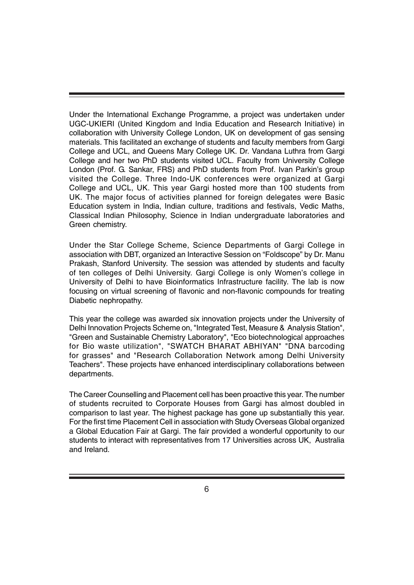Under the International Exchange Programme, a project was undertaken under UGC-UKIERI (United Kingdom and India Education and Research Initiative) in collaboration with University College London, UK on development of gas sensing materials. This facilitated an exchange of students and faculty members from Gargi College and UCL, and Queens Mary College UK. Dr. Vandana Luthra from Gargi College and her two PhD students visited UCL. Faculty from University College London (Prof. G. Sankar, FRS) and PhD students from Prof. Ivan Parkin's group visited the College. Three Indo-UK conferences were organized at Gargi College and UCL, UK. This year Gargi hosted more than 100 students from UK. The major focus of activities planned for foreign delegates were Basic Education system in India, Indian culture, traditions and festivals, Vedic Maths, Classical Indian Philosophy, Science in Indian undergraduate laboratories and Green chemistry.

Under the Star College Scheme, Science Departments of Gargi College in association with DBT, organized an Interactive Session on "Foldscope" by Dr. Manu Prakash, Stanford University. The session was attended by students and faculty of ten colleges of Delhi University. Gargi College is only Women's college in University of Delhi to have Bioinformatics Infrastructure facility. The lab is now focusing on virtual screening of flavonic and non-flavonic compounds for treating Diabetic nephropathy.

This year the college was awarded six innovation projects under the University of Delhi Innovation Projects Scheme on, "Integrated Test, Measure & Analysis Station", "Green and Sustainable Chemistry Laboratory", "Eco biotechnological approaches for Bio waste utilization", "SWATCH BHARAT ABHIYAN" "DNA barcoding for grasses" and "Research Collaboration Network among Delhi University Teachers". These projects have enhanced interdisciplinary collaborations between departments.

The Career Counselling and Placement cell has been proactive this year. The number of students recruited to Corporate Houses from Gargi has almost doubled in comparison to last year. The highest package has gone up substantially this year. For the first time Placement Cell in association with Study Overseas Global organized a Global Education Fair at Gargi. The fair provided a wonderful opportunity to our students to interact with representatives from 17 Universities across UK, Australia and Ireland.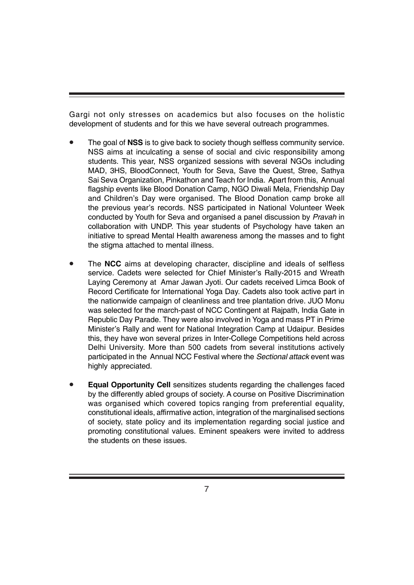Gargi not only stresses on academics but also focuses on the holistic development of students and for this we have several outreach programmes.

- The goal of **NSS** is to give back to society though selfless community service. NSS aims at inculcating a sense of social and civic responsibility among students. This year, NSS organized sessions with several NGOs including MAD, 3HS, BloodConnect, Youth for Seva, Save the Quest, Stree, Sathya Sai Seva Organization, Pinkathon and Teach for India. Apart from this, Annual flagship events like Blood Donation Camp, NGO Diwali Mela, Friendship Day and Children's Day were organised. The Blood Donation camp broke all the previous year's records. NSS participated in National Volunteer Week conducted by Youth for Seva and organised a panel discussion by *Pravah* in collaboration with UNDP. This year students of Psychology have taken an initiative to spread Mental Health awareness among the masses and to fight the stigma attached to mental illness.
- The **NCC** aims at developing character, discipline and ideals of selfless service. Cadets were selected for Chief Minister's Rally-2015 and Wreath Laying Ceremony at Amar Jawan Jyoti. Our cadets received Limca Book of Record Certificate for International Yoga Day. Cadets also took active part in the nationwide campaign of cleanliness and tree plantation drive. JUO Monu was selected for the march-past of NCC Contingent at Rajpath, India Gate in Republic Day Parade. They were also involved in Yoga and mass PT in Prime Minister's Rally and went for National Integration Camp at Udaipur. Besides this, they have won several prizes in Inter-College Competitions held across Delhi University. More than 500 cadets from several institutions actively participated in the Annual NCC Festival where the *Sectional attack* event was highly appreciated.
- **Equal Opportunity Cell** sensitizes students regarding the challenges faced by the differently abled groups of society. A course on Positive Discrimination was organised which covered topics ranging from preferential equality, constitutional ideals, affirmative action, integration of the marginalised sections of society, state policy and its implementation regarding social justice and promoting constitutional values. Eminent speakers were invited to address the students on these issues.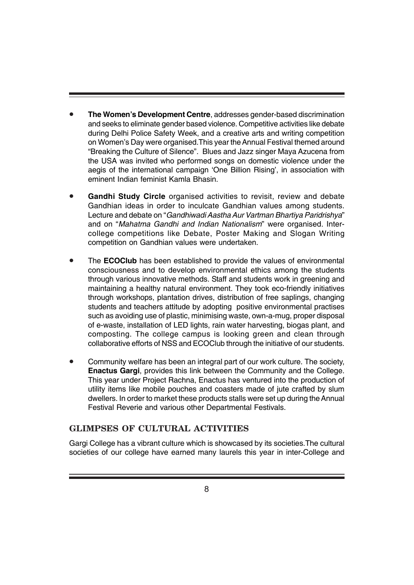- **The Women's Development Centre**, addresses gender-based discrimination and seeks to eliminate gender based violence. Competitive activities like debate during Delhi Police Safety Week, and a creative arts and writing competition on Women's Day were organised.This year the Annual Festival themed around "Breaking the Culture of Silence". Blues and Jazz singer Maya Azucena from the USA was invited who performed songs on domestic violence under the aegis of the international campaign 'One Billion Rising', in association with eminent Indian feminist Kamla Bhasin.
- **Gandhi Study Circle** organised activities to revisit, review and debate Gandhian ideas in order to inculcate Gandhian values among students. Lecture and debate on "*Gandhiwadi Aastha Aur Vartman Bhartiya Paridrishya*" and on "*Mahatma Gandhi and Indian Nationalism*" were organised. Intercollege competitions like Debate, Poster Making and Slogan Writing competition on Gandhian values were undertaken.
- The **ECOClub** has been established to provide the values of environmental consciousness and to develop environmental ethics among the students through various innovative methods. Staff and students work in greening and maintaining a healthy natural environment. They took eco-friendly initiatives through workshops, plantation drives, distribution of free saplings, changing students and teachers attitude by adopting positive environmental practises such as avoiding use of plastic, minimising waste, own-a-mug, proper disposal of e-waste, installation of LED lights, rain water harvesting, biogas plant, and composting. The college campus is looking green and clean through collaborative efforts of NSS and ECOClub through the initiative of our students.
- Community welfare has been an integral part of our work culture. The society, **Enactus Gargi**, provides this link between the Community and the College. This year under Project Rachna, Enactus has ventured into the production of utility items like mobile pouches and coasters made of jute crafted by slum dwellers. In order to market these products stalls were set up during the Annual Festival Reverie and various other Departmental Festivals.

# **GLIMPSES OF CULTURAL ACTIVITIES**

Gargi College has a vibrant culture which is showcased by its societies.The cultural societies of our college have earned many laurels this year in inter-College and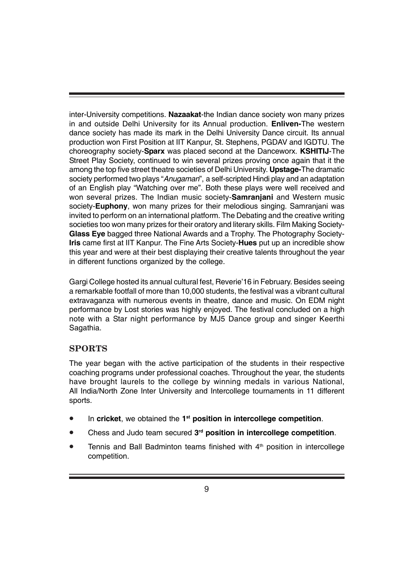inter-University competitions. **Nazaakat**-the Indian dance society won many prizes in and outside Delhi University for its Annual production. **Enliven-**The western dance society has made its mark in the Delhi University Dance circuit. Its annual production won First Position at IIT Kanpur, St. Stephens, PGDAV and IGDTU. The choreography society-**Sparx** was placed second at the Danceworx. **KSHITIJ**-The Street Play Society, continued to win several prizes proving once again that it the among the top five street theatre societies of Delhi University. **Upstage-**The dramatic society performed two plays "*Anugaman*", a self-scripted Hindi play and an adaptation of an English play "Watching over me". Both these plays were well received and won several prizes. The Indian music society-**Samranjani** and Western music society-**Euphony**, won many prizes for their melodious singing. Samranjani was invited to perform on an international platform. The Debating and the creative writing societies too won many prizes for their oratory and literary skills. Film Making Society-**Glass Eye** bagged three National Awards and a Trophy. The Photography Society-**Iris** came first at IIT Kanpur. The Fine Arts Society-**Hues** put up an incredible show this year and were at their best displaying their creative talents throughout the year in different functions organized by the college.

Gargi College hosted its annual cultural fest, Reverie'16 in February. Besides seeing a remarkable footfall of more than 10,000 students, the festival was a vibrant cultural extravaganza with numerous events in theatre, dance and music. On EDM night performance by Lost stories was highly enjoyed. The festival concluded on a high note with a Star night performance by MJ5 Dance group and singer Keerthi Sagathia.

# **SPORTS**

The year began with the active participation of the students in their respective coaching programs under professional coaches. Throughout the year, the students have brought laurels to the college by winning medals in various National, All India/North Zone Inter University and Intercollege tournaments in 11 different sports.

- In **cricket**, we obtained the **1st position in intercollege competition**.
- Chess and Judo team secured **3rd position in intercollege competition**.
- Tennis and Ball Badminton teams finished with  $4<sup>th</sup>$  position in intercollege competition.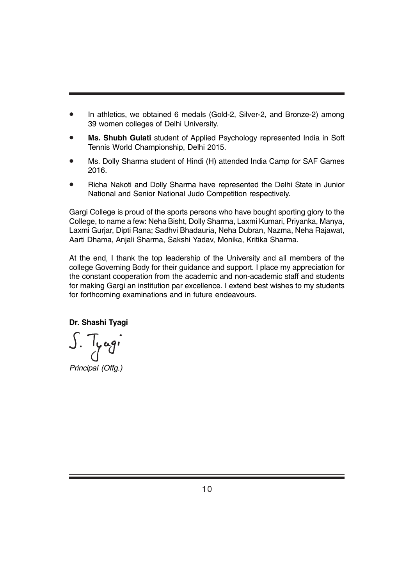- In athletics, we obtained 6 medals (Gold-2, Silver-2, and Bronze-2) among 39 women colleges of Delhi University.
- **Ms. Shubh Gulati** student of Applied Psychology represented India in Soft Tennis World Championship, Delhi 2015.
- Ms. Dolly Sharma student of Hindi (H) attended India Camp for SAF Games 2016.
- Richa Nakoti and Dolly Sharma have represented the Delhi State in Junior National and Senior National Judo Competition respectively.

Gargi College is proud of the sports persons who have bought sporting glory to the College, to name a few: Neha Bisht, Dolly Sharma, Laxmi Kumari, Priyanka, Manya, Laxmi Gurjar, Dipti Rana; Sadhvi Bhadauria, Neha Dubran, Nazma, Neha Rajawat, Aarti Dhama, Anjali Sharma, Sakshi Yadav, Monika, Kritika Sharma.

At the end, I thank the top leadership of the University and all members of the college Governing Body for their guidance and support. I place my appreciation for the constant cooperation from the academic and non-academic staff and students for making Gargi an institution par excellence. I extend best wishes to my students for forthcoming examinations and in future endeavours.

**Dr. Shashi Tyagi**

*Principal (Offg.)*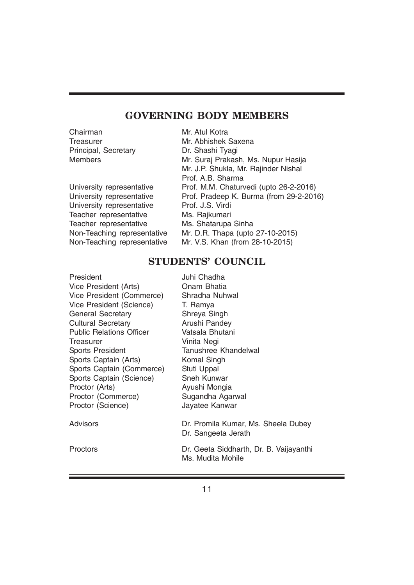# **GOVERNING BODY MEMBERS**

Chairman Mr. Atul Kotra Principal, Secretary **Dr. Shashi Tyagi** 

University representative Prof. J.S. Virdi Teacher representative Ms. Rajkumari Teacher representative Ms. Shatarupa Sinha

Treasurer Mr. Abhishek Saxena Members Mr. Suraj Prakash, Ms. Nupur Hasija Mr. J.P. Shukla, Mr. Rajinder Nishal Prof. A.B. Sharma University representative Prof. M.M. Chaturvedi (upto 26-2-2016) University representative Prof. Pradeep K. Burma (from 29-2-2016) Non-Teaching representative Mr. D.R. Thapa (upto 27-10-2015) Non-Teaching representative Mr. V.S. Khan (from 28-10-2015)

# **STUDENTS' COUNCIL**

| President                       | Juhi Chadha                                                  |
|---------------------------------|--------------------------------------------------------------|
| Vice President (Arts)           | Onam Bhatia                                                  |
| Vice President (Commerce)       | Shradha Nuhwal                                               |
| Vice President (Science)        | T. Ramya                                                     |
| <b>General Secretary</b>        | Shreya Singh                                                 |
| <b>Cultural Secretary</b>       | Arushi Pandey                                                |
| <b>Public Relations Officer</b> | Vatsala Bhutani                                              |
| Treasurer                       | Vinita Negi                                                  |
| <b>Sports President</b>         | Tanushree Khandelwal                                         |
| Sports Captain (Arts)           | Komal Singh                                                  |
| Sports Captain (Commerce)       | Stuti Uppal                                                  |
| Sports Captain (Science)        | <b>Sneh Kunwar</b>                                           |
| Proctor (Arts)                  | Ayushi Mongia                                                |
| Proctor (Commerce)              | Sugandha Agarwal                                             |
| Proctor (Science)               | Jayatee Kanwar                                               |
| Advisors                        | Dr. Promila Kumar, Ms. Sheela Dubey<br>Dr. Sangeeta Jerath   |
| Proctors                        | Dr. Geeta Siddharth, Dr. B. Vaijayanthi<br>Ms. Mudita Mohile |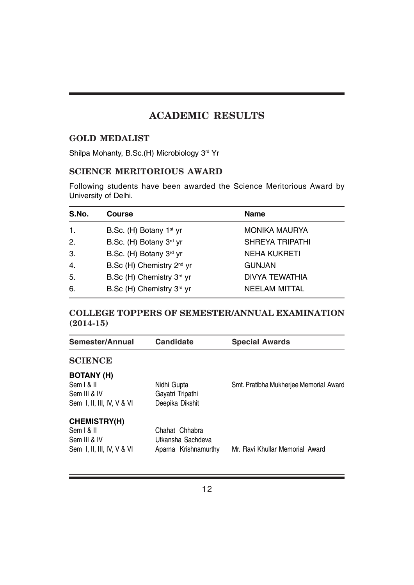# **ACADEMIC RESULTS**

### **GOLD MEDALIST**

Shilpa Mohanty, B.Sc.(H) Microbiology 3rd Yr

# **SCIENCE MERITORIOUS AWARD**

Following students have been awarded the Science Meritorious Award by University of Delhi.

| S.No.            | <b>Course</b>                         | <b>Name</b>            |
|------------------|---------------------------------------|------------------------|
| 1.               | B.Sc. (H) Botany 1 <sup>st</sup> yr   | <b>MONIKA MAURYA</b>   |
| 2.               | B.Sc. (H) Botany 3rd yr               | <b>SHREYA TRIPATHI</b> |
| 3.               | B.Sc. (H) Botany 3rd yr               | <b>NEHA KUKRETI</b>    |
| $\overline{4}$ . | B.Sc (H) Chemistry 2 <sup>nd</sup> yr | <b>GUNJAN</b>          |
| 5.               | B.Sc (H) Chemistry 3rd yr             | DIVYA TEWATHIA         |
| 6.               | B.Sc (H) Chemistry 3rd yr             | <b>NEELAM MITTAL</b>   |

# **COLLEGE TOPPERS OF SEMESTER/ANNUAL EXAMINATION (2014-15)**

| <b>Candidate</b>     | <b>Special Awards</b>                  |
|----------------------|----------------------------------------|
|                      |                                        |
|                      |                                        |
| Nidhi Gupta          | Smt. Pratibha Mukherjee Memorial Award |
| Gayatri Tripathi     |                                        |
| Deepika Dikshit      |                                        |
|                      |                                        |
| Chahat Chhabra       |                                        |
| Utkansha Sachdeva    |                                        |
| Aparna Krishnamurthy | Mr. Ravi Khullar Memorial Award        |
|                      |                                        |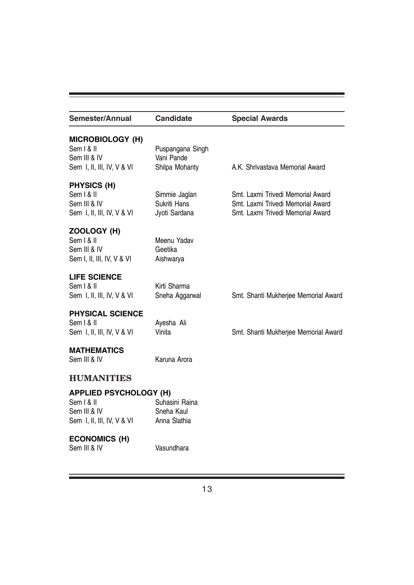|                                                  | <b>Special Awards</b>                                                                                       |
|--------------------------------------------------|-------------------------------------------------------------------------------------------------------------|
| Puspangana Singh<br>Vani Pande<br>Shilpa Mohanty | A.K. Shrivastava Memorial Award                                                                             |
| Simmie Jaglan<br>Sukriti Hans<br>Jyoti Sardana   | Smt. Laxmi Trivedi Memorial Award<br>Smt. Laxmi Trivedi Memorial Award<br>Smt. Laxmi Trivedi Memorial Award |
| Meenu Yadav<br>Geetika<br>Aishwarya              |                                                                                                             |
| Kirti Sharma<br>Sneha Aggarwal                   | Smt. Shanti Mukherjee Memorial Award                                                                        |
| Ayesha Ali<br>Vinita                             | Smt. Shanti Mukherjee Memorial Award                                                                        |
| Karuna Arora                                     |                                                                                                             |
|                                                  |                                                                                                             |
| Suhasini Raina<br>Sneha Kaul<br>Anna Slathia     |                                                                                                             |
| Vasundhara                                       |                                                                                                             |
|                                                  | <b>Candidate</b><br><b>APPLIED PSYCHOLOGY (H)</b>                                                           |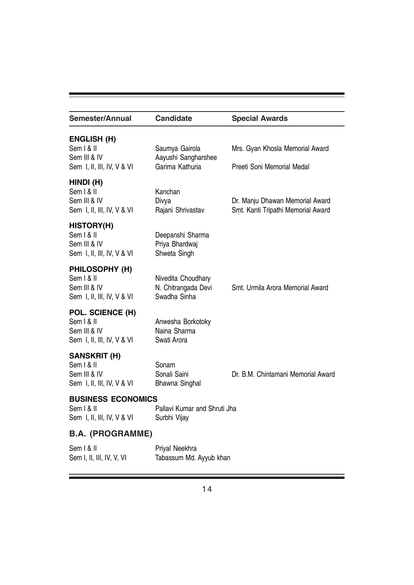| Semester/Annual                                                                 | <b>Candidate</b>                                          | <b>Special Awards</b>                                                 |
|---------------------------------------------------------------------------------|-----------------------------------------------------------|-----------------------------------------------------------------------|
| <b>ENGLISH (H)</b><br>Sem   &   <br>Sem III & IV                                | Saumya Gairola<br>Aayushi Sangharshee                     | Mrs. Gyan Khosla Memorial Award                                       |
| Sem I, II, III, IV, V & VI                                                      | Garima Kathuria                                           | Preeti Soni Memorial Medal                                            |
| HINDI (H)<br>Sem   &   <br>Sem III & IV<br>Sem I, II, III, IV, V & VI           | Kanchan<br>Divya<br>Rajani Shrivastav                     | Dr. Manju Dhawan Memorial Award<br>Smt. Kanti Tripathi Memorial Award |
| <b>HISTORY(H)</b><br>Sem   &   <br>Sem III & IV<br>Sem I, II, III, IV, V & VI   | Deepanshi Sharma<br>Priya Bhardwaj<br>Shweta Singh        |                                                                       |
| PHILOSOPHY (H)<br>Sem   &   <br>Sem III & IV<br>Sem I, II, III, IV, V & VI      | Nivedita Choudhary<br>N. Chitrangada Devi<br>Swadha Sinha | Smt. Urmila Arora Memorial Award                                      |
| POL. SCIENCE (H)<br>Sem   &   <br>Sem III & IV<br>Sem I, II, III, IV, V & VI    | Anwesha Borkotoky<br>Naina Sharma<br>Swati Arora          |                                                                       |
| <b>SANSKRIT (H)</b><br>Sem   &   <br>Sem III & IV<br>Sem I, II, III, IV, V & VI | Sonam<br>Sonali Saini<br>Bhawna Singhal                   | Dr. B.M. Chintamani Memorial Award                                    |
| <b>BUSINESS ECONOMICS</b><br>Sem   &   <br>Sem I, II, III, IV, V & VI           | Pallavi Kumar and Shruti Jha<br>Surbhi Vijay              |                                                                       |
| <b>B.A. (PROGRAMME)</b>                                                         |                                                           |                                                                       |
| Sem   &   <br>Sem I, II, III, IV, V, VI                                         | Priyal Neekhra<br>Tabassum Md. Ayyub khan                 |                                                                       |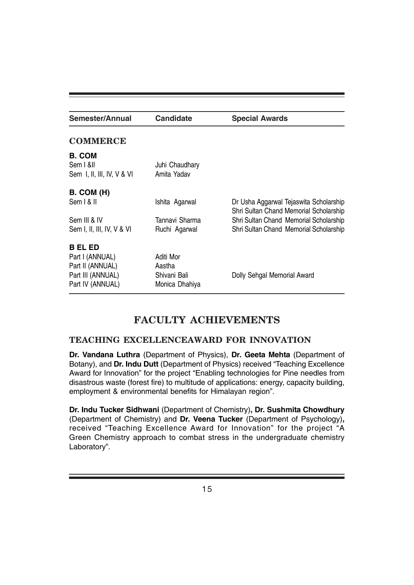| Semester/Annual            | <b>Candidate</b> | <b>Special Awards</b>                                                            |
|----------------------------|------------------|----------------------------------------------------------------------------------|
| <b>COMMERCE</b>            |                  |                                                                                  |
| <b>B. COM</b>              |                  |                                                                                  |
| Sem   &II                  | Juhi Chaudhary   |                                                                                  |
| Sem I, II, III, IV, V & VI | Amita Yadav      |                                                                                  |
| <b>B. COM (H)</b>          |                  |                                                                                  |
| Sem   & II                 | Ishita Agarwal   | Dr Usha Aggarwal Tejaswita Scholarship<br>Shri Sultan Chand Memorial Scholarship |
| Sem III & IV               | Tannavi Sharma   | Shri Sultan Chand Memorial Scholarship                                           |
| Sem I, II, III, IV, V & VI | Ruchi Agarwal    | Shri Sultan Chand Memorial Scholarship                                           |
| B EL ED                    |                  |                                                                                  |
| Part I (ANNUAL)            | Aditi Mor        |                                                                                  |
| Part II (ANNUAL)           | Aastha           |                                                                                  |
| Part III (ANNUAL)          | Shivani Bali     | Dolly Sehgal Memorial Award                                                      |
| Part IV (ANNUAL)           | Monica Dhahiya   |                                                                                  |

# **FACULTY ACHIEVEMENTS**

# **TEACHING EXCELLENCEAWARD FOR INNOVATION**

**Dr. Vandana Luthra** (Department of Physics), **Dr. Geeta Mehta** (Department of Botany), and **Dr. Indu Dutt** (Department of Physics) received "Teaching Excellence Award for Innovation" for the project "Enabling technologies for Pine needles from disastrous waste (forest fire) to multitude of applications: energy, capacity building, employment & environmental benefits for Himalayan region".

**Dr. Indu Tucker Sidhwani** (Department of Chemistry)**, Dr. Sushmita Chowdhury** (Department of Chemistry) and **Dr. Veena Tucker** (Department of Psychology)**,** received "Teaching Excellence Award for Innovation" for the project "A Green Chemistry approach to combat stress in the undergraduate chemistry Laboratory".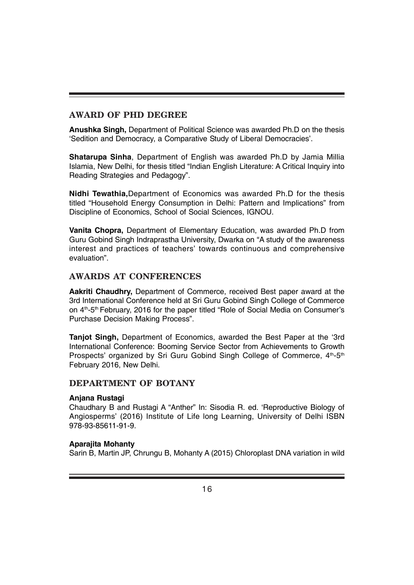# **AWARD OF PHD DEGREE**

**Anushka Singh,** Department of Political Science was awarded Ph.D on the thesis 'Sedition and Democracy, a Comparative Study of Liberal Democracies'.

**Shatarupa Sinha**, Department of English was awarded Ph.D by Jamia Millia Islamia, New Delhi, for thesis titled "Indian English Literature: A Critical Inquiry into Reading Strategies and Pedagogy".

**Nidhi Tewathia,**Department of Economics was awarded Ph.D for the thesis titled "Household Energy Consumption in Delhi: Pattern and Implications" from Discipline of Economics, School of Social Sciences, IGNOU.

**Vanita Chopra,** Department of Elementary Education, was awarded Ph.D from Guru Gobind Singh Indraprastha University, Dwarka on "A study of the awareness interest and practices of teachers' towards continuous and comprehensive evaluation".

### **AWARDS AT CONFERENCES**

**Aakriti Chaudhry,** Department of Commerce, received Best paper award at the 3rd International Conference held at Sri Guru Gobind Singh College of Commerce on 4th-5th February, 2016 for the paper titled "Role of Social Media on Consumer's Purchase Decision Making Process".

**Tanjot Singh,** Department of Economics, awarded the Best Paper at the '3rd International Conference: Booming Service Sector from Achievements to Growth Prospects' organized by Sri Guru Gobind Singh College of Commerce, 4<sup>th</sup>-5<sup>th</sup> February 2016, New Delhi.

#### **DEPARTMENT OF BOTANY**

#### **Anjana Rustagi**

Chaudhary B and Rustagi A "Anther" In: Sisodia R. ed. 'Reproductive Biology of Angiosperms' (2016) Institute of Life long Learning, University of Delhi ISBN 978-93-85611-91-9.

#### **Aparajita Mohanty**

Sarin B, Martin JP, Chrungu B, Mohanty A (2015) Chloroplast DNA variation in wild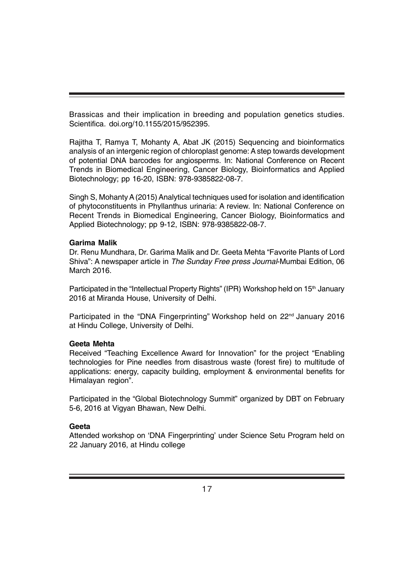Brassicas and their implication in breeding and population genetics studies. Scientifica. doi.org/10.1155/2015/952395.

Rajitha T, Ramya T, Mohanty A, Abat JK (2015) Sequencing and bioinformatics analysis of an intergenic region of chloroplast genome: A step towards development of potential DNA barcodes for angiosperms. In: National Conference on Recent Trends in Biomedical Engineering, Cancer Biology, Bioinformatics and Applied Biotechnology; pp 16-20, ISBN: 978-9385822-08-7.

Singh S, Mohanty A (2015) Analytical techniques used for isolation and identification of phytoconstituents in Phyllanthus urinaria: A review. In: National Conference on Recent Trends in Biomedical Engineering, Cancer Biology, Bioinformatics and Applied Biotechnology; pp 9-12, ISBN: 978-9385822-08-7.

#### **Garima Malik**

Dr. Renu Mundhara, Dr. Garima Malik and Dr. Geeta Mehta "Favorite Plants of Lord Shiva": A newspaper article in *The Sunday Free press Journal*-Mumbai Edition, 06 March 2016.

Participated in the "Intellectual Property Rights" (IPR) Workshop held on 15<sup>th</sup> January 2016 at Miranda House, University of Delhi.

Participated in the "DNA Fingerprinting" Workshop held on 22<sup>nd</sup> January 2016 at Hindu College, University of Delhi.

#### **Geeta Mehta**

Received "Teaching Excellence Award for Innovation" for the project "Enabling technologies for Pine needles from disastrous waste (forest fire) to multitude of applications: energy, capacity building, employment & environmental benefits for Himalayan region".

Participated in the "Global Biotechnology Summit" organized by DBT on February 5-6, 2016 at Vigyan Bhawan, New Delhi.

#### **Geeta**

Attended workshop on 'DNA Fingerprinting' under Science Setu Program held on 22 January 2016, at Hindu college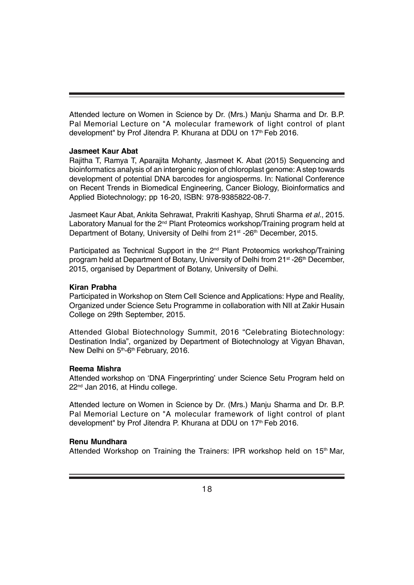Attended lecture on Women in Science by Dr. (Mrs.) Manju Sharma and Dr. B.P. Pal Memorial Lecture on "A molecular framework of light control of plant development" by Prof Jitendra P. Khurana at DDU on 17<sup>th</sup> Feb 2016.

#### **Jasmeet Kaur Abat**

Rajitha T, Ramya T, Aparajita Mohanty, Jasmeet K. Abat (2015) Sequencing and bioinformatics analysis of an intergenic region of chloroplast genome: A step towards development of potential DNA barcodes for angiosperms. In: National Conference on Recent Trends in Biomedical Engineering, Cancer Biology, Bioinformatics and Applied Biotechnology; pp 16-20, ISBN: 978-9385822-08-7.

Jasmeet Kaur Abat, Ankita Sehrawat, Prakriti Kashyap, Shruti Sharma *et al*., 2015. Laboratory Manual for the 2<sup>nd</sup> Plant Proteomics workshop/Training program held at Department of Botany, University of Delhi from 21<sup>st</sup> -26<sup>th</sup> December, 2015.

Participated as Technical Support in the 2<sup>nd</sup> Plant Proteomics workshop/Training program held at Department of Botany, University of Delhi from 21<sup>st</sup> -26<sup>th</sup> December, 2015, organised by Department of Botany, University of Delhi.

#### **Kiran Prabha**

Participated in Workshop on Stem Cell Science and Applications: Hype and Reality, Organized under Science Setu Programme in collaboration with NII at Zakir Husain College on 29th September, 2015.

Attended Global Biotechnology Summit, 2016 "Celebrating Biotechnology: Destination India", organized by Department of Biotechnology at Vigyan Bhavan, New Delhi on 5<sup>th</sup>-6<sup>th</sup> February, 2016.

#### **Reema Mishra**

Attended workshop on 'DNA Fingerprinting' under Science Setu Program held on 22<sup>nd</sup> Jan 2016, at Hindu college.

Attended lecture on Women in Science by Dr. (Mrs.) Manju Sharma and Dr. B.P. Pal Memorial Lecture on "A molecular framework of light control of plant development" by Prof Jitendra P. Khurana at DDU on 17<sup>th</sup> Feb 2016.

#### **Renu Mundhara**

Attended Workshop on Training the Trainers: IPR workshop held on 15<sup>th</sup> Mar,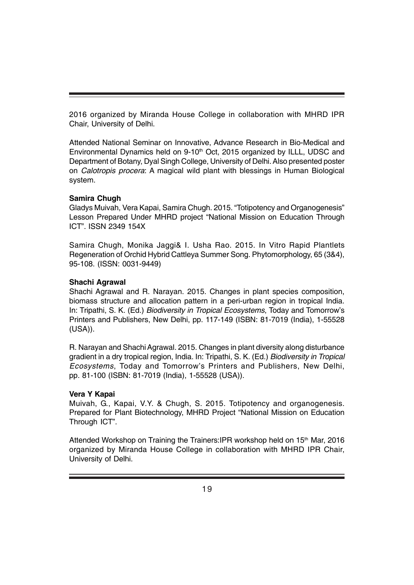2016 organized by Miranda House College in collaboration with MHRD IPR Chair, University of Delhi.

Attended National Seminar on Innovative, Advance Research in Bio-Medical and Environmental Dynamics held on  $9\textrm{-}10^{th}$  Oct, 2015 organized by ILLL, UDSC and Department of Botany, Dyal Singh College, University of Delhi. Also presented poster on *Calotropis procera*: A magical wild plant with blessings in Human Biological system.

#### **Samira Chugh**

Gladys Muivah, Vera Kapai, Samira Chugh. 2015. "Totipotency and Organogenesis" Lesson Prepared Under MHRD project "National Mission on Education Through ICT". ISSN 2349 154X

Samira Chugh, Monika Jaggi& I. Usha Rao. 2015. In Vitro Rapid Plantlets Regeneration of Orchid Hybrid Cattleya Summer Song. Phytomorphology, 65 (3&4), 95-108. (ISSN: 0031-9449)

#### **Shachi Agrawal**

Shachi Agrawal and R. Narayan. 2015. Changes in plant species composition, biomass structure and allocation pattern in a peri-urban region in tropical India. In: Tripathi, S. K. (Ed.) *Biodiversity in Tropical Ecosystems*, Today and Tomorrow's Printers and Publishers, New Delhi, pp. 117-149 (ISBN: 81-7019 (India), 1-55528 (USA)).

R. Narayan and Shachi Agrawal. 2015. Changes in plant diversity along disturbance gradient in a dry tropical region, India. In: Tripathi, S. K. (Ed.) *Biodiversity in Tropical Ecosystems*, Today and Tomorrow's Printers and Publishers, New Delhi, pp. 81-100 (ISBN: 81-7019 (India), 1-55528 (USA)).

#### **Vera Y Kapai**

Muivah, G., Kapai, V.Y. & Chugh, S. 2015. Totipotency and organogenesis. Prepared for Plant Biotechnology, MHRD Project "National Mission on Education Through ICT".

Attended Workshop on Training the Trainers: IPR workshop held on 15<sup>th</sup> Mar, 2016 organized by Miranda House College in collaboration with MHRD IPR Chair, University of Delhi.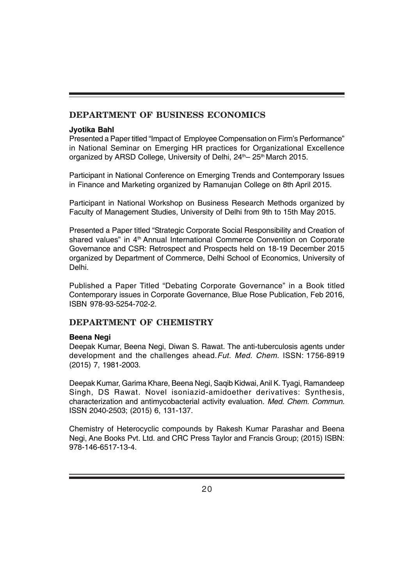# **DEPARTMENT OF BUSINESS ECONOMICS**

#### **Jyotika Bahl**

Presented a Paper titled "Impact of Employee Compensation on Firm's Performance" in National Seminar on Emerging HR practices for Organizational Excellence organized by ARSD College, University of Delhi, 24<sup>th</sup>–25<sup>th</sup> March 2015.

Participant in National Conference on Emerging Trends and Contemporary Issues in Finance and Marketing organized by Ramanujan College on 8th April 2015.

Participant in National Workshop on Business Research Methods organized by Faculty of Management Studies, University of Delhi from 9th to 15th May 2015.

Presented a Paper titled "Strategic Corporate Social Responsibility and Creation of shared values" in 4<sup>th</sup> Annual International Commerce Convention on Corporate Governance and CSR: Retrospect and Prospects held on 18-19 December 2015 organized by Department of Commerce, Delhi School of Economics, University of Delhi.

Published a Paper Titled "Debating Corporate Governance" in a Book titled Contemporary issues in Corporate Governance, Blue Rose Publication, Feb 2016, ISBN 978-93-5254-702-2.

# **DEPARTMENT OF CHEMISTRY**

#### **Beena Negi**

Deepak Kumar, Beena Negi, Diwan S. Rawat. The anti-tuberculosis agents under development and the challenges ahead.*Fut. Med. Chem*. ISSN: 1756-8919 (2015) 7, 1981-2003.

Deepak Kumar, Garima Khare, Beena Negi, Saqib Kidwai, Anil K. Tyagi, Ramandeep Singh, DS Rawat. Novel isoniazid-amidoether derivatives: Synthesis, characterization and antimycobacterial activity evaluation. *Med. Chem. Commun.* ISSN 2040-2503; (2015) 6, 131-137.

Chemistry of Heterocyclic compounds by Rakesh Kumar Parashar and Beena Negi, Ane Books Pvt. Ltd. and CRC Press Taylor and Francis Group; (2015) ISBN: 978-146-6517-13-4.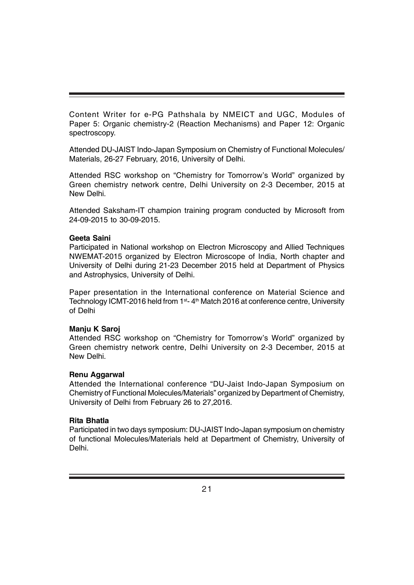Content Writer for e-PG Pathshala by NMEICT and UGC, Modules of Paper 5: Organic chemistry-2 (Reaction Mechanisms) and Paper 12: Organic spectroscopy.

Attended DU-JAIST Indo-Japan Symposium on Chemistry of Functional Molecules/ Materials, 26-27 February, 2016, University of Delhi.

Attended RSC workshop on "Chemistry for Tomorrow's World" organized by Green chemistry network centre, Delhi University on 2-3 December, 2015 at New Delhi.

Attended Saksham-IT champion training program conducted by Microsoft from 24-09-2015 to 30-09-2015.

#### **Geeta Saini**

Participated in National workshop on Electron Microscopy and Allied Techniques NWEMAT-2015 organized by Electron Microscope of India, North chapter and University of Delhi during 21-23 December 2015 held at Department of Physics and Astrophysics, University of Delhi.

Paper presentation in the International conference on Material Science and Technology ICMT-2016 held from 1<sup>st</sup>- 4<sup>th</sup> Match 2016 at conference centre, University of Delhi

#### **Manju K Saroj**

Attended RSC workshop on "Chemistry for Tomorrow's World" organized by Green chemistry network centre, Delhi University on 2-3 December, 2015 at New Delhi.

#### **Renu Aggarwal**

Attended the International conference "DU-Jaist Indo-Japan Symposium on Chemistry of Functional Molecules/Materials" organized by Department of Chemistry, University of Delhi from February 26 to 27,2016.

#### **Rita Bhatla**

Participated in two days symposium: DU-JAIST Indo-Japan symposium on chemistry of functional Molecules/Materials held at Department of Chemistry, University of Delhi.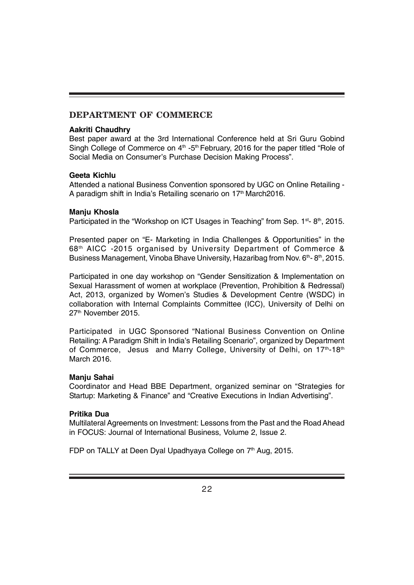# **DEPARTMENT OF COMMERCE**

#### **Aakriti Chaudhry**

Best paper award at the 3rd International Conference held at Sri Guru Gobind Singh College of Commerce on 4<sup>th</sup> -5<sup>th</sup> February, 2016 for the paper titled "Role of Social Media on Consumer's Purchase Decision Making Process".

#### **Geeta Kichlu**

Attended a national Business Convention sponsored by UGC on Online Retailing - A paradigm shift in India's Retailing scenario on 17<sup>th</sup> March2016.

#### **Manju Khosla**

Participated in the "Workshop on ICT Usages in Teaching" from Sep. 1<sup>st</sup>-8<sup>th</sup>, 2015.

Presented paper on "E- Marketing in India Challenges & Opportunities" in the 68th AICC -2015 organised by University Department of Commerce & Business Management, Vinoba Bhave University, Hazaribag from Nov.  $6<sup>th</sup>$ - 8<sup>th</sup>, 2015.

Participated in one day workshop on "Gender Sensitization & Implementation on Sexual Harassment of women at workplace (Prevention, Prohibition & Redressal) Act, 2013, organized by Women's Studies & Development Centre (WSDC) in collaboration with Internal Complaints Committee (ICC), University of Delhi on 27th November 2015.

Participated in UGC Sponsored "National Business Convention on Online Retailing: A Paradigm Shift in India's Retailing Scenario", organized by Department of Commerce, Jesus and Marry College, University of Delhi, on 17th-18th March 2016.

#### **Manju Sahai**

Coordinator and Head BBE Department, organized seminar on "Strategies for Startup: Marketing & Finance" and "Creative Executions in Indian Advertising".

#### **Pritika Dua**

Multilateral Agreements on Investment: Lessons from the Past and the Road Ahead in FOCUS: Journal of International Business, Volume 2, Issue 2.

FDP on TALLY at Deen Dyal Upadhyaya College on 7<sup>th</sup> Aug, 2015.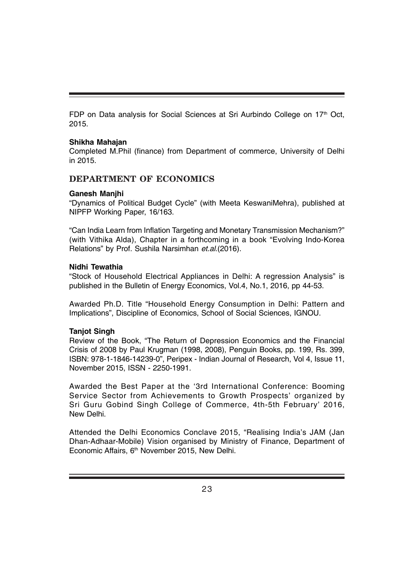FDP on Data analysis for Social Sciences at Sri Aurbindo College on 17<sup>th</sup> Oct, 2015.

#### **Shikha Mahajan**

Completed M.Phil (finance) from Department of commerce, University of Delhi in 2015.

## **DEPARTMENT OF ECONOMICS**

#### **Ganesh Manjhi**

"Dynamics of Political Budget Cycle" (with Meeta KeswaniMehra), published at NIPFP Working Paper, 16/163.

"Can India Learn from Inflation Targeting and Monetary Transmission Mechanism?" (with Vithika Alda), Chapter in a forthcoming in a book "Evolving Indo-Korea Relations" by Prof. Sushila Narsimhan *et.al*.(2016).

#### **Nidhi Tewathia**

"Stock of Household Electrical Appliances in Delhi: A regression Analysis" is published in the Bulletin of Energy Economics, Vol.4, No.1, 2016, pp 44-53.

Awarded Ph.D. Title "Household Energy Consumption in Delhi: Pattern and Implications", Discipline of Economics, School of Social Sciences, IGNOU.

#### **Tanjot Singh**

Review of the Book, "The Return of Depression Economics and the Financial Crisis of 2008 by Paul Krugman (1998, 2008), Penguin Books, pp. 199, Rs. 399, ISBN: 978-1-1846-14239-0", Peripex - Indian Journal of Research, Vol 4, Issue 11, November 2015, ISSN - 2250-1991.

Awarded the Best Paper at the '3rd International Conference: Booming Service Sector from Achievements to Growth Prospects' organized by Sri Guru Gobind Singh College of Commerce, 4th-5th February' 2016, New Delhi.

Attended the Delhi Economics Conclave 2015, "Realising India's JAM (Jan Dhan-Adhaar-Mobile) Vision organised by Ministry of Finance, Department of Economic Affairs, 6<sup>th</sup> November 2015, New Delhi.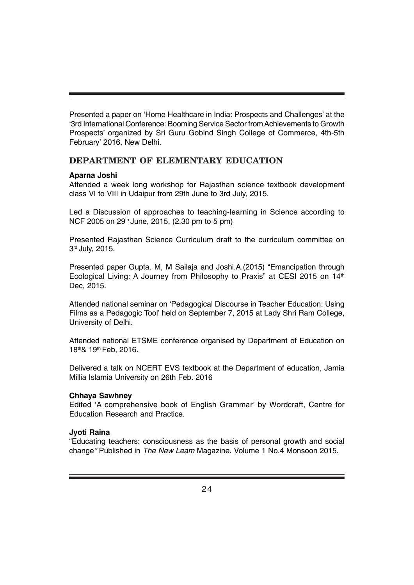Presented a paper on 'Home Healthcare in India: Prospects and Challenges' at the '3rd International Conference: Booming Service Sector from Achievements to Growth Prospects' organized by Sri Guru Gobind Singh College of Commerce, 4th-5th February' 2016, New Delhi.

# **DEPARTMENT OF ELEMENTARY EDUCATION**

#### **Aparna Joshi**

Attended a week long workshop for Rajasthan science textbook development class VI to VIII in Udaipur from 29th June to 3rd July, 2015.

Led a Discussion of approaches to teaching-learning in Science according to NCF 2005 on  $29<sup>th</sup>$  June, 2015. (2.30 pm to 5 pm)

Presented Rajasthan Science Curriculum draft to the curriculum committee on 3rd July, 2015.

Presented paper Gupta. M, M Sailaja and Joshi.A.(2015) "Emancipation through Ecological Living: A Journey from Philosophy to Praxis" at CESI 2015 on 14<sup>th</sup> Dec, 2015.

Attended national seminar on 'Pedagogical Discourse in Teacher Education: Using Films as a Pedagogic Tool' held on September 7, 2015 at Lady Shri Ram College, University of Delhi.

Attended national ETSME conference organised by Department of Education on 18th& 19th Feb, 2016.

Delivered a talk on NCERT EVS textbook at the Department of education, Jamia Millia Islamia University on 26th Feb. 2016

#### **Chhaya Sawhney**

Edited 'A comprehensive book of English Grammar' by Wordcraft, Centre for Education Research and Practice.

#### **Jyoti Raina**

"Educating teachers: consciousness as the basis of personal growth and social change*"* Published in *The New Leam* Magazine. Volume 1 No.4 Monsoon 2015.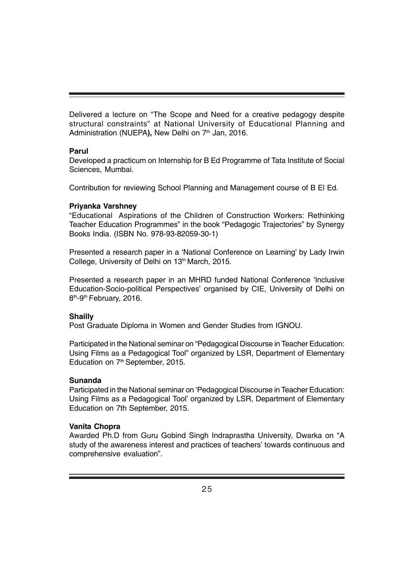Delivered a lecture on "The Scope and Need for a creative pedagogy despite structural constraints" at National University of Educational Planning and Administration (NUEPA), New Delhi on 7<sup>th</sup> Jan, 2016.

#### **Parul**

Developed a practicum on Internship for B Ed Programme of Tata Institute of Social Sciences, Mumbai.

Contribution for reviewing School Planning and Management course of B El Ed.

#### **Priyanka Varshney**

"Educational Aspirations of the Children of Construction Workers: Rethinking Teacher Education Programmes" in the book "Pedagogic Trajectories" by Synergy Books India. (ISBN No. 978-93-82059-30-1)

Presented a research paper in a 'National Conference on Learning' by Lady Irwin College, University of Delhi on 13<sup>th</sup> March, 2015.

Presented a research paper in an MHRD funded National Conference 'Inclusive Education-Socio-political Perspectives' organised by CIE, University of Delhi on 8<sup>th</sup>-9<sup>th</sup> February, 2016.

#### **Shailly**

Post Graduate Diploma in Women and Gender Studies from IGNOU.

Participated in the National seminar on "Pedagogical Discourse in Teacher Education: Using Films as a Pedagogical Tool" organized by LSR, Department of Elementary Education on 7<sup>th</sup> September, 2015.

#### **Sunanda**

Participated in the National seminar on 'Pedagogical Discourse in Teacher Education: Using Films as a Pedagogical Tool' organized by LSR, Department of Elementary Education on 7th September, 2015.

#### **Vanita Chopra**

Awarded Ph.D from Guru Gobind Singh Indraprastha University, Dwarka on "A study of the awareness interest and practices of teachers' towards continuous and comprehensive evaluation".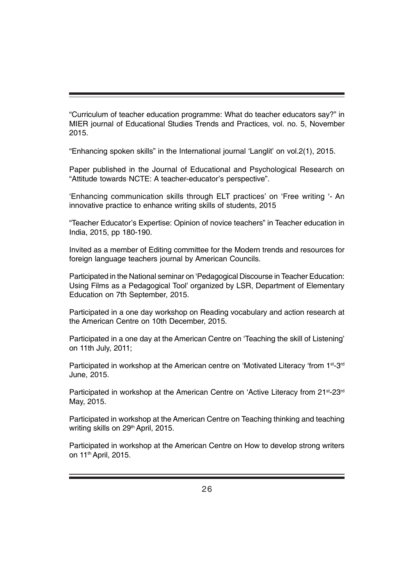"Curriculum of teacher education programme: What do teacher educators say?" in MIER journal of Educational Studies Trends and Practices, vol. no. 5, November 2015.

"Enhancing spoken skills" in the International journal 'Langlit' on vol.2(1), 2015.

Paper published in the Journal of Educational and Psychological Research on "Attitude towards NCTE: A teacher-educator's perspective".

'Enhancing communication skills through ELT practices' on 'Free writing '- An innovative practice to enhance writing skills of students, 2015

"Teacher Educator's Expertise: Opinion of novice teachers" in Teacher education in India, 2015, pp 180-190.

Invited as a member of Editing committee for the Modern trends and resources for foreign language teachers journal by American Councils.

Participated in the National seminar on 'Pedagogical Discourse in Teacher Education: Using Films as a Pedagogical Tool' organized by LSR, Department of Elementary Education on 7th September, 2015.

Participated in a one day workshop on Reading vocabulary and action research at the American Centre on 10th December, 2015.

Participated in a one day at the American Centre on 'Teaching the skill of Listening' on 11th July, 2011;

Participated in workshop at the American centre on 'Motivated Literacy 'from  $1^{st}$ -3<sup>rd</sup> June, 2015.

Participated in workshop at the American Centre on 'Active Literacy from 21<sup>st</sup>-23<sup>rd</sup> May, 2015.

Participated in workshop at the American Centre on Teaching thinking and teaching writing skills on 29<sup>th</sup> April, 2015.

Participated in workshop at the American Centre on How to develop strong writers on 11th April, 2015.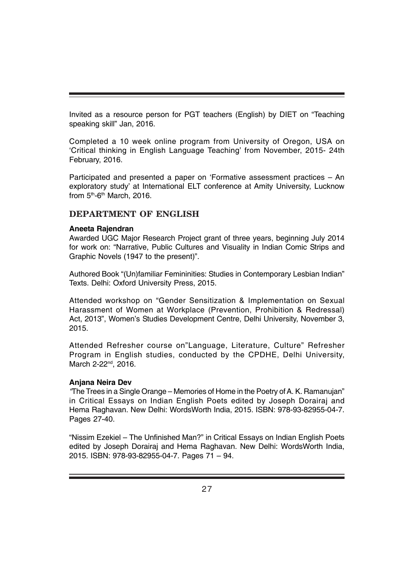Invited as a resource person for PGT teachers (English) by DIET on "Teaching speaking skill" Jan, 2016.

Completed a 10 week online program from University of Oregon, USA on 'Critical thinking in English Language Teaching' from November, 2015- 24th February, 2016.

Participated and presented a paper on 'Formative assessment practices – An exploratory study' at International ELT conference at Amity University, Lucknow from  $5<sup>th</sup>$ -6<sup>th</sup> March, 2016.

#### **DEPARTMENT OF ENGLISH**

#### **Aneeta Rajendran**

Awarded UGC Major Research Project grant of three years, beginning July 2014 for work on: "Narrative, Public Cultures and Visuality in Indian Comic Strips and Graphic Novels (1947 to the present)".

Authored Book "(Un)familiar Femininities: Studies in Contemporary Lesbian Indian" Texts. Delhi: Oxford University Press, 2015.

Attended workshop on "Gender Sensitization & Implementation on Sexual Harassment of Women at Workplace (Prevention, Prohibition & Redressal) Act, 2013", Women's Studies Development Centre, Delhi University, November 3, 2015.

Attended Refresher course on"Language, Literature, Culture" Refresher Program in English studies, conducted by the CPDHE, Delhi University, March 2-22<sup>nd</sup>, 2016.

#### **Anjana Neira Dev**

*"*The Trees in a Single Orange – Memories of Home in the Poetry of A. K. Ramanujan" in Critical Essays on Indian English Poets edited by Joseph Dorairaj and Hema Raghavan. New Delhi: WordsWorth India, 2015. ISBN: 978-93-82955-04-7. Pages 27-40.

"Nissim Ezekiel – The Unfinished Man?" in Critical Essays on Indian English Poets edited by Joseph Dorairaj and Hema Raghavan. New Delhi: WordsWorth India, 2015. ISBN: 978-93-82955-04-7. Pages 71 – 94.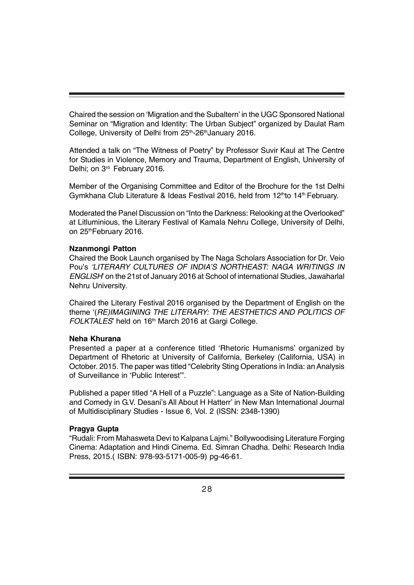Chaired the session on 'Migration and the Subaltern' in the UGC Sponsored National Seminar on "Migration and Identity: The Urban Subject" organized by Daulat Ram College, University of Delhi from 25<sup>th</sup>-26<sup>th</sup>January 2016.

Attended a talk on "The Witness of Poetry" by Professor Suvir Kaul at The Centre for Studies in Violence, Memory and Trauma, Department of English, University of Delhi; on 3<sup>rd</sup> February 2016.

Member of the Organising Committee and Editor of the Brochure for the 1st Delhi Gymkhana Club Literature & Ideas Festival 2016, held from  $12<sup>th</sup>$  to  $14<sup>th</sup>$  February.

Moderated the Panel Discussion on "Into the Darkness: Relooking at the Overlooked" at Litluminious, the Literary Festival of Kamala Nehru College, University of Delhi, on 25<sup>th</sup>February 2016.

#### **Nzanmongi Patton**

Chaired the Book Launch organised by The Naga Scholars Association for Dr. Veio Pou's *'LITERARY CULTURES OF INDIA'S NORTHEAST: NAGA WRITINGS IN ENGLISH*' on the 21st of January 2016 at School of international Studies, Jawaharlal Nehru University.

Chaired the Literary Festival 2016 organised by the Department of English on the theme '(*RE)IMAGINING THE LITERARY: THE AESTHETICS AND POLITICS OF FOLKTALES*' held on 16<sup>th</sup> March 2016 at Gargi College.

#### **Neha Khurana**

Presented a paper at a conference titled 'Rhetoric Humanisms' organized by Department of Rhetoric at University of California, Berkeley (California, USA) in October. 2015. The paper was titled "Celebrity Sting Operations in India: an Analysis of Surveillance in 'Public Interest'".

Published a paper titled "A Hell of a Puzzle": Language as a Site of Nation-Building and Comedy in G.V. Desani's All About H Hatterr' in New Man International Journal of Multidisciplinary Studies - Issue 6, Vol. 2 (ISSN: 2348-1390)

#### **Pragya Gupta**

"Rudali: From Mahasweta Devi to Kalpana Lajmi." Bollywoodising Literature Forging Cinema: Adaptation and Hindi Cinema. Ed. Simran Chadha. Delhi: Research India Press, 2015.( ISBN: 978-93-5171-005-9) pg-46-61.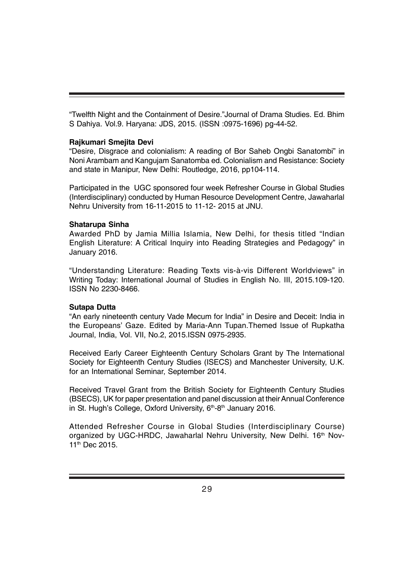"Twelfth Night and the Containment of Desire."Journal of Drama Studies. Ed. Bhim S Dahiya. Vol.9. Haryana: JDS, 2015. (ISSN :0975-1696) pg-44-52.

#### **Rajkumari Smejita Devi**

"Desire, Disgrace and colonialism: A reading of Bor Saheb Ongbi Sanatombi" in Noni Arambam and Kangujam Sanatomba ed. Colonialism and Resistance: Society and state in Manipur, New Delhi: Routledge, 2016, pp104-114.

Participated in the UGC sponsored four week Refresher Course in Global Studies (Interdisciplinary) conducted by Human Resource Development Centre, Jawaharlal Nehru University from 16-11-2015 to 11-12- 2015 at JNU.

#### **Shatarupa Sinha**

Awarded PhD by Jamia Millia Islamia, New Delhi, for thesis titled "Indian English Literature: A Critical Inquiry into Reading Strategies and Pedagogy" in January 2016.

"Understanding Literature: Reading Texts vis-à-vis Different Worldviews" in Writing Today: International Journal of Studies in English No. III, 2015.109-120. ISSN No 2230-8466.

#### **Sutapa Dutta**

"An early nineteenth century Vade Mecum for India" in Desire and Deceit: India in the Europeans' Gaze. Edited by Maria-Ann Tupan.Themed Issue of Rupkatha Journal, India, Vol. VII, No.2, 2015.ISSN 0975-2935.

Received Early Career Eighteenth Century Scholars Grant by The International Society for Eighteenth Century Studies (ISECS) and Manchester University, U.K. for an International Seminar, September 2014.

Received Travel Grant from the British Society for Eighteenth Century Studies (BSECS), UK for paper presentation and panel discussion at their Annual Conference in St. Hugh's College, Oxford University,  $6<sup>th</sup>$ - $8<sup>th</sup>$  January 2016.

Attended Refresher Course in Global Studies (Interdisciplinary Course) organized by UGC-HRDC, Jawaharlal Nehru University, New Delhi. 16<sup>th</sup> Nov-11<sup>th</sup> Dec 2015.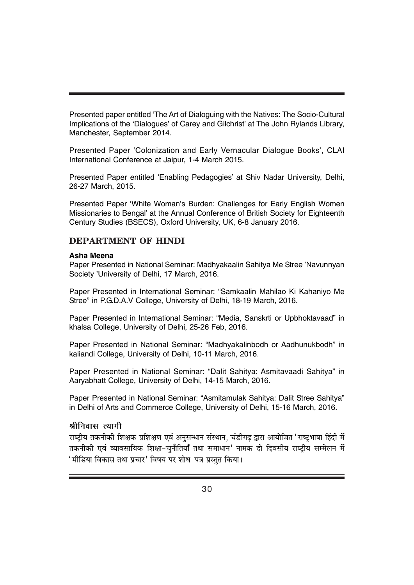Presented paper entitled 'The Art of Dialoguing with the Natives: The Socio-Cultural Implications of the 'Dialogues' of Carey and Gilchrist' at The John Rylands Library, Manchester, September 2014.

Presented Paper 'Colonization and Early Vernacular Dialogue Books', CLAI International Conference at Jaipur, 1-4 March 2015.

Presented Paper entitled 'Enabling Pedagogies' at Shiv Nadar University, Delhi, 26-27 March, 2015.

Presented Paper 'White Woman's Burden: Challenges for Early English Women Missionaries to Bengal' at the Annual Conference of British Society for Eighteenth Century Studies (BSECS), Oxford University, UK, 6-8 January 2016.

### **DEPARTMENT OF HINDI**

#### **Asha Meena**

Paper Presented in National Seminar: Madhyakaalin Sahitya Me Stree 'Navunnyan Society 'University of Delhi, 17 March, 2016.

Paper Presented in International Seminar: "Samkaalin Mahilao Ki Kahaniyo Me Stree" in P.G.D.A.V College, University of Delhi, 18-19 March, 2016.

Paper Presented in International Seminar: "Media, Sanskrti or Upbhoktavaad" in khalsa College, University of Delhi, 25-26 Feb, 2016.

Paper Presented in National Seminar: "Madhyakalinbodh or Aadhunukbodh" in kaliandi College, University of Delhi, 10-11 March, 2016.

Paper Presented in National Seminar: "Dalit Sahitya: Asmitavaadi Sahitya" in Aaryabhatt College, University of Delhi, 14-15 March, 2016.

Paper Presented in National Seminar: "Asmitamulak Sahitya: Dalit Stree Sahitya" in Delhi of Arts and Commerce College, University of Delhi, 15-16 March, 2016.

# श्रीनिवास त्यागी

राष्टीय तकनीकी शिक्षक प्रशिक्षण एवं अनसन्धान संस्थान, चंडीगढ द्वारा आयोजित 'राष्टभाषा हिंदी में तकनीकी एवं व्यावसायिक शिक्षा-चुनौतियाँ तथा समाधान' नामक दो दिवसीय राष्ट्रीय सम्मेलन में  $^{\prime}$ मीडिया विकास तथा प्रचार $^{\prime}$  विषय पर शोध–पत्र प्रस्तुत किया।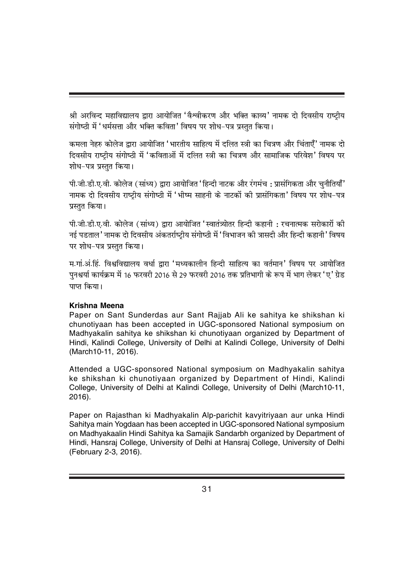श्री अरविन्द महाविद्यालय द्वारा आयोजित 'वैश्वीकरण और भक्ति काव्य*'* नामक दो दिवसीय राष्ट्रीय संगोष्ठी में 'धर्मसत्ता और भक्ति कविता' विषय पर शोध-पत्र प्रस्तत किया।

कमला नेहरु कोलेज द्वारा आयोजित 'भारतीय साहित्य में दलित स्त्री का चित्रण और चिंताएँ' नामक दो दिवसीय राष्ट्रीय संगोष्ठी में 'कविताओं में दलित स्त्री का चित्रण और सामाजिक परिवेश' विषय पर शोध-पत्र प्रस्तत किया।

पी.जी.डी.ए.वी. कोलेज (सांध्य) द्वारा आयोजित 'हिन्दी नाटक और रंगमंच : प्रासंगिकता और चनौतियाँ' नामक दो दिवसीय राष्टीय संगोष्ठी में 'भीष्म साहनी के नाटकों की प्रासंगिकता' विषय पर शोध-पत्र प्रस्तत किया।

पी.जी.डी.ए.वी. कोलेज (सांध्य) द्वारा आयोजित 'स्वातंत्र्योतर हिन्दी कहानी : रचनात्मक सरोकारों की नई पडताल' नामक दो दिवसीय अंकतर्राष्टीय संगोष्ठी में 'विभाजन की त्रासदी और हिन्दी कहानी' विषय पर शोध-पत्र प्रस्तत किया।

म.गां.अं.हिं. विश्वविद्यालय वर्धा द्वारा 'मध्यकालीन हिन्दी साहित्य का वर्तमान' विषय पर आयोजित पुनश्चर्या कार्यक्रम में 16 फरवरी 2016 से 29 फरवरी 2016 तक प्रतिभागी के रूप में भाग लेकर 'ए' ग्रेड पाप्त किया।

# **Krishna Meena**

Paper on Sant Sunderdas aur Sant Rajjab Ali ke sahitya ke shikshan ki chunotiyaan has been accepted in UGC-sponsored National symposium on Madhyakalin sahitya ke shikshan ki chunotiyaan organized by Department of Hindi, Kalindi College, University of Delhi at Kalindi College, University of Delhi (March10-11, 2016).

Attended a UGC-sponsored National symposium on Madhyakalin sahitya ke shikshan ki chunotiyaan organized by Department of Hindi, Kalindi College, University of Delhi at Kalindi College, University of Delhi (March10-11, 2016).

Paper on Rajasthan ki Madhyakalin Alp-parichit kavyitriyaan aur unka Hindi Sahitya main Yogdaan has been accepted in UGC-sponsored National symposium on Madhyakaalin Hindi Sahitya ka Samajik Sandarbh organized by Department of Hindi, Hansraj College, University of Delhi at Hansraj College, University of Delhi (February 2-3, 2016).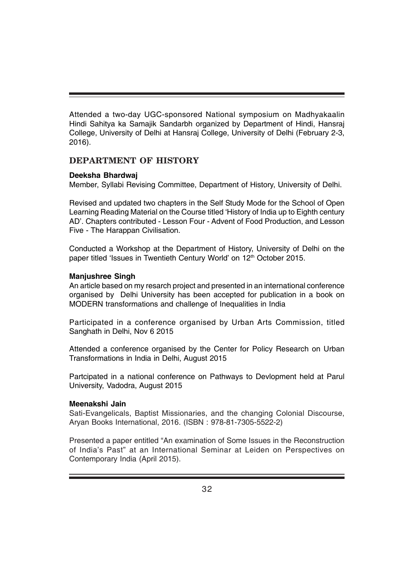Attended a two-day UGC-sponsored National symposium on Madhyakaalin Hindi Sahitya ka Samajik Sandarbh organized by Department of Hindi, Hansraj College, University of Delhi at Hansraj College, University of Delhi (February 2-3, 2016).

#### **DEPARTMENT OF HISTORY**

#### **Deeksha Bhardwaj**

Member, Syllabi Revising Committee, Department of History, University of Delhi.

Revised and updated two chapters in the Self Study Mode for the School of Open Learning Reading Material on the Course titled 'History of India up to Eighth century AD'. Chapters contributed - Lesson Four - Advent of Food Production, and Lesson Five - The Harappan Civilisation.

Conducted a Workshop at the Department of History, University of Delhi on the paper titled 'Issues in Twentieth Century World' on 12<sup>th</sup> October 2015.

#### **Manjushree Singh**

An article based on my resarch project and presented in an international conference organised by Delhi University has been accepted for publication in a book on MODERN transformations and challenge of Inequalities in India

Participated in a conference organised by Urban Arts Commission, titled Sanghath in Delhi, Nov 6 2015

Attended a conference organised by the Center for Policy Research on Urban Transformations in India in Delhi, August 2015

Partcipated in a national conference on Pathways to Devlopment held at Parul University, Vadodra, August 2015

#### **Meenakshi Jain**

Sati-Evangelicals, Baptist Missionaries, and the changing Colonial Discourse, Aryan Books International, 2016. (ISBN : 978-81-7305-5522-2)

Presented a paper entitled "An examination of Some Issues in the Reconstruction of India's Past" at an International Seminar at Leiden on Perspectives on Contemporary India (April 2015).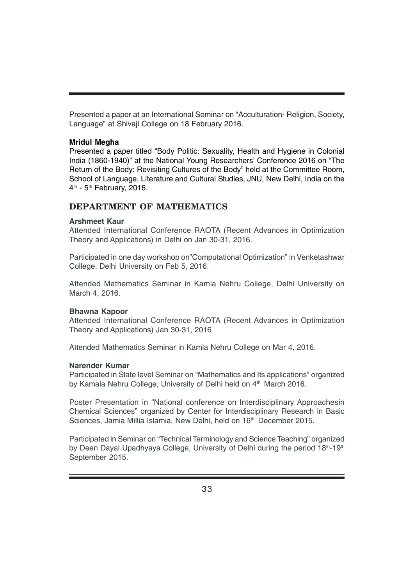Presented a paper at an International Seminar on "Acculturation- Religion, Society, Language" at Shivaji College on 18 February 2016.

#### **Mridul Megha**

Presented a paper titled "Body Politic: Sexuality, Health and Hygiene in Colonial India (1860-1940)" at the National Young Researchers' Conference 2016 on "The Return of the Body: Revisiting Cultures of the Body" held at the Committee Room, School of Language, Literature and Cultural Studies, JNU, New Delhi, India on the  $4<sup>th</sup>$  - 5<sup>th</sup> February, 2016.

## **DEPARTMENT OF MATHEMATICS**

#### **Arshmeet Kaur**

Attended International Conference RAOTA (Recent Advances in Optimization Theory and Applications) in Delhi on Jan 30-31, 2016.

Participated in one day workshop on"Computational Optimization" in Venketashwar College, Delhi University on Feb 5, 2016.

Attended Mathematics Seminar in Kamla Nehru College, Delhi University on March 4, 2016.

#### **Bhawna Kapoor**

Attended International Conference RAOTA (Recent Advances in Optimization Theory and Applications) Jan 30-31, 2016

Attended Mathematics Seminar in Kamla Nehru College on Mar 4, 2016.

#### **Narender Kumar**

Participated in State level Seminar on "Mathematics and Its applications" organized by Kamala Nehru College, University of Delhi held on 4<sup>th</sup> March 2016.

Poster Presentation in "National conference on Interdisciplinary Approachesin Chemical Sciences" organized by Center for Interdisciplinary Research in Basic Sciences, Jamia Millia Islamia, New Delhi, held on 16<sup>th</sup> December 2015.

Participated in Seminar on "Technical Terminology and Science Teaching" organized by Deen Dayal Upadhyaya College, University of Delhi during the period 18th-19th September 2015.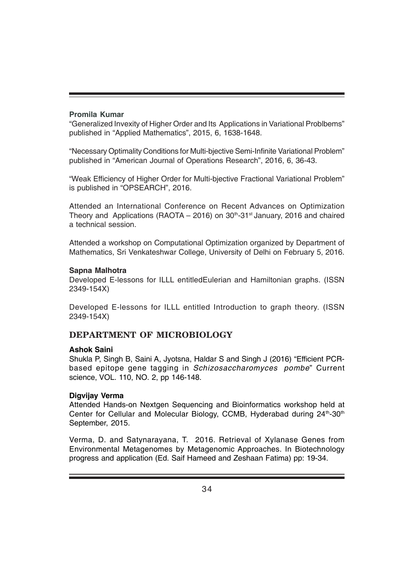#### **Promila Kumar**

"Generalized Invexity of Higher Order and Its Applications in Variational Problbems" published in "Applied Mathematics", 2015, 6, 1638-1648.

"Necessary Optimality Conditions for Multi-bjective Semi-Infinite Variational Problem" published in "American Journal of Operations Research", 2016, 6, 36-43.

"Weak Efficiency of Higher Order for Multi-bjective Fractional Variational Problem" is published in "OPSEARCH", 2016.

Attended an International Conference on Recent Advances on Optimization Theory and Applications (RAOTA – 2016) on  $30<sup>th</sup>$ -31<sup>st</sup> January, 2016 and chaired a technical session.

Attended a workshop on Computational Optimization organized by Department of Mathematics, Sri Venkateshwar College, University of Delhi on February 5, 2016.

#### **Sapna Malhotra**

Developed E-lessons for ILLL entitledEulerian and Hamiltonian graphs. (ISSN 2349-154X)

Developed E-lessons for ILLL entitled Introduction to graph theory. (ISSN 2349-154X)

# **DEPARTMENT OF MICROBIOLOGY**

#### **Ashok Saini**

Shukla P, Singh B, Saini A, Jyotsna, Haldar S and Singh J (2016) "Efficient PCRbased epitope gene tagging in *Schizosaccharomyces pombe*" Current science, VOL. 110, NO. 2, pp 146-148.

#### **Digvijay Verma**

Attended Hands-on Nextgen Sequencing and Bioinformatics workshop held at Center for Cellular and Molecular Biology, CCMB, Hyderabad during 24<sup>th</sup>-30<sup>th</sup> September, 2015.

Verma, D. and Satynarayana, T. 2016. Retrieval of Xylanase Genes from Environmental Metagenomes by Metagenomic Approaches. In Biotechnology progress and application (Ed. Saif Hameed and Zeshaan Fatima) pp: 19-34.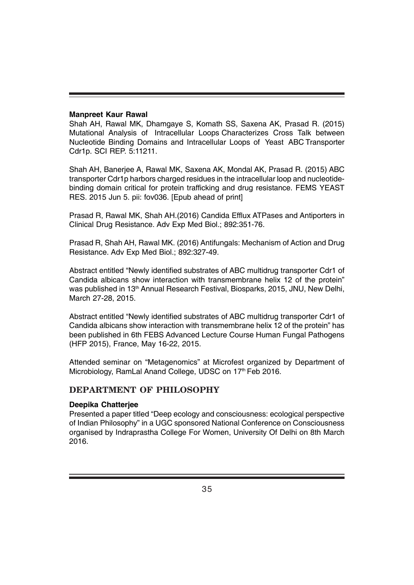#### **Manpreet Kaur Rawal**

Shah AH, Rawal MK, Dhamgaye S, Komath SS, Saxena AK, Prasad R. (2015) Mutational Analysis of Intracellular Loops Characterizes Cross Talk between Nucleotide Binding Domains and Intracellular Loops of Yeast ABC Transporter Cdr1p. SCI REP. 5:11211.

Shah AH, Banerjee A, Rawal MK, Saxena AK, Mondal AK, Prasad R. (2015) ABC transporter Cdr1p harbors charged residues in the intracellular loop and nucleotidebinding domain critical for protein trafficking and drug resistance. FEMS YEAST RES. 2015 Jun 5. pii: fov036. [Epub ahead of print]

Prasad R, Rawal MK, Shah AH.(2016) Candida Efflux ATPases and Antiporters in Clinical Drug Resistance. Adv Exp Med Biol.; 892:351-76.

Prasad R, Shah AH, Rawal MK. (2016) Antifungals: Mechanism of Action and Drug Resistance. Adv Exp Med Biol.; 892:327-49.

Abstract entitled "Newly identified substrates of ABC multidrug transporter Cdr1 of Candida albicans show interaction with transmembrane helix 12 of the protein" was published in 13<sup>th</sup> Annual Research Festival, Biosparks, 2015, JNU, New Delhi, March 27-28, 2015.

Abstract entitled "Newly identified substrates of ABC multidrug transporter Cdr1 of Candida albicans show interaction with transmembrane helix 12 of the protein" has been published in 6th FEBS Advanced Lecture Course Human Fungal Pathogens (HFP 2015), France, May 16-22, 2015.

Attended seminar on "Metagenomics" at Microfest organized by Department of Microbiology, RamLal Anand College, UDSC on 17<sup>th</sup> Feb 2016.

# **DEPARTMENT OF PHILOSOPHY**

#### **Deepika Chatterjee**

Presented a paper titled "Deep ecology and consciousness: ecological perspective of Indian Philosophy" in a UGC sponsored National Conference on Consciousness organised by Indraprastha College For Women, University Of Delhi on 8th March 2016.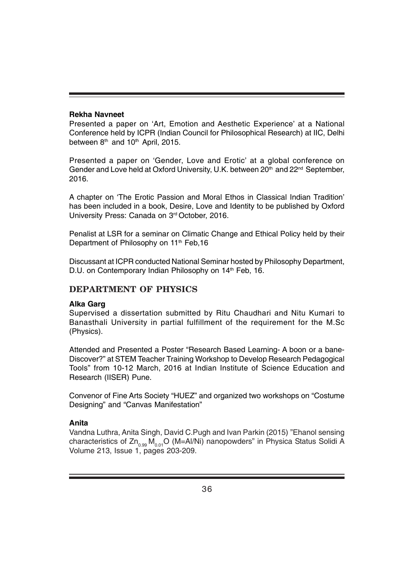#### **Rekha Navneet**

Presented a paper on 'Art, Emotion and Aesthetic Experience' at a National Conference held by ICPR (Indian Council for Philosophical Research) at IIC, Delhi between  $8<sup>th</sup>$  and  $10<sup>th</sup>$  April, 2015.

Presented a paper on 'Gender, Love and Erotic' at a global conference on Gender and Love held at Oxford University, U.K. between  $20<sup>th</sup>$  and  $22<sup>nd</sup>$  September, 2016.

A chapter on 'The Erotic Passion and Moral Ethos in Classical Indian Tradition' has been included in a book, Desire, Love and Identity to be published by Oxford University Press: Canada on 3rd October, 2016.

Penalist at LSR for a seminar on Climatic Change and Ethical Policy held by their Department of Philosophy on 11<sup>th</sup> Feb, 16

Discussant at ICPR conducted National Seminar hosted by Philosophy Department, D.U. on Contemporary Indian Philosophy on 14<sup>th</sup> Feb. 16.

### **DEPARTMENT OF PHYSICS**

#### **Alka Garg**

Supervised a dissertation submitted by Ritu Chaudhari and Nitu Kumari to Banasthali University in partial fulfillment of the requirement for the M.Sc (Physics).

Attended and Presented a Poster "Research Based Learning- A boon or a bane-Discover?" at STEM Teacher Training Workshop to Develop Research Pedagogical Tools" from 10-12 March, 2016 at Indian Institute of Science Education and Research (IISER) Pune.

Convenor of Fine Arts Society "HUEZ" and organized two workshops on "Costume Designing" and "Canvas Manifestation"

#### **Anita**

Vandna Luthra, Anita Singh, David C.Pugh and Ivan Parkin (2015) "Ehanol sensing characteristics of  $Zn_{0.99}$  M<sub>0.01</sub>O (M=Al/Ni) nanopowders" in Physica Status Solidi A Volume 213, Issue 1, pages 203-209.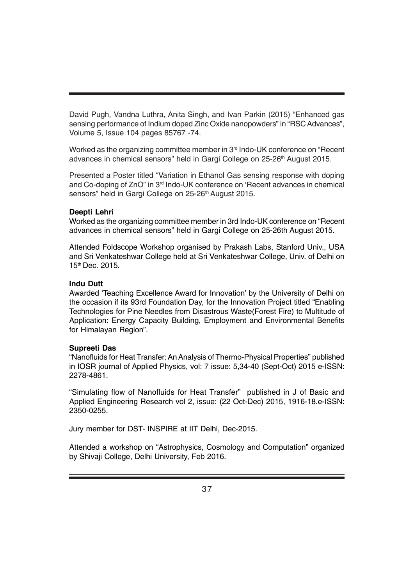David Pugh, Vandna Luthra, Anita Singh, and Ivan Parkin (2015) "Enhanced gas sensing performance of Indium doped Zinc Oxide nanopowders" in "RSC Advances", Volume 5, Issue 104 pages 85767 -74.

Worked as the organizing committee member in 3<sup>rd</sup> Indo-UK conference on "Recent" advances in chemical sensors" held in Gargi College on 25-26<sup>th</sup> August 2015.

Presented a Poster titled "Variation in Ethanol Gas sensing response with doping and Co-doping of ZnO" in 3rd Indo-UK conference on 'Recent advances in chemical sensors" held in Gargi College on 25-26<sup>th</sup> August 2015.

#### **Deepti Lehri**

Worked as the organizing committee member in 3rd Indo-UK conference on "Recent advances in chemical sensors" held in Gargi College on 25-26th August 2015.

Attended Foldscope Workshop organised by Prakash Labs, Stanford Univ., USA and Sri Venkateshwar College held at Sri Venkateshwar College, Univ. of Delhi on 15th Dec. 2015.

#### **Indu Dutt**

Awarded 'Teaching Excellence Award for Innovation' by the University of Delhi on the occasion if its 93rd Foundation Day, for the Innovation Project titled "Enabling Technologies for Pine Needles from Disastrous Waste(Forest Fire) to Multitude of Application: Energy Capacity Building, Employment and Environmental Benefits for Himalayan Region".

#### **Supreeti Das**

"Nanofluids for Heat Transfer: An Analysis of Thermo-Physical Properties" published in IOSR journal of Applied Physics, vol: 7 issue: 5,34-40 (Sept-Oct) 2015 e-ISSN: 2278-4861.

"Simulating flow of Nanofluids for Heat Transfer" published in J of Basic and Applied Engineering Research vol 2, issue: (22 Oct-Dec) 2015, 1916-18.e-ISSN: 2350-0255.

Jury member for DST- INSPIRE at IIT Delhi, Dec-2015.

Attended a workshop on "Astrophysics, Cosmology and Computation" organized by Shivaji College, Delhi University, Feb 2016.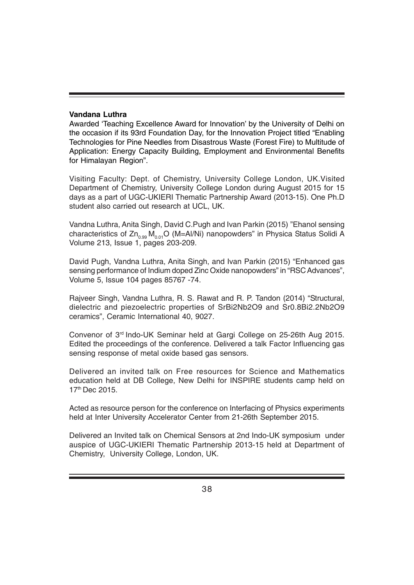#### **Vandana Luthra**

Awarded 'Teaching Excellence Award for Innovation' by the University of Delhi on the occasion if its 93rd Foundation Day, for the Innovation Project titled "Enabling Technologies for Pine Needles from Disastrous Waste (Forest Fire) to Multitude of Application: Energy Capacity Building, Employment and Environmental Benefits for Himalayan Region".

Visiting Faculty: Dept. of Chemistry, University College London, UK.Visited Department of Chemistry, University College London during August 2015 for 15 days as a part of UGC-UKIERI Thematic Partnership Award (2013-15). One Ph.D student also carried out research at UCL, UK.

Vandna Luthra, Anita Singh, David C.Pugh and Ivan Parkin (2015) "Ehanol sensing characteristics of  $Zn_{0.99} M_{0.01}$ O (M=Al/Ni) nanopowders" in Physica Status Solidi A Volume 213, Issue 1, pages 203-209.

David Pugh, Vandna Luthra, Anita Singh, and Ivan Parkin (2015) "Enhanced gas sensing performance of Indium doped Zinc Oxide nanopowders" in "RSC Advances", Volume 5, Issue 104 pages 85767 -74.

Rajveer Singh, Vandna Luthra, R. S. Rawat and R. P. Tandon (2014) "Structural, dielectric and piezoelectric properties of SrBi2Nb2O9 and Sr0.8Bi2.2Nb2O9 ceramics", Ceramic International 40, 9027.

Convenor of 3rd Indo-UK Seminar held at Gargi College on 25-26th Aug 2015. Edited the proceedings of the conference. Delivered a talk Factor Influencing gas sensing response of metal oxide based gas sensors.

Delivered an invited talk on Free resources for Science and Mathematics education held at DB College, New Delhi for INSPIRE students camp held on 17th Dec 2015.

Acted as resource person for the conference on Interfacing of Physics experiments held at Inter University Accelerator Center from 21-26th September 2015.

Delivered an Invited talk on Chemical Sensors at 2nd Indo-UK symposium under auspice of UGC-UKIERI Thematic Partnership 2013-15 held at Department of Chemistry, University College, London, UK.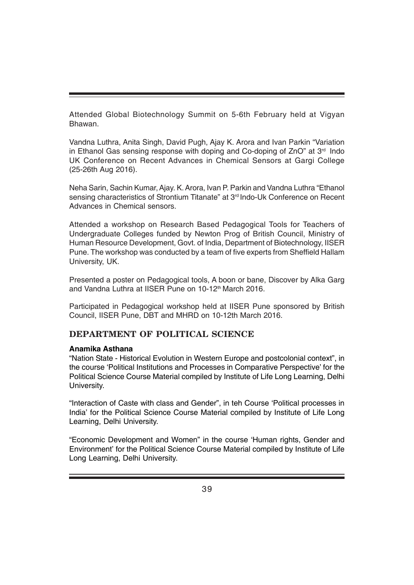Attended Global Biotechnology Summit on 5-6th February held at Vigyan Bhawan.

Vandna Luthra, Anita Singh, David Pugh, Ajay K. Arora and Ivan Parkin "Variation in Ethanol Gas sensing response with doping and Co-doping of ZnO" at 3rd Indo UK Conference on Recent Advances in Chemical Sensors at Gargi College (25-26th Aug 2016).

Neha Sarin, Sachin Kumar, Ajay. K. Arora, Ivan P. Parkin and Vandna Luthra "Ethanol sensing characteristics of Strontium Titanate" at 3rd Indo-Uk Conference on Recent Advances in Chemical sensors.

Attended a workshop on Research Based Pedagogical Tools for Teachers of Undergraduate Colleges funded by Newton Prog of British Council, Ministry of Human Resource Development, Govt. of India, Department of Biotechnology, IISER Pune. The workshop was conducted by a team of five experts from Sheffield Hallam University, UK.

Presented a poster on Pedagogical tools, A boon or bane, Discover by Alka Garg and Vandna Luthra at IISER Pune on 10-12th March 2016.

Participated in Pedagogical workshop held at IISER Pune sponsored by British Council, IISER Pune, DBT and MHRD on 10-12th March 2016.

# **DEPARTMENT OF POLITICAL SCIENCE**

#### **Anamika Asthana**

"Nation State - Historical Evolution in Western Europe and postcolonial context", in the course 'Political Institutions and Processes in Comparative Perspective' for the Political Science Course Material compiled by Institute of Life Long Learning, Delhi University.

"Interaction of Caste with class and Gender", in teh Course 'Political processes in India' for the Political Science Course Material compiled by Institute of Life Long Learning, Delhi University.

"Economic Development and Women" in the course 'Human rights, Gender and Environment' for the Political Science Course Material compiled by Institute of Life Long Learning, Delhi University.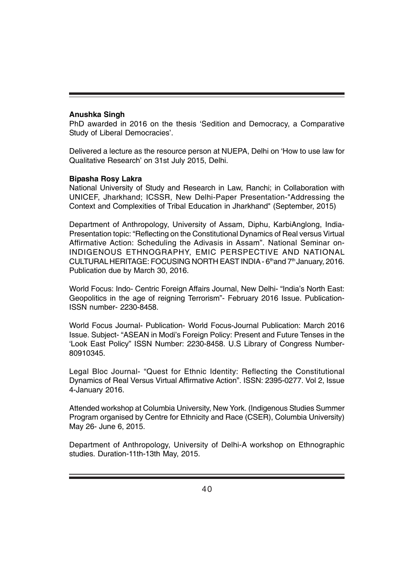#### **Anushka Singh**

PhD awarded in 2016 on the thesis 'Sedition and Democracy, a Comparative Study of Liberal Democracies'.

Delivered a lecture as the resource person at NUEPA, Delhi on 'How to use law for Qualitative Research' on 31st July 2015, Delhi.

#### **Bipasha Rosy Lakra**

National University of Study and Research in Law, Ranchi; in Collaboration with UNICEF, Jharkhand; ICSSR, New Delhi-Paper Presentation-"Addressing the Context and Complexities of Tribal Education in Jharkhand" (September, 2015)

Department of Anthropology, University of Assam, Diphu, KarbiAnglong, India-Presentation topic: "Reflecting on the Constitutional Dynamics of Real versus Virtual Affirmative Action: Scheduling the Adivasis in Assam". National Seminar on-INDIGENOUS ETHNOGRAPHY, EMIC PERSPECTIVE AND NATIONAL CULTURAL HERITAGE: FOCUSING NORTH EAST INDIA - 6th and 7th January, 2016. Publication due by March 30, 2016.

World Focus: Indo- Centric Foreign Affairs Journal, New Delhi- "India's North East: Geopolitics in the age of reigning Terrorism"- February 2016 Issue. Publication-ISSN number- 2230-8458.

World Focus Journal- Publication- World Focus-Journal Publication: March 2016 Issue. Subject- "ASEAN in Modi's Foreign Policy: Present and Future Tenses in the 'Look East Policy" ISSN Number: 2230-8458. U.S Library of Congress Number-80910345.

Legal Bloc Journal- "Quest for Ethnic Identity: Reflecting the Constitutional Dynamics of Real Versus Virtual Affirmative Action". ISSN: 2395-0277. Vol 2, Issue 4-January 2016.

Attended workshop at Columbia University, New York. (Indigenous Studies Summer Program organised by Centre for Ethnicity and Race (CSER), Columbia University) May 26- June 6, 2015.

Department of Anthropology, University of Delhi-A workshop on Ethnographic studies. Duration-11th-13th May, 2015.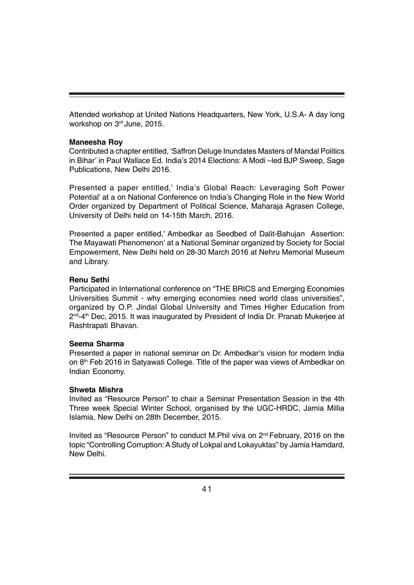Attended workshop at United Nations Headquarters, New York, U.S.A- A day long workshop on 3rd June, 2015.

#### **Maneesha Roy**

Contributed a chapter entitled, 'Saffron Deluge Inundates Masters of Mandal Politics in Bihar' in Paul Wallace Ed. India's 2014 Elections: A Modi –led BJP Sweep, Sage Publications, New Delhi 2016.

Presented a paper entitled,' India's Global Reach: Leveraging Soft Power Potential' at a on National Conference on India's Changing Role in the New World Order organized by Department of Political Science, Maharaja Agrasen College, University of Delhi held on 14-15th March, 2016.

Presented a paper entitled,' Ambedkar as Seedbed of Dalit-Bahujan Assertion: The Mayawati Phenomenon' at a National Seminar organized by Society for Social Empowerment, New Delhi held on 28-30 March 2016 at Nehru Memorial Museum and Library.

#### **Renu Sethi**

Participated in International conference on "THE BRICS and Emerging Economies Universities Summit - why emerging economies need world class universities", organized by O.P. Jindal Global University and Times Higher Education from  $2^{nd}$ -4<sup>th</sup> Dec, 2015. It was inaugurated by President of India Dr. Pranab Mukerjee at Rashtrapati Bhavan.

#### **Seema Sharma**

Presented a paper in national seminar on Dr. Ambedkar's vision for modern India on 8th Feb 2016 in Satyawati College. Title of the paper was views of Ambedkar on Indian Economy.

#### **Shweta Mishra**

Invited as "Resource Person" to chair a Seminar Presentation Session in the 4th Three week Special Winter School, organised by the UGC-HRDC, Jamia Millia Islamia, New Delhi on 28th December, 2015.

Invited as "Resource Person" to conduct M.Phil viva on 2nd February, 2016 on the topic "Controlling Corruption: A Study of Lokpal and Lokayuktas" by Jamia Hamdard, New Delhi.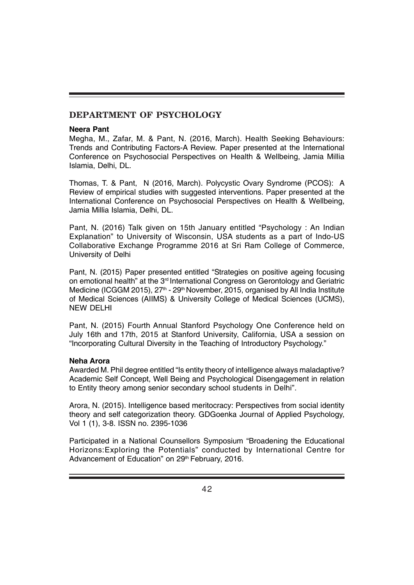# **DEPARTMENT OF PSYCHOLOGY**

#### **Neera Pant**

Megha, M., Zafar, M. & Pant, N. (2016, March). Health Seeking Behaviours: Trends and Contributing Factors-A Review. Paper presented at the International Conference on Psychosocial Perspectives on Health & Wellbeing, Jamia Millia Islamia, Delhi, DL.

Thomas, T. & Pant, N (2016, March). Polycystic Ovary Syndrome (PCOS): A Review of empirical studies with suggested interventions. Paper presented at the International Conference on Psychosocial Perspectives on Health & Wellbeing, Jamia Millia Islamia, Delhi, DL.

Pant, N. (2016) Talk given on 15th January entitled "Psychology : An Indian Explanation" to University of Wisconsin, USA students as a part of Indo-US Collaborative Exchange Programme 2016 at Sri Ram College of Commerce, University of Delhi

Pant, N. (2015) Paper presented entitled "Strategies on positive ageing focusing on emotional health" at the 3<sup>rd</sup> International Congress on Gerontology and Geriatric Medicine (ICGGM 2015), 27<sup>th</sup> - 29<sup>th</sup> November, 2015, organised by All India Institute of Medical Sciences (AIIMS) & University College of Medical Sciences (UCMS), NEW DELHI

Pant, N. (2015) Fourth Annual Stanford Psychology One Conference held on July 16th and 17th, 2015 at Stanford University, California, USA a session on "Incorporating Cultural Diversity in the Teaching of Introductory Psychology."

#### **Neha Arora**

Awarded M. Phil degree entitled "Is entity theory of intelligence always maladaptive? Academic Self Concept, Well Being and Psychological Disengagement in relation to Entity theory among senior secondary school students in Delhi".

Arora, N. (2015). Intelligence based meritocracy: Perspectives from social identity theory and self categorization theory. GDGoenka Journal of Applied Psychology, Vol 1 (1), 3-8. ISSN no. 2395-1036

Participated in a National Counsellors Symposium "Broadening the Educational Horizons:Exploring the Potentials" conducted by International Centre for Advancement of Education" on 29<sup>th</sup> February, 2016.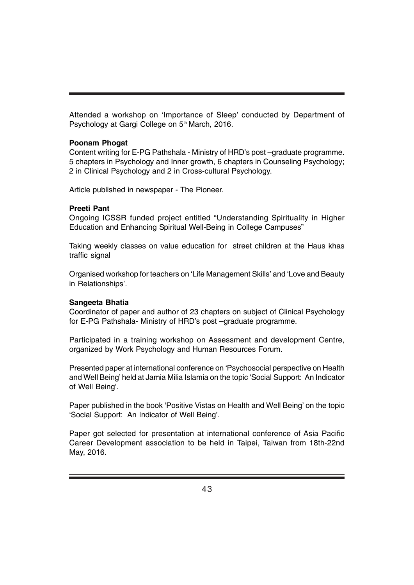Attended a workshop on 'Importance of Sleep' conducted by Department of Psychology at Gargi College on 5<sup>th</sup> March, 2016.

#### **Poonam Phogat**

Content writing for E-PG Pathshala - Ministry of HRD's post –graduate programme. 5 chapters in Psychology and Inner growth, 6 chapters in Counseling Psychology; 2 in Clinical Psychology and 2 in Cross-cultural Psychology.

Article published in newspaper - The Pioneer.

#### **Preeti Pant**

Ongoing ICSSR funded project entitled "Understanding Spirituality in Higher Education and Enhancing Spiritual Well-Being in College Campuses"

Taking weekly classes on value education for street children at the Haus khas traffic signal

Organised workshop for teachers on 'Life Management Skills' and 'Love and Beauty in Relationships'.

#### **Sangeeta Bhatia**

Coordinator of paper and author of 23 chapters on subject of Clinical Psychology for E-PG Pathshala- Ministry of HRD's post –graduate programme.

Participated in a training workshop on Assessment and development Centre, organized by Work Psychology and Human Resources Forum.

Presented paper at international conference on 'Psychosocial perspective on Health and Well Being' held at Jamia Milia Islamia on the topic 'Social Support: An Indicator of Well Being'.

Paper published in the book 'Positive Vistas on Health and Well Being' on the topic 'Social Support: An Indicator of Well Being'.

Paper got selected for presentation at international conference of Asia Pacific Career Development association to be held in Taipei, Taiwan from 18th-22nd May, 2016.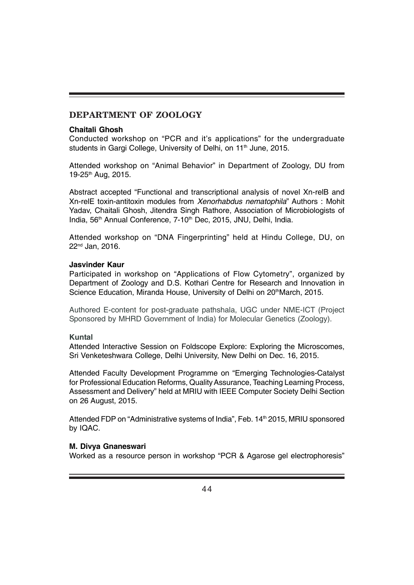### **DEPARTMENT OF ZOOLOGY**

#### **Chaitali Ghosh**

Conducted workshop on "PCR and it's applications" for the undergraduate students in Gargi College, University of Delhi, on 11<sup>th</sup> June, 2015.

Attended workshop on "Animal Behavior" in Department of Zoology, DU from 19-25<sup>th</sup> Aug, 2015.

Abstract accepted "Functional and transcriptional analysis of novel Xn-relB and Xn-relE toxin-antitoxin modules from *Xenorhabdus nematophila*" Authors : Mohit Yadav, Chaitali Ghosh, Jitendra Singh Rathore, Association of Microbiologists of India, 56<sup>th</sup> Annual Conference, 7-10<sup>th</sup> Dec, 2015, JNU, Delhi, India.

Attended workshop on "DNA Fingerprinting" held at Hindu College, DU, on 22nd Jan, 2016.

#### **Jasvinder Kaur**

Participated in workshop on "Applications of Flow Cytometry", organized by Department of Zoology and D.S. Kothari Centre for Research and Innovation in Science Education, Miranda House, University of Delhi on 20<sup>th</sup>March, 2015.

Authored E-content for post-graduate pathshala, UGC under NME-ICT (Project Sponsored by MHRD Government of India) for Molecular Genetics (Zoology).

#### **Kuntal**

Attended Interactive Session on Foldscope Explore: Exploring the Microscomes, Sri Venketeshwara College, Delhi University, New Delhi on Dec. 16, 2015.

Attended Faculty Development Programme on "Emerging Technologies-Catalyst for Professional Education Reforms, Quality Assurance, Teaching Learning Process, Assessment and Delivery" held at MRIU with IEEE Computer Society Delhi Section on 26 August, 2015.

Attended FDP on "Administrative systems of India", Feb. 14<sup>th</sup> 2015, MRIU sponsored by IQAC.

#### **M. Divya Gnaneswari**

Worked as a resource person in workshop "PCR & Agarose gel electrophoresis"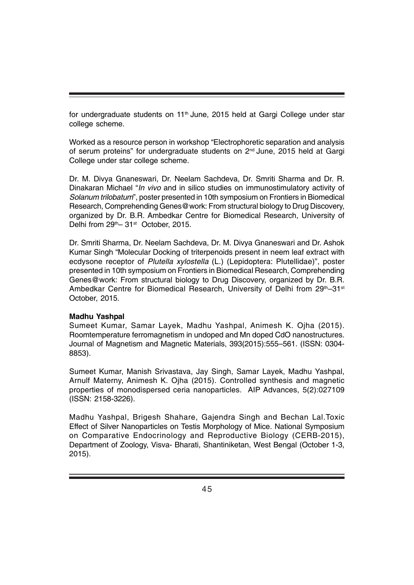for undergraduate students on 11<sup>th</sup> June, 2015 held at Gargi College under star college scheme.

Worked as a resource person in workshop "Electrophoretic separation and analysis of serum proteins" for undergraduate students on 2<sup>nd</sup> June, 2015 held at Gargi College under star college scheme.

Dr. M. Divya Gnaneswari, Dr. Neelam Sachdeva, Dr. Smriti Sharma and Dr. R. Dinakaran Michael "*In vivo* and in silico studies on immunostimulatory activity of *Solanum trilobatum*", poster presented in 10th symposium on Frontiers in Biomedical Research, Comprehending Genes@work: From structural biology to Drug Discovery, organized by Dr. B.R. Ambedkar Centre for Biomedical Research, University of Delhi from 29<sup>th</sup>– 31<sup>st</sup> October, 2015.

Dr. Smriti Sharma, Dr. Neelam Sachdeva, Dr. M. Divya Gnaneswari and Dr. Ashok Kumar Singh "Molecular Docking of triterpenoids present in neem leaf extract with ecdysone receptor of *Plutella xylostella* (L.) (Lepidoptera: Plutellidae)", poster presented in 10th symposium on Frontiers in Biomedical Research, Comprehending Genes@work: From structural biology to Drug Discovery, organized by Dr. B.R. Ambedkar Centre for Biomedical Research, University of Delhi from 29th–31st October, 2015.

#### **Madhu Yashpal**

Sumeet Kumar, Samar Layek, Madhu Yashpal, Animesh K. Ojha (2015). Roomtemperature ferromagnetism in undoped and Mn doped CdO nanostructures. Journal of Magnetism and Magnetic Materials, 393(2015):555–561. (ISSN: 0304- 8853).

Sumeet Kumar, Manish Srivastava, Jay Singh, Samar Layek, Madhu Yashpal, Arnulf Materny, Animesh K. Ojha (2015). Controlled synthesis and magnetic properties of monodispersed ceria nanoparticles. AIP Advances, 5(2):027109 (ISSN: 2158-3226).

Madhu Yashpal, Brigesh Shahare, Gajendra Singh and Bechan Lal.Toxic Effect of Silver Nanoparticles on Testis Morphology of Mice. National Symposium on Comparative Endocrinology and Reproductive Biology (CERB-2015), Department of Zoology, Visva- Bharati, Shantiniketan, West Bengal (October 1-3, 2015).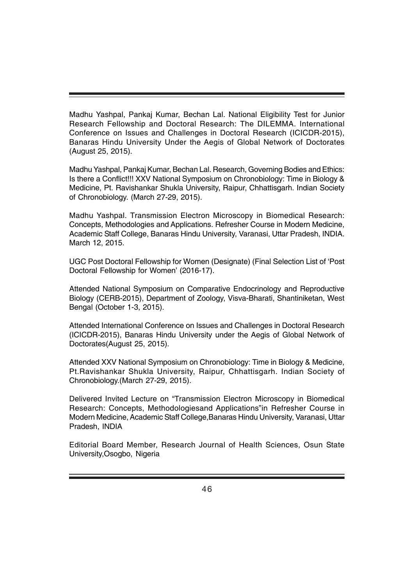Madhu Yashpal, Pankaj Kumar, Bechan Lal. National Eligibility Test for Junior Research Fellowship and Doctoral Research: The DILEMMA. International Conference on Issues and Challenges in Doctoral Research (ICICDR-2015), Banaras Hindu University Under the Aegis of Global Network of Doctorates (August 25, 2015).

Madhu Yashpal, Pankaj Kumar, Bechan Lal. Research, Governing Bodies and Ethics: Is there a Conflict!!! XXV National Symposium on Chronobiology: Time in Biology & Medicine, Pt. Ravishankar Shukla University, Raipur, Chhattisgarh. Indian Society of Chronobiology. (March 27-29, 2015).

Madhu Yashpal. Transmission Electron Microscopy in Biomedical Research: Concepts, Methodologies and Applications. Refresher Course in Modern Medicine, Academic Staff College, Banaras Hindu University, Varanasi, Uttar Pradesh, INDIA. March 12, 2015.

UGC Post Doctoral Fellowship for Women (Designate) (Final Selection List of 'Post Doctoral Fellowship for Women' (2016-17).

Attended National Symposium on Comparative Endocrinology and Reproductive Biology (CERB-2015), Department of Zoology, Visva-Bharati, Shantiniketan, West Bengal (October 1-3, 2015).

Attended International Conference on Issues and Challenges in Doctoral Research (ICICDR-2015), Banaras Hindu University under the Aegis of Global Network of Doctorates(August 25, 2015).

Attended XXV National Symposium on Chronobiology: Time in Biology & Medicine, Pt.Ravishankar Shukla University, Raipur, Chhattisgarh. Indian Society of Chronobiology.(March 27-29, 2015).

Delivered Invited Lecture on "Transmission Electron Microscopy in Biomedical Research: Concepts, Methodologiesand Applications"in Refresher Course in Modern Medicine, Academic Staff College,Banaras Hindu University, Varanasi, Uttar Pradesh, INDIA

Editorial Board Member, Research Journal of Health Sciences, Osun State University,Osogbo, Nigeria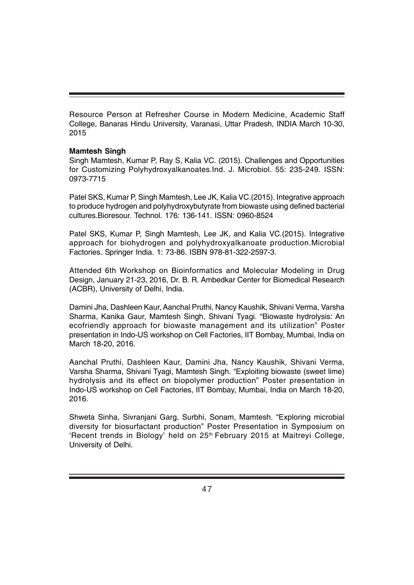Resource Person at Refresher Course in Modern Medicine, Academic Staff College, Banaras Hindu University, Varanasi, Uttar Pradesh, INDIA March 10-30, 2015

#### **Mamtesh Singh**

Singh Mamtesh, Kumar P, Ray S, Kalia VC. (2015). Challenges and Opportunities for Customizing Polyhydroxyalkanoates.Ind. J. Microbiol. 55: 235-249. ISSN: 0973-7715

Patel SKS, Kumar P, Singh Mamtesh, Lee JK, Kalia VC.(2015). Integrative approach to produce hydrogen and polyhydroxybutyrate from biowaste using defined bacterial cultures.Bioresour. Technol. 176: 136-141. ISSN: 0960-8524

Patel SKS, Kumar P, Singh Mamtesh, Lee JK, and Kalia VC.(2015). Integrative approach for biohydrogen and polyhydroxyalkanoate production.Microbial Factories. Springer India. 1: 73-86. ISBN 978-81-322-2597-3.

Attended 6th Workshop on Bioinformatics and Molecular Modeling in Drug Design, January 21-23, 2016, Dr. B. R. Ambedkar Center for Biomedical Research (ACBR), University of Delhi, India.

Damini Jha, Dashleen Kaur, Aanchal Pruthi, Nancy Kaushik, Shivani Verma, Varsha Sharma, Kanika Gaur, Mamtesh Singh, Shivani Tyagi. "Biowaste hydrolysis: An ecofriendly approach for biowaste management and its utilization" Poster presentation in Indo-US workshop on Cell Factories, IIT Bombay, Mumbai, India on March 18-20, 2016.

Aanchal Pruthi, Dashleen Kaur, Damini Jha, Nancy Kaushik, Shivani Verma, Varsha Sharma, Shivani Tyagi, Mamtesh Singh. "Exploiting biowaste (sweet lime) hydrolysis and its effect on biopolymer production" Poster presentation in Indo-US workshop on Cell Factories, IIT Bombay, Mumbai, India on March 18-20, 2016.

Shweta Sinha, Sivranjani Garg, Surbhi, Sonam, Mamtesh. "Exploring microbial diversity for biosurfactant production" Poster Presentation in Symposium on 'Recent trends in Biology' held on 25<sup>th</sup> February 2015 at Maitreyi College, University of Delhi.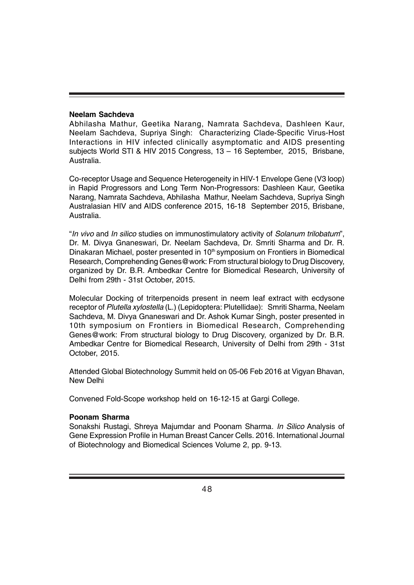#### **Neelam Sachdeva**

Abhilasha Mathur, Geetika Narang, Namrata Sachdeva, Dashleen Kaur, Neelam Sachdeva, Supriya Singh: Characterizing Clade-Specific Virus-Host Interactions in HIV infected clinically asymptomatic and AIDS presenting subjects World STI & HIV 2015 Congress, 13 – 16 September, 2015, Brisbane, Australia.

Co-receptor Usage and Sequence Heterogeneity in HIV-1 Envelope Gene (V3 loop) in Rapid Progressors and Long Term Non-Progressors: Dashleen Kaur, Geetika Narang, Namrata Sachdeva, Abhilasha Mathur, Neelam Sachdeva, Supriya Singh Australasian HIV and AIDS conference 2015, 16-18 September 2015, Brisbane, Australia.

"*In vivo* and *In silico* studies on immunostimulatory activity of *Solanum trilobatum*", Dr. M. Divya Gnaneswari, Dr. Neelam Sachdeva, Dr. Smriti Sharma and Dr. R. Dinakaran Michael, poster presented in 10<sup>th</sup> symposium on Frontiers in Biomedical Research, Comprehending Genes@work: From structural biology to Drug Discovery, organized by Dr. B.R. Ambedkar Centre for Biomedical Research, University of Delhi from 29th - 31st October, 2015.

Molecular Docking of triterpenoids present in neem leaf extract with ecdysone receptor of *Plutella xylostella* (L.) (Lepidoptera: Plutellidae): Smriti Sharma, Neelam Sachdeva, M. Divya Gnaneswari and Dr. Ashok Kumar Singh, poster presented in 10th symposium on Frontiers in Biomedical Research, Comprehending Genes@work: From structural biology to Drug Discovery, organized by Dr. B.R. Ambedkar Centre for Biomedical Research, University of Delhi from 29th - 31st October, 2015.

Attended Global Biotechnology Summit held on 05-06 Feb 2016 at Vigyan Bhavan, New Delhi

Convened Fold-Scope workshop held on 16-12-15 at Gargi College.

#### **Poonam Sharma**

Sonakshi Rustagi, Shreya Majumdar and Poonam Sharma. *In Silico* Analysis of Gene Expression Profile in Human Breast Cancer Cells. 2016. International Journal of Biotechnology and Biomedical Sciences Volume 2, pp. 9-13.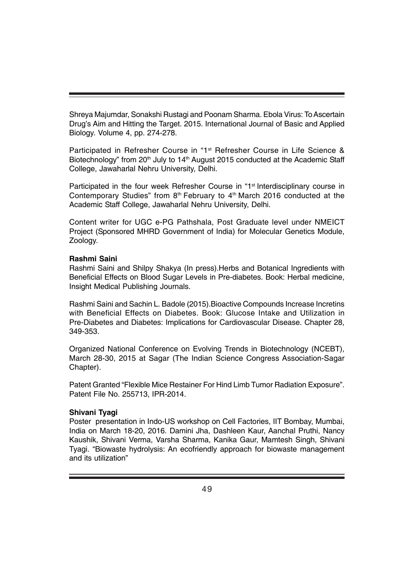Shreya Majumdar, Sonakshi Rustagi and Poonam Sharma. Ebola Virus: To Ascertain Drug's Aim and Hitting the Target. 2015. International Journal of Basic and Applied Biology. Volume 4, pp. 274-278.

Participated in Refresher Course in "1st Refresher Course in Life Science & Biotechnology" from 20<sup>th</sup> July to 14<sup>th</sup> August 2015 conducted at the Academic Staff College, Jawaharlal Nehru University, Delhi.

Participated in the four week Refresher Course in "1<sup>st</sup> Interdisciplinary course in Contemporary Studies" from  $8<sup>th</sup>$  February to  $4<sup>th</sup>$  March 2016 conducted at the Academic Staff College, Jawaharlal Nehru University, Delhi.

Content writer for UGC e-PG Pathshala, Post Graduate level under NMEICT Project (Sponsored MHRD Government of India) for Molecular Genetics Module, Zoology.

#### **Rashmi Saini**

Rashmi Saini and Shilpy Shakya (In press).Herbs and Botanical Ingredients with Beneficial Effects on Blood Sugar Levels in Pre-diabetes. Book: Herbal medicine, Insight Medical Publishing Journals.

Rashmi Saini and Sachin L. Badole (2015).Bioactive Compounds Increase Incretins with Beneficial Effects on Diabetes. Book: Glucose Intake and Utilization in Pre-Diabetes and Diabetes: Implications for Cardiovascular Disease. Chapter 28, 349-353.

Organized National Conference on Evolving Trends in Biotechnology (NCEBT), March 28-30, 2015 at Sagar (The Indian Science Congress Association-Sagar Chapter).

Patent Granted "Flexible Mice Restainer For Hind Limb Tumor Radiation Exposure". Patent File No. 255713, IPR-2014.

#### **Shivani Tyagi**

Poster presentation in Indo-US workshop on Cell Factories, IIT Bombay, Mumbai, India on March 18-20, 2016. Damini Jha, Dashleen Kaur, Aanchal Pruthi, Nancy Kaushik, Shivani Verma, Varsha Sharma, Kanika Gaur, Mamtesh Singh, Shivani Tyagi. "Biowaste hydrolysis: An ecofriendly approach for biowaste management and its utilization"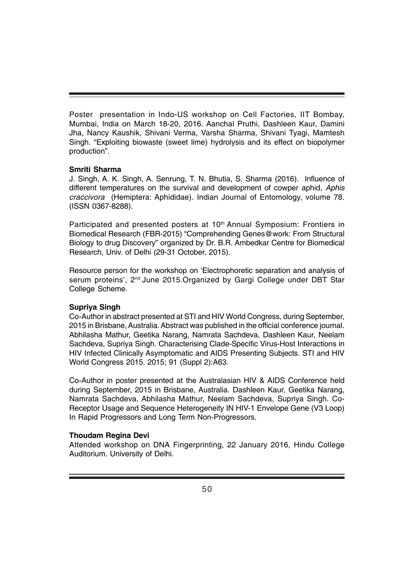Poster presentation in Indo-US workshop on Cell Factories, IIT Bombay, Mumbai, India on March 18-20, 2016. Aanchal Pruthi, Dashleen Kaur, Damini Jha, Nancy Kaushik, Shivani Verma, Varsha Sharma, Shivani Tyagi, Mamtesh Singh. "Exploiting biowaste (sweet lime) hydrolysis and its effect on biopolymer production".

#### **Smriti Sharma**

J. Singh, A. K. Singh, A. Senrung, T. N. Bhutia, S. Sharma (2016). Influence of different temperatures on the survival and development of cowper aphid, *Aphis craccivora* (Hemiptera: Aphididae). Indian Journal of Entomology, volume 78. (ISSN 0367-8288).

Participated and presented posters at 10<sup>th</sup> Annual Symposium: Frontiers in Biomedical Research (FBR-2015) "Comprehending Genes@work: From Structural Biology to drug Discovery" organized by Dr. B.R. Ambedkar Centre for Biomedical Research, Univ. of Delhi (29-31 October, 2015).

Resource person for the workshop on 'Electrophoretic separation and analysis of serum proteins', 2<sup>nd</sup> June 2015. Organized by Gargi College under DBT Star College Scheme.

#### **Supriya Singh**

Co-Author in abstract presented at STI and HIV World Congress, during September, 2015 in Brisbane, Australia. Abstract was published in the official conference journal. Abhilasha Mathur, Geetika Narang, Namrata Sachdeva, Dashleen Kaur, Neelam Sachdeva, Supriya Singh. Characterising Clade-Specific Virus-Host Interactions in HIV Infected Clinically Asymptomatic and AIDS Presenting Subjects. STI and HIV World Congress 2015. 2015; 91 (Suppl 2):A63.

Co-Author in poster presented at the Australasian HIV & AIDS Conference held during September, 2015 in Brisbane, Australia. Dashleen Kaur, Geetika Narang, Namrata Sachdeva, Abhilasha Mathur, Neelam Sachdeva, Supriya Singh. Co-Receptor Usage and Sequence Heterogeneity IN HIV-1 Envelope Gene (V3 Loop) In Rapid Progressors and Long Term Non-Progressors.

#### **Thoudam Regina Devi**

Attended workshop on DNA Fingerprinting, 22 January 2016, Hindu College Auditorium. University of Delhi.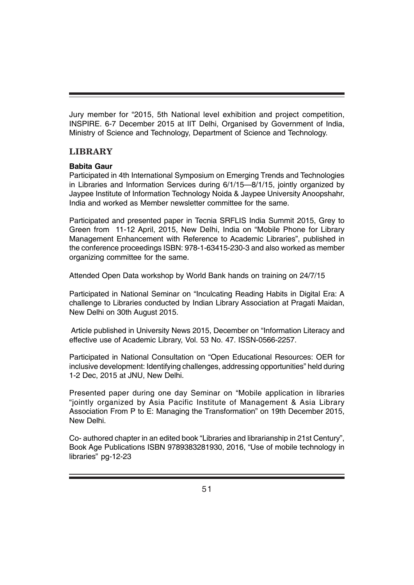Jury member for "2015, 5th National level exhibition and project competition, INSPIRE. 6-7 December 2015 at IIT Delhi, Organised by Government of India, Ministry of Science and Technology, Department of Science and Technology.

# **LIBRARY**

# **Babita Gaur**

Participated in 4th International Symposium on Emerging Trends and Technologies in Libraries and Information Services during 6/1/15—8/1/15, jointly organized by Jaypee Institute of Information Technology Noida & Jaypee University Anoopshahr, India and worked as Member newsletter committee for the same.

Participated and presented paper in Tecnia SRFLIS India Summit 2015, Grey to Green from 11-12 April, 2015, New Delhi, India on "Mobile Phone for Library Management Enhancement with Reference to Academic Libraries", published in the conference proceedings ISBN: 978-1-63415-230-3 and also worked as member organizing committee for the same.

Attended Open Data workshop by World Bank hands on training on 24/7/15

Participated in National Seminar on "Inculcating Reading Habits in Digital Era: A challenge to Libraries conducted by Indian Library Association at Pragati Maidan, New Delhi on 30th August 2015.

 Article published in University News 2015, December on "Information Literacy and effective use of Academic Library, Vol. 53 No. 47. ISSN-0566-2257.

Participated in National Consultation on "Open Educational Resources: OER for inclusive development: Identifying challenges, addressing opportunities" held during 1-2 Dec, 2015 at JNU, New Delhi.

Presented paper during one day Seminar on "Mobile application in libraries "jointly organized by Asia Pacific Institute of Management & Asia Library Association From P to E: Managing the Transformation" on 19th December 2015, New Delhi.

Co- authored chapter in an edited book "Libraries and librarianship in 21st Century", Book Age Publications ISBN 9789383281930, 2016, "Use of mobile technology in libraries" pg-12-23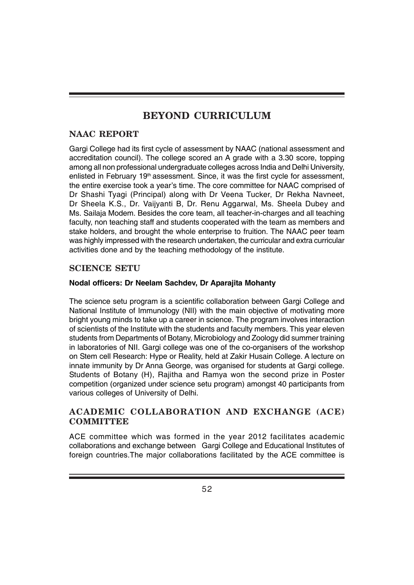# **BEYOND CURRICULUM**

# **NAAC REPORT**

Gargi College had its first cycle of assessment by NAAC (national assessment and accreditation council). The college scored an A grade with a 3.30 score, topping among all non professional undergraduate colleges across India and Delhi University, enlisted in February 19<sup>th</sup> assessment. Since, it was the first cycle for assessment, the entire exercise took a year's time. The core committee for NAAC comprised of Dr Shashi Tyagi (Principal) along with Dr Veena Tucker, Dr Rekha Navneet, Dr Sheela K.S., Dr. Vaijyanti B, Dr. Renu Aggarwal, Ms. Sheela Dubey and Ms. Sailaja Modem. Besides the core team, all teacher-in-charges and all teaching faculty, non teaching staff and students cooperated with the team as members and stake holders, and brought the whole enterprise to fruition. The NAAC peer team was highly impressed with the research undertaken, the curricular and extra curricular activities done and by the teaching methodology of the institute.

# **SCIENCE SETU**

# **Nodal officers: Dr Neelam Sachdev, Dr Aparajita Mohanty**

The science setu program is a scientific collaboration between Gargi College and National Institute of Immunology (NII) with the main objective of motivating more bright young minds to take up a career in science. The program involves interaction of scientists of the Institute with the students and faculty members. This year eleven students from Departments of Botany, Microbiology and Zoology did summer training in laboratories of NII. Gargi college was one of the co-organisers of the workshop on Stem cell Research: Hype or Reality, held at Zakir Husain College. A lecture on innate immunity by Dr Anna George, was organised for students at Gargi college. Students of Botany (H), Rajitha and Ramya won the second prize in Poster competition (organized under science setu program) amongst 40 participants from various colleges of University of Delhi.

# **ACADEMIC COLLABORATION AND EXCHANGE (ACE) COMMITTEE**

ACE committee which was formed in the year 2012 facilitates academic collaborations and exchange between Gargi College and Educational Institutes of foreign countries.The major collaborations facilitated by the ACE committee is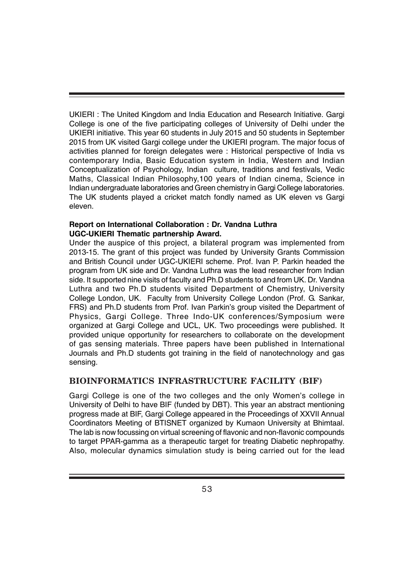UKIERI : The United Kingdom and India Education and Research Initiative. Gargi College is one of the five participating colleges of University of Delhi under the UKIERI initiative. This year 60 students in July 2015 and 50 students in September 2015 from UK visited Gargi college under the UKIERI program. The major focus of activities planned for foreign delegates were : Historical perspective of India vs contemporary India, Basic Education system in India, Western and Indian Conceptualization of Psychology, Indian culture, traditions and festivals, Vedic Maths, Classical Indian Philosophy,100 years of Indian cinema, Science in Indian undergraduate laboratories and Green chemistry in Gargi College laboratories. The UK students played a cricket match fondly named as UK eleven vs Gargi eleven.

#### **Report on International Collaboration : Dr. Vandna Luthra UGC-UKIERI Thematic partnership Award.**

Under the auspice of this project, a bilateral program was implemented from 2013-15. The grant of this project was funded by University Grants Commission and British Council under UGC-UKIERI scheme. Prof. Ivan P. Parkin headed the program from UK side and Dr. Vandna Luthra was the lead researcher from Indian side. It supported nine visits of faculty and Ph.D students to and from UK. Dr. Vandna Luthra and two Ph.D students visited Department of Chemistry, University College London, UK. Faculty from University College London (Prof. G. Sankar, FRS) and Ph.D students from Prof. Ivan Parkin's group visited the Department of Physics, Gargi College. Three Indo-UK conferences/Symposium were organized at Gargi College and UCL, UK. Two proceedings were published. It provided unique opportunity for researchers to collaborate on the development of gas sensing materials. Three papers have been published in International Journals and Ph.D students got training in the field of nanotechnology and gas sensing.

# **BIOINFORMATICS INFRASTRUCTURE FACILITY (BIF)**

Gargi College is one of the two colleges and the only Women's college in University of Delhi to have BIF (funded by DBT). This year an abstract mentioning progress made at BIF, Gargi College appeared in the Proceedings of XXVII Annual Coordinators Meeting of BTISNET organized by Kumaon University at Bhimtaal. The lab is now focussing on virtual screening of flavonic and non-flavonic compounds to target PPAR-gamma as a therapeutic target for treating Diabetic nephropathy. Also, molecular dynamics simulation study is being carried out for the lead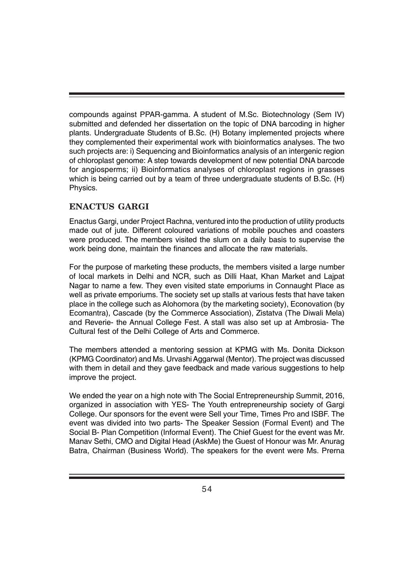compounds against PPAR-gamma. A student of M.Sc. Biotechnology (Sem IV) submitted and defended her dissertation on the topic of DNA barcoding in higher plants. Undergraduate Students of B.Sc. (H) Botany implemented projects where they complemented their experimental work with bioinformatics analyses. The two such projects are: i) Sequencing and Bioinformatics analysis of an intergenic region of chloroplast genome: A step towards development of new potential DNA barcode for angiosperms; ii) Bioinformatics analyses of chloroplast regions in grasses which is being carried out by a team of three undergraduate students of B.Sc. (H) Physics.

# **ENACTUS GARGI**

Enactus Gargi, under Project Rachna, ventured into the production of utility products made out of jute. Different coloured variations of mobile pouches and coasters were produced. The members visited the slum on a daily basis to supervise the work being done, maintain the finances and allocate the raw materials.

For the purpose of marketing these products, the members visited a large number of local markets in Delhi and NCR, such as Dilli Haat, Khan Market and Lajpat Nagar to name a few. They even visited state emporiums in Connaught Place as well as private emporiums. The society set up stalls at various fests that have taken place in the college such as Alohomora (by the marketing society), Econovation (by Ecomantra), Cascade (by the Commerce Association), Zistatva (The Diwali Mela) and Reverie- the Annual College Fest. A stall was also set up at Ambrosia- The Cultural fest of the Delhi College of Arts and Commerce.

The members attended a mentoring session at KPMG with Ms. Donita Dickson (KPMG Coordinator) and Ms. Urvashi Aggarwal (Mentor). The project was discussed with them in detail and they gave feedback and made various suggestions to help improve the project.

We ended the year on a high note with The Social Entrepreneurship Summit, 2016, organized in association with YES- The Youth entrepreneurship society of Gargi College. Our sponsors for the event were Sell your Time, Times Pro and ISBF. The event was divided into two parts- The Speaker Session (Formal Event) and The Social B- Plan Competition (Informal Event). The Chief Guest for the event was Mr. Manav Sethi, CMO and Digital Head (AskMe) the Guest of Honour was Mr. Anurag Batra, Chairman (Business World). The speakers for the event were Ms. Prerna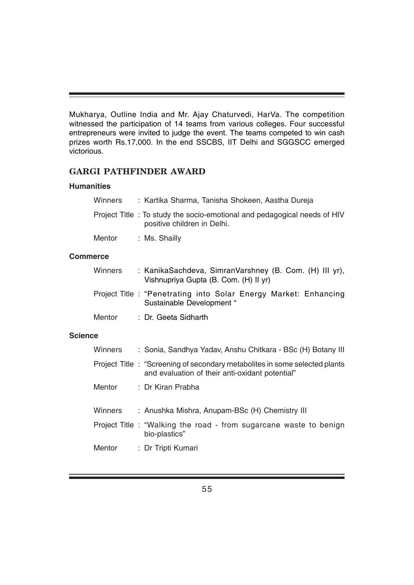Mukharya, Outline India and Mr. Ajay Chaturvedi, HarVa. The competition witnessed the participation of 14 teams from various colleges. Four successful entrepreneurs were invited to judge the event. The teams competed to win cash prizes worth Rs.17,000. In the end SSCBS, IIT Delhi and SGGSCC emerged victorious.

# **GARGI PATHFINDER AWARD**

#### **Humanities**

| Winners | : Kartika Sharma, Tanisha Shokeen, Aastha Dureja                                                        |
|---------|---------------------------------------------------------------------------------------------------------|
|         | Project Title: To study the socio-emotional and pedagogical needs of HIV<br>positive children in Delhi. |
| Mentor  | : Ms. Shailly                                                                                           |

### **Commerce**

| Winners | : KanikaSachdeva, SimranVarshney (B. Com. (H) III yr),<br>Vishnupriya Gupta (B. Com. (H) II yr) |
|---------|-------------------------------------------------------------------------------------------------|
|         | Project Title: "Penetrating into Solar Energy Market: Enhancing<br>Sustainable Development "    |
| Mentor  | : Dr. Geeta Sidharth                                                                            |

#### **Science**

| Winners | : Sonia, Sandhya Yadav, Anshu Chitkara - BSc (H) Botany III                                                                   |
|---------|-------------------------------------------------------------------------------------------------------------------------------|
|         | Project Title: "Screening of secondary metabolites in some selected plants<br>and evaluation of their anti-oxidant potential" |
| Mentor  | : Dr Kiran Prabha                                                                                                             |
| Winners | : Anushka Mishra, Anupam-BSc (H) Chemistry III                                                                                |
|         | Project Title : "Walking the road - from sugarcane waste to benign<br>bio-plastics"                                           |
|         | Mentor : Dr Tripti Kumari                                                                                                     |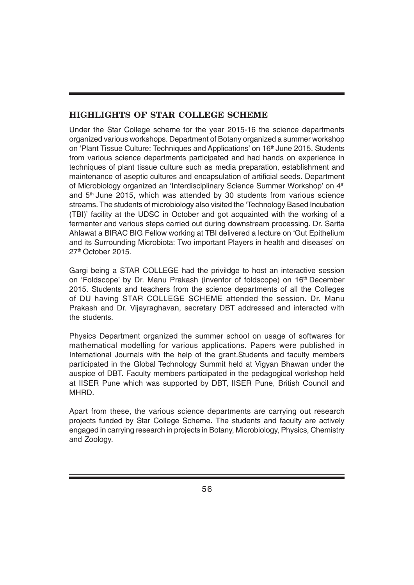# **HIGHLIGHTS OF STAR COLLEGE SCHEME**

Under the Star College scheme for the year 2015-16 the science departments organized various workshops. Department of Botany organized a summer workshop on 'Plant Tissue Culture: Techniques and Applications' on 16<sup>th</sup> June 2015. Students from various science departments participated and had hands on experience in techniques of plant tissue culture such as media preparation, establishment and maintenance of aseptic cultures and encapsulation of artificial seeds. Department of Microbiology organized an 'Interdisciplinary Science Summer Workshop' on 4<sup>th</sup> and  $5<sup>th</sup>$  June 2015, which was attended by 30 students from various science streams. The students of microbiology also visited the 'Technology Based Incubation (TBI)' facility at the UDSC in October and got acquainted with the working of a fermenter and various steps carried out during downstream processing. Dr. Sarita Ahlawat a BIRAC BIG Fellow working at TBI delivered a lecture on 'Gut Epithelium and its Surrounding Microbiota: Two important Players in health and diseases' on 27<sup>th</sup> October 2015.

Gargi being a STAR COLLEGE had the privildge to host an interactive session on 'Foldscope' by Dr. Manu Prakash (inventor of foldscope) on 16<sup>th</sup> December 2015. Students and teachers from the science departments of all the Colleges of DU having STAR COLLEGE SCHEME attended the session. Dr. Manu Prakash and Dr. Vijayraghavan, secretary DBT addressed and interacted with the students.

Physics Department organized the summer school on usage of softwares for mathematical modelling for various applications. Papers were published in International Journals with the help of the grant.Students and faculty members participated in the Global Technology Summit held at Vigyan Bhawan under the auspice of DBT. Faculty members participated in the pedagogical workshop held at IISER Pune which was supported by DBT, IISER Pune, British Council and MHRD.

Apart from these, the various science departments are carrying out research projects funded by Star College Scheme. The students and faculty are actively engaged in carrying research in projects in Botany, Microbiology, Physics, Chemistry and Zoology.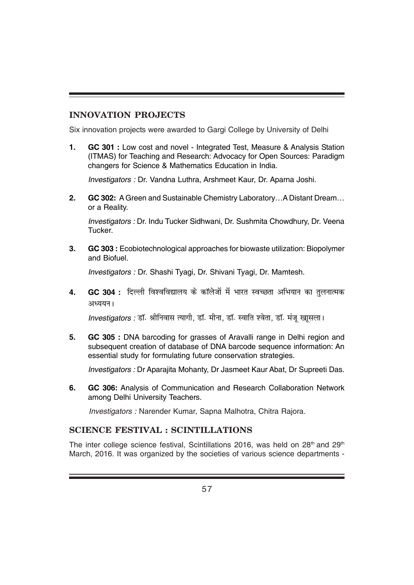# **INNOVATION PROJECTS**

Six innovation projects were awarded to Gargi College by University of Delhi

**1. GC 301 :** Low cost and novel - Integrated Test, Measure & Analysis Station (ITMAS) for Teaching and Research: Advocacy for Open Sources: Paradigm changers for Science & Mathematics Education in India.

*Investigators :* Dr. Vandna Luthra, Arshmeet Kaur, Dr. Aparna Joshi.

**2. GC 302:** A Green and Sustainable Chemistry Laboratory…A Distant Dream… or a Reality.

*Investigators :* Dr. Indu Tucker Sidhwani, Dr. Sushmita Chowdhury, Dr. Veena Tucker.

**3. GC 303 :** Ecobiotechnological approaches for biowaste utilization: Biopolymer and Biofuel.

*Investigators :* Dr. Shashi Tyagi, Dr. Shivani Tyagi, Dr. Mamtesh.

4. **GC 304 :** दिल्ली विश्वविद्यालय के कॉलेजों में भारत स्वच्छता अभियान का तुलनात्मक अध्ययन।

*Investigators :* डॉ. श्रीनिवास त्यागी, डॉ. मीना, डॉ. स्वाति श्वेता, डॉ. मंज खासला।

**5. GC 305 :** DNA barcoding for grasses of Aravalli range in Delhi region and subsequent creation of database of DNA barcode sequence information: An essential study for formulating future conservation strategies.

*Investigators :* Dr Aparajita Mohanty, Dr Jasmeet Kaur Abat, Dr Supreeti Das.

**6. GC 306:** Analysis of Communication and Research Collaboration Network among Delhi University Teachers.

*Investigators :* Narender Kumar, Sapna Malhotra, Chitra Rajora.

# **SCIENCE FESTIVAL : SCINTILLATIONS**

The inter college science festival, Scintillations 2016, was held on  $28<sup>th</sup>$  and  $29<sup>th</sup>$ March, 2016. It was organized by the societies of various science departments -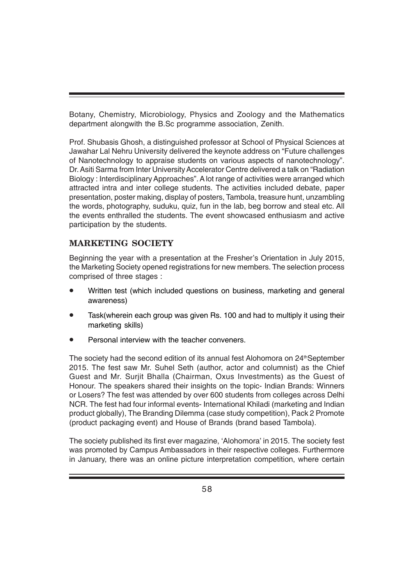Botany, Chemistry, Microbiology, Physics and Zoology and the Mathematics department alongwith the B.Sc programme association, Zenith.

Prof. Shubasis Ghosh, a distinguished professor at School of Physical Sciences at Jawahar Lal Nehru University delivered the keynote address on "Future challenges of Nanotechnology to appraise students on various aspects of nanotechnology". Dr. Asiti Sarma from Inter University Accelerator Centre delivered a talk on "Radiation Biology : Interdisciplinary Approaches". A lot range of activities were arranged which attracted intra and inter college students. The activities included debate, paper presentation, poster making, display of posters, Tambola, treasure hunt, unzambling the words, photography, suduku, quiz, fun in the lab, beg borrow and steal etc. All the events enthralled the students. The event showcased enthusiasm and active participation by the students.

# **MARKETING SOCIETY**

Beginning the year with a presentation at the Fresher's Orientation in July 2015, the Marketing Society opened registrations for new members. The selection process comprised of three stages :

- Written test (which included questions on business, marketing and general awareness)
- Task(wherein each group was given Rs. 100 and had to multiply it using their marketing skills)
- Personal interview with the teacher conveners.

The society had the second edition of its annual fest Alohomora on 24<sup>th</sup>September 2015. The fest saw Mr. Suhel Seth (author, actor and columnist) as the Chief Guest and Mr. Surjit Bhalla (Chairman, Oxus Investments) as the Guest of Honour. The speakers shared their insights on the topic- Indian Brands: Winners or Losers? The fest was attended by over 600 students from colleges across Delhi NCR. The fest had four informal events- International Khiladi (marketing and Indian product globally), The Branding Dilemma (case study competition), Pack 2 Promote (product packaging event) and House of Brands (brand based Tambola).

The society published its first ever magazine, 'Alohomora' in 2015. The society fest was promoted by Campus Ambassadors in their respective colleges. Furthermore in January, there was an online picture interpretation competition, where certain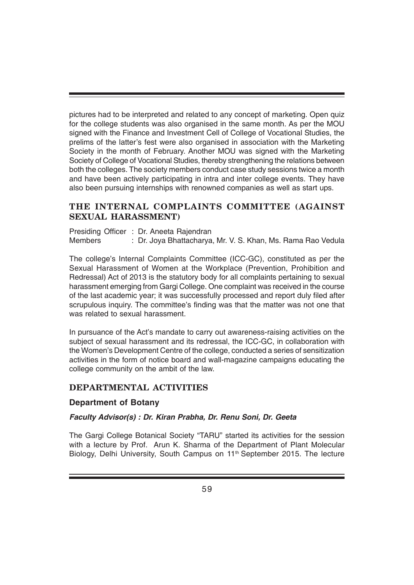pictures had to be interpreted and related to any concept of marketing. Open quiz for the college students was also organised in the same month. As per the MOU signed with the Finance and Investment Cell of College of Vocational Studies, the prelims of the latter's fest were also organised in association with the Marketing Society in the month of February. Another MOU was signed with the Marketing Society of College of Vocational Studies, thereby strengthening the relations between both the colleges. The society members conduct case study sessions twice a month and have been actively participating in intra and inter college events. They have also been pursuing internships with renowned companies as well as start ups.

# **THE INTERNAL COMPLAINTS COMMITTEE (AGAINST SEXUAL HARASSMENT)**

Presiding Officer : Dr. Aneeta Rajendran Members : Dr. Joya Bhattacharya, Mr. V. S. Khan, Ms. Rama Rao Vedula

The college's Internal Complaints Committee (ICC-GC), constituted as per the Sexual Harassment of Women at the Workplace (Prevention, Prohibition and Redressal) Act of 2013 is the statutory body for all complaints pertaining to sexual harassment emerging from Gargi College. One complaint was received in the course of the last academic year; it was successfully processed and report duly filed after scrupulous inquiry. The committee's finding was that the matter was not one that was related to sexual harassment.

In pursuance of the Act's mandate to carry out awareness-raising activities on the subject of sexual harassment and its redressal, the ICC-GC, in collaboration with the Women's Development Centre of the college, conducted a series of sensitization activities in the form of notice board and wall-magazine campaigns educating the college community on the ambit of the law.

# **DEPARTMENTAL ACTIVITIES**

# **Department of Botany**

# *Faculty Advisor(s) : Dr. Kiran Prabha, Dr. Renu Soni, Dr. Geeta*

The Gargi College Botanical Society "TARU" started its activities for the session with a lecture by Prof. Arun K. Sharma of the Department of Plant Molecular Biology, Delhi University, South Campus on 11<sup>th</sup> September 2015. The lecture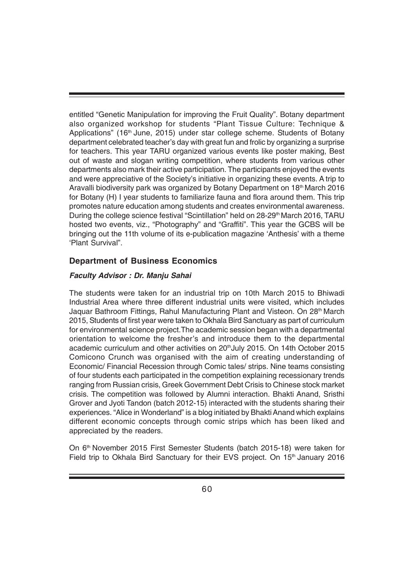entitled "Genetic Manipulation for improving the Fruit Quality". Botany department also organized workshop for students "Plant Tissue Culture: Technique & Applications" (16<sup>th</sup> June, 2015) under star college scheme. Students of Botany department celebrated teacher's day with great fun and frolic by organizing a surprise for teachers. This year TARU organized various events like poster making, Best out of waste and slogan writing competition, where students from various other departments also mark their active participation. The participants enjoyed the events and were appreciative of the Society's initiative in organizing these events. A trip to Aravalli biodiversity park was organized by Botany Department on 18<sup>th</sup> March 2016 for Botany (H) I year students to familiarize fauna and flora around them. This trip promotes nature education among students and creates environmental awareness. During the college science festival "Scintillation" held on 28-29<sup>th</sup> March 2016, TARU hosted two events, viz., "Photography" and "Graffiti". This year the GCBS will be bringing out the 11th volume of its e-publication magazine 'Anthesis' with a theme 'Plant Survival".

# **Department of Business Economics**

### *Faculty Advisor : Dr. Manju Sahai*

The students were taken for an industrial trip on 10th March 2015 to Bhiwadi Industrial Area where three different industrial units were visited, which includes Jaquar Bathroom Fittings, Rahul Manufacturing Plant and Visteon. On 28th March 2015, Students of first year were taken to Okhala Bird Sanctuary as part of curriculum for environmental science project.The academic session began with a departmental orientation to welcome the fresher's and introduce them to the departmental academic curriculum and other activities on 20<sup>th</sup>July 2015. On 14th October 2015 Comicono Crunch was organised with the aim of creating understanding of Economic/ Financial Recession through Comic tales/ strips. Nine teams consisting of four students each participated in the competition explaining recessionary trends ranging from Russian crisis, Greek Government Debt Crisis to Chinese stock market crisis. The competition was followed by Alumni interaction. Bhakti Anand, Sristhi Grover and Jyoti Tandon (batch 2012-15) interacted with the students sharing their experiences. "Alice in Wonderland" is a blog initiated by Bhakti Anand which explains different economic concepts through comic strips which has been liked and appreciated by the readers.

On 6th November 2015 First Semester Students (batch 2015-18) were taken for Field trip to Okhala Bird Sanctuary for their EVS project. On 15<sup>th</sup> January 2016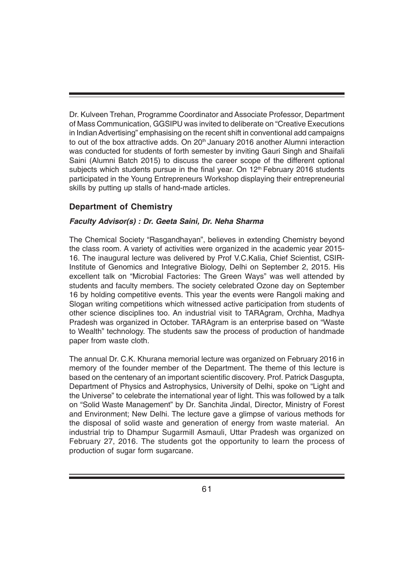Dr. Kulveen Trehan, Programme Coordinator and Associate Professor, Department of Mass Communication, GGSIPU was invited to deliberate on "Creative Executions in Indian Advertising" emphasising on the recent shift in conventional add campaigns to out of the box attractive adds. On  $20<sup>th</sup>$  January 2016 another Alumni interaction was conducted for students of forth semester by inviting Gauri Singh and Shaifali Saini (Alumni Batch 2015) to discuss the career scope of the different optional subjects which students pursue in the final year. On  $12<sup>th</sup>$  February 2016 students participated in the Young Entrepreneurs Workshop displaying their entrepreneurial skills by putting up stalls of hand-made articles.

# **Department of Chemistry**

# *Faculty Advisor(s) : Dr. Geeta Saini, Dr. Neha Sharma*

The Chemical Society "Rasgandhayan", believes in extending Chemistry beyond the class room. A variety of activities were organized in the academic year 2015- 16. The inaugural lecture was delivered by Prof V.C.Kalia, Chief Scientist, CSIR-Institute of Genomics and Integrative Biology, Delhi on September 2, 2015. His excellent talk on "Microbial Factories: The Green Ways" was well attended by students and faculty members. The society celebrated Ozone day on September 16 by holding competitive events. This year the events were Rangoli making and Slogan writing competitions which witnessed active participation from students of other science disciplines too. An industrial visit to TARAgram, Orchha, Madhya Pradesh was organized in October. TARAgram is an enterprise based on "Waste to Wealth" technology. The students saw the process of production of handmade paper from waste cloth.

The annual Dr. C.K. Khurana memorial lecture was organized on February 2016 in memory of the founder member of the Department. The theme of this lecture is based on the centenary of an important scientific discovery. Prof. Patrick Dasgupta, Department of Physics and Astrophysics, University of Delhi, spoke on "Light and the Universe" to celebrate the international year of light. This was followed by a talk on "Solid Waste Management" by Dr. Sanchita Jindal, Director, Ministry of Forest and Environment; New Delhi. The lecture gave a glimpse of various methods for the disposal of solid waste and generation of energy from waste material. An industrial trip to Dhampur Sugarmill Asmauli, Uttar Pradesh was organized on February 27, 2016. The students got the opportunity to learn the process of production of sugar form sugarcane.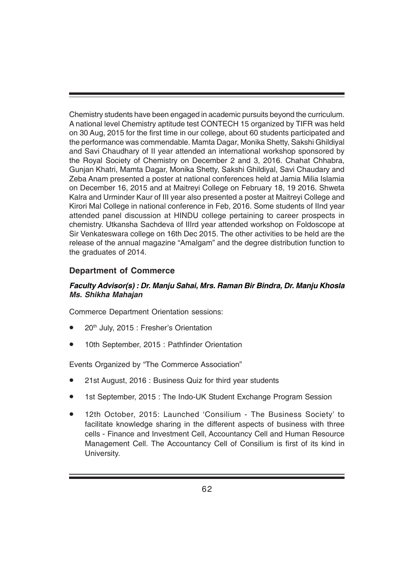Chemistry students have been engaged in academic pursuits beyond the curriculum. A national level Chemistry aptitude test CONTECH 15 organized by TIFR was held on 30 Aug, 2015 for the first time in our college, about 60 students participated and the performance was commendable. Mamta Dagar, Monika Shetty, Sakshi Ghildiyal and Savi Chaudhary of II year attended an international workshop sponsored by the Royal Society of Chemistry on December 2 and 3, 2016. Chahat Chhabra, Gunjan Khatri, Mamta Dagar, Monika Shetty, Sakshi Ghildiyal, Savi Chaudary and Zeba Anam presented a poster at national conferences held at Jamia Milia Islamia on December 16, 2015 and at Maitreyi College on February 18, 19 2016. Shweta Kalra and Urminder Kaur of III year also presented a poster at Maitreyi College and Kirori Mal College in national conference in Feb, 2016. Some students of IInd year attended panel discussion at HINDU college pertaining to career prospects in chemistry. Utkansha Sachdeva of IIIrd year attended workshop on Foldoscope at Sir Venkateswara college on 16th Dec 2015. The other activities to be held are the release of the annual magazine "Amalgam" and the degree distribution function to the graduates of 2014.

# **Department of Commerce**

#### *Faculty Advisor(s) : Dr. Manju Sahai, Mrs. Raman Bir Bindra, Dr. Manju Khosla Ms. Shikha Mahajan*

Commerce Department Orientation sessions:

- 20th July, 2015 : Fresher's Orientation
- 10th September, 2015 : Pathfinder Orientation

Events Organized by "The Commerce Association"

- 21st August, 2016 : Business Quiz for third year students
- 1st September, 2015 : The Indo-UK Student Exchange Program Session
- 12th October, 2015: Launched 'Consilium The Business Society' to facilitate knowledge sharing in the different aspects of business with three cells - Finance and Investment Cell, Accountancy Cell and Human Resource Management Cell. The Accountancy Cell of Consilium is first of its kind in University.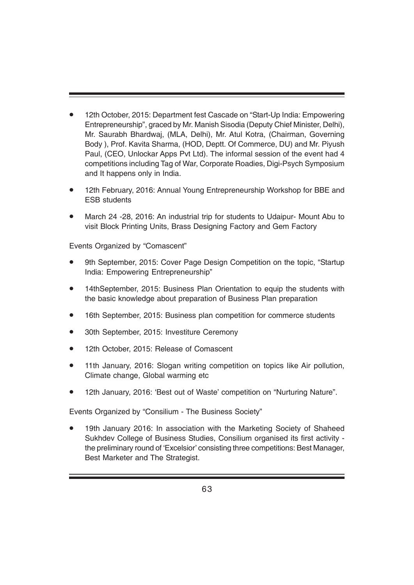- 12th October, 2015: Department fest Cascade on "Start-Up India: Empowering Entrepreneurship", graced by Mr. Manish Sisodia (Deputy Chief Minister, Delhi), Mr. Saurabh Bhardwaj, (MLA, Delhi), Mr. Atul Kotra, (Chairman, Governing Body ), Prof. Kavita Sharma, (HOD, Deptt. Of Commerce, DU) and Mr. Piyush Paul, (CEO, Unlockar Apps Pvt Ltd). The informal session of the event had 4 competitions including Tag of War, Corporate Roadies, Digi-Psych Symposium and It happens only in India.
- 12th February, 2016: Annual Young Entrepreneurship Workshop for BBE and ESB students
- March 24 -28, 2016: An industrial trip for students to Udaipur- Mount Abu to visit Block Printing Units, Brass Designing Factory and Gem Factory

Events Organized by "Comascent"

- 9th September, 2015: Cover Page Design Competition on the topic, "Startup India: Empowering Entrepreneurship"
- 14thSeptember, 2015: Business Plan Orientation to equip the students with the basic knowledge about preparation of Business Plan preparation
- 16th September, 2015: Business plan competition for commerce students
- 30th September, 2015: Investiture Ceremony
- 12th October, 2015: Release of Comascent
- 11th January, 2016: Slogan writing competition on topics like Air pollution, Climate change, Global warming etc
- 12th January, 2016: 'Best out of Waste' competition on "Nurturing Nature".

Events Organized by "Consilium - The Business Society"

19th January 2016: In association with the Marketing Society of Shaheed Sukhdev College of Business Studies, Consilium organised its first activity the preliminary round of 'Excelsior' consisting three competitions: Best Manager, Best Marketer and The Strategist.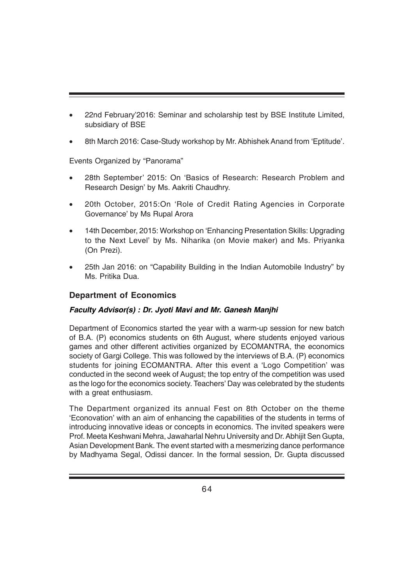- 22nd February'2016: Seminar and scholarship test by BSE Institute Limited, subsidiary of BSE
- 8th March 2016: Case-Study workshop by Mr. Abhishek Anand from 'Eptitude'.

Events Organized by "Panorama"

- 28th September' 2015: On 'Basics of Research: Research Problem and Research Design' by Ms. Aakriti Chaudhry.
- 20th October, 2015:On 'Role of Credit Rating Agencies in Corporate Governance' by Ms Rupal Arora
- 14th December, 2015: Workshop on 'Enhancing Presentation Skills: Upgrading to the Next Level' by Ms. Niharika (on Movie maker) and Ms. Priyanka (On Prezi).
- 25th Jan 2016: on "Capability Building in the Indian Automobile Industry" by Ms. Pritika Dua.

# **Department of Economics**

# *Faculty Advisor(s) : Dr. Jyoti Mavi and Mr. Ganesh Manjhi*

Department of Economics started the year with a warm-up session for new batch of B.A. (P) economics students on 6th August, where students enjoyed various games and other different activities organized by ECOMANTRA, the economics society of Gargi College. This was followed by the interviews of B.A. (P) economics students for joining ECOMANTRA. After this event a 'Logo Competition' was conducted in the second week of August; the top entry of the competition was used as the logo for the economics society. Teachers' Day was celebrated by the students with a great enthusiasm.

The Department organized its annual Fest on 8th October on the theme 'Econovation' with an aim of enhancing the capabilities of the students in terms of introducing innovative ideas or concepts in economics. The invited speakers were Prof. Meeta Keshwani Mehra, Jawaharlal Nehru University and Dr. Abhijit Sen Gupta, Asian Development Bank. The event started with a mesmerizing dance performance by Madhyama Segal, Odissi dancer. In the formal session, Dr. Gupta discussed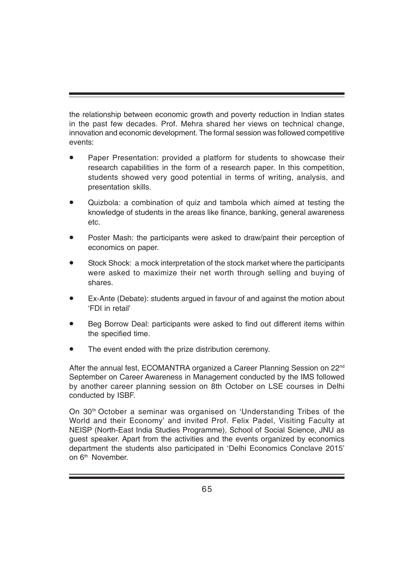the relationship between economic growth and poverty reduction in Indian states in the past few decades. Prof. Mehra shared her views on technical change, innovation and economic development. The formal session was followed competitive events:

- Paper Presentation: provided a platform for students to showcase their research capabilities in the form of a research paper. In this competition, students showed very good potential in terms of writing, analysis, and presentation skills.
- Quizbola: a combination of quiz and tambola which aimed at testing the knowledge of students in the areas like finance, banking, general awareness etc.
- Poster Mash: the participants were asked to draw/paint their perception of economics on paper.
- Stock Shock: a mock interpretation of the stock market where the participants were asked to maximize their net worth through selling and buying of shares.
- Ex-Ante (Debate): students argued in favour of and against the motion about 'FDI in retail'
- Beg Borrow Deal: participants were asked to find out different items within the specified time.
- The event ended with the prize distribution ceremony.

After the annual fest, ECOMANTRA organized a Career Planning Session on 22<sup>nd</sup> September on Career Awareness in Management conducted by the IMS followed by another career planning session on 8th October on LSE courses in Delhi conducted by ISBF.

On 30th October a seminar was organised on 'Understanding Tribes of the World and their Economy' and invited Prof. Felix Padel, Visiting Faculty at NEISP (North-East India Studies Programme), School of Social Science, JNU as guest speaker. Apart from the activities and the events organized by economics department the students also participated in 'Delhi Economics Conclave 2015' on 6<sup>th</sup> November.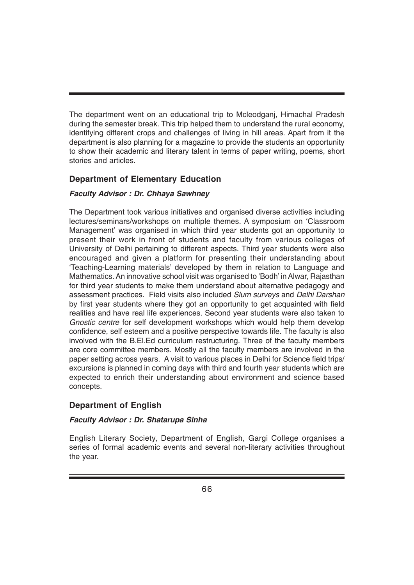The department went on an educational trip to Mcleodganj, Himachal Pradesh during the semester break. This trip helped them to understand the rural economy, identifying different crops and challenges of living in hill areas. Apart from it the department is also planning for a magazine to provide the students an opportunity to show their academic and literary talent in terms of paper writing, poems, short stories and articles.

# **Department of Elementary Education**

# *Faculty Advisor : Dr. Chhaya Sawhney*

The Department took various initiatives and organised diverse activities including lectures/seminars/workshops on multiple themes. A symposium on 'Classroom Management' was organised in which third year students got an opportunity to present their work in front of students and faculty from various colleges of University of Delhi pertaining to different aspects. Third year students were also encouraged and given a platform for presenting their understanding about 'Teaching-Learning materials' developed by them in relation to Language and Mathematics. An innovative school visit was organised to 'Bodh' in Alwar, Rajasthan for third year students to make them understand about alternative pedagogy and assessment practices. Field visits also included *Slum surveys* and *Delhi Darshan* by first year students where they got an opportunity to get acquainted with field realities and have real life experiences. Second year students were also taken to *Gnostic centre* for self development workshops which would help them develop confidence, self esteem and a positive perspective towards life. The faculty is also involved with the B.El.Ed curriculum restructuring. Three of the faculty members are core committee members. Mostly all the faculty members are involved in the paper setting across years. A visit to various places in Delhi for Science field trips/ excursions is planned in coming days with third and fourth year students which are expected to enrich their understanding about environment and science based concepts.

# **Department of English**

# *Faculty Advisor : Dr. Shatarupa Sinha*

English Literary Society, Department of English, Gargi College organises a series of formal academic events and several non-literary activities throughout the year.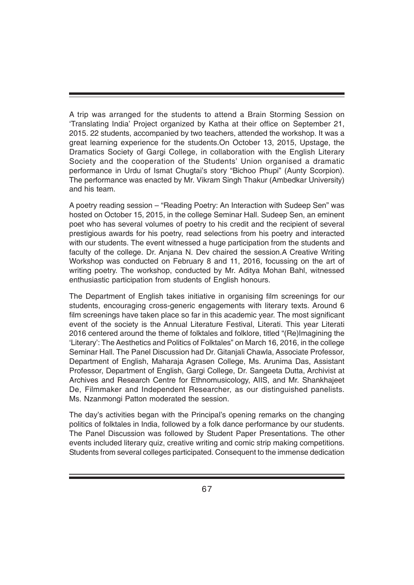A trip was arranged for the students to attend a Brain Storming Session on 'Translating India' Project organized by Katha at their office on September 21, 2015. 22 students, accompanied by two teachers, attended the workshop. It was a great learning experience for the students.On October 13, 2015, Upstage, the Dramatics Society of Gargi College, in collaboration with the English Literary Society and the cooperation of the Students' Union organised a dramatic performance in Urdu of Ismat Chugtai's story "Bichoo Phupi" (Aunty Scorpion). The performance was enacted by Mr. Vikram Singh Thakur (Ambedkar University) and his team.

A poetry reading session – "Reading Poetry: An Interaction with Sudeep Sen" was hosted on October 15, 2015, in the college Seminar Hall. Sudeep Sen, an eminent poet who has several volumes of poetry to his credit and the recipient of several prestigious awards for his poetry, read selections from his poetry and interacted with our students. The event witnessed a huge participation from the students and faculty of the college. Dr. Anjana N. Dev chaired the session.A Creative Writing Workshop was conducted on February 8 and 11, 2016, focussing on the art of writing poetry. The workshop, conducted by Mr. Aditya Mohan Bahl, witnessed enthusiastic participation from students of English honours.

The Department of English takes initiative in organising film screenings for our students, encouraging cross-generic engagements with literary texts. Around 6 film screenings have taken place so far in this academic year. The most significant event of the society is the Annual Literature Festival, Literati. This year Literati 2016 centered around the theme of folktales and folklore, titled "(Re)Imagining the 'Literary': The Aesthetics and Politics of Folktales" on March 16, 2016, in the college Seminar Hall. The Panel Discussion had Dr. Gitanjali Chawla, Associate Professor, Department of English, Maharaja Agrasen College, Ms. Arunima Das, Assistant Professor, Department of English, Gargi College, Dr. Sangeeta Dutta, Archivist at Archives and Research Centre for Ethnomusicology, AIIS, and Mr. Shankhajeet De, Filmmaker and Independent Researcher, as our distinguished panelists. Ms. Nzanmongi Patton moderated the session.

The day's activities began with the Principal's opening remarks on the changing politics of folktales in India, followed by a folk dance performance by our students. The Panel Discussion was followed by Student Paper Presentations. The other events included literary quiz, creative writing and comic strip making competitions. Students from several colleges participated. Consequent to the immense dedication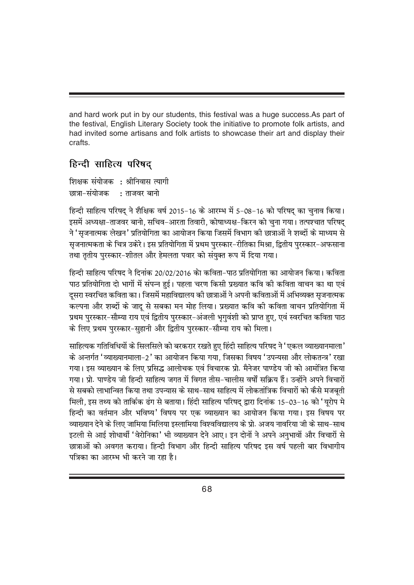and hard work put in by our students, this festival was a huge success.As part of the festival, English Literary Society took the initiative to promote folk artists, and had invited some artisans and folk artists to showcase their art and display their crafts.

# हिन्दी साहित्य परिषद

शिक्षक संयोजक : श्रीनिवास त्यागी न्न्रा - संयोजक : ताजवर बानो

fहन्दी साहित्य परिषद ने शैक्षिक वर्ष 2015-16 के आरम्भ में 5-08-16 को परिषद का चुनाव किया। इसमें अध्यक्षा-ताजवर बानो, सचिव-आरता तिवारी, कोषाध्यक्ष-किरन को चुना गया। तत्पश्चात परिषद् ने 'सुजनात्मक लेखन' प्रतियोगिता का आयोजन किया जिसमें विभाग की छात्राओं ने शब्दों के माध्यम से सृजनात्मकता के चित्र उकेरे। इस प्रतियोगिता में प्रथम पुरस्कार-रीतिका मिश्रा, द्वितीय पुरस्कार-अफसाना तथा तृतीय पुरस्कार-शीतल और हेमलता पवार को संयुक्त रूप में दिया गया।

fहन्दी साहित्य परिषद ने दिनांक 20/02/2016 को कविता-पाठ प्रतियोगिता का आयोजन किया। कविता पाठ प्रतियोगिता दो भागों में संपन्न हई। पहला चरण किसी प्रख्यात कवि की कविता वाचन का था एवं दूसरा स्वरचित कविता का। जिसमें महाविद्यालय की छात्राओं ने अपनी कविताओं में अभिव्यक्त सृजनात्मक कल्पना और शब्दों के जादू से सबका मन मोह लिया। प्रख्यात कवि की कविता वाचन प्रतियोगिता में प्रथम परस्कार-सौम्या राय एवं द्वितीय पुरस्कार-अंजली भगवंशी को प्राप्त हुए, एवं स्वरचित कविता पाठ के लिए प्रथम पुरस्कार-सुहानी और द्वितीय पुरस्कार-सौम्या राय को मिला।

साहित्यक गतिविधियों के सिलसिले को बरकरार रखते हुए हिंदी साहित्य परिषद ने 'एकल व्याख्यानमाला' के अन्तर्गत 'व्याख्यानमाला-2' का आयोजन किया गया. जिसका विषय 'उपन्यसा और लोकतन्त्र' रखा गया। इस व्याख्यान के लिए प्रसिद्ध आलोचक एवं विचारक प्रो. मैनेजर पाण्डेय जी को आमंत्रित किया गया। प्रो. पाण्डेय जी हिन्दी साहित्य जगत में विगत तीस-चालीस वर्षों सक्रिय हैं। उन्होंने अपने विचारों से सबको लाभान्वित किया तथा उपन्यास के साथ-साथ साहित्य में लोकतांत्रिक विचारों को कैसे मजबूती fमली, इस तथ्य को तार्किक ढंग से बताया। हिंदी साहित्य परिषद द्वारा दिनांक 15-03-16 को 'युरोप मे हिन्दी का वर्तमान और भविष्य' विषय पर एक व्याख्यान का आयोजन किया गया। इस विषय पर व्याख्यान देने के लिए जामिया मिलिया इस्लामिया विश्वविद्यालय के प्रो. अजय नावरिया जी के साथ-साथ इटली से आई शोधार्थी 'वेरोनिका' भी व्याख्यान देने आए। इन दोनों ने अपने अनभावों और विचारों से छात्राओं को अवगत कराया। हिन्दी विभाग और हिन्दी साहित्य परिषद इस वर्ष पहली बार विभागीय पत्रिका का आरम्भ भी करने जा रहा है।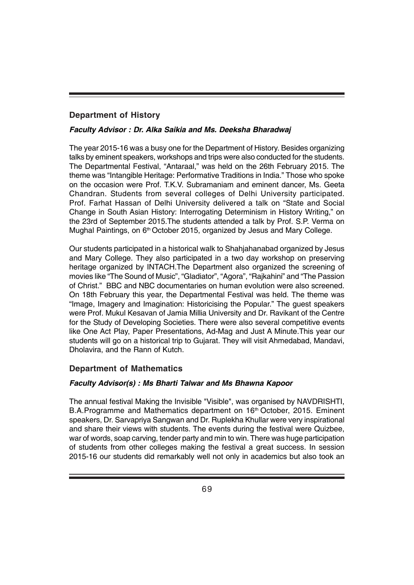# **Department of History**

# *Faculty Advisor : Dr. Alka Saikia and Ms. Deeksha Bharadwaj*

The year 2015-16 was a busy one for the Department of History. Besides organizing talks by eminent speakers, workshops and trips were also conducted for the students. The Departmental Festival, "Antaraal," was held on the 26th February 2015. The theme was "Intangible Heritage: Performative Traditions in India." Those who spoke on the occasion were Prof. T.K.V. Subramaniam and eminent dancer, Ms. Geeta Chandran. Students from several colleges of Delhi University participated. Prof. Farhat Hassan of Delhi University delivered a talk on "State and Social Change in South Asian History: Interrogating Determinism in History Writing," on the 23rd of September 2015.The students attended a talk by Prof. S.P. Verma on Mughal Paintings, on 6<sup>th</sup> October 2015, organized by Jesus and Mary College.

Our students participated in a historical walk to Shahjahanabad organized by Jesus and Mary College. They also participated in a two day workshop on preserving heritage organized by INTACH.The Department also organized the screening of movies like "The Sound of Music", "Gladiator", "Agora", "Rajkahini" and "The Passion of Christ." BBC and NBC documentaries on human evolution were also screened. On 18th February this year, the Departmental Festival was held. The theme was "Image, Imagery and Imagination: Historicising the Popular." The guest speakers were Prof. Mukul Kesavan of Jamia Millia University and Dr. Ravikant of the Centre for the Study of Developing Societies. There were also several competitive events like One Act Play, Paper Presentations, Ad-Mag and Just A Minute.This year our students will go on a historical trip to Gujarat. They will visit Ahmedabad, Mandavi, Dholavira, and the Rann of Kutch.

# **Department of Mathematics**

# *Faculty Advisor(s) : Ms Bharti Talwar and Ms Bhawna Kapoor*

The annual festival Making the Invisible "Visible", was organised by NAVDRISHTI, B.A.Programme and Mathematics department on 16<sup>th</sup> October, 2015. Eminent speakers, Dr. Sarvapriya Sangwan and Dr. Ruplekha Khullar were very inspirational and share their views with students. The events during the festival were Quizbee, war of words, soap carving, tender party and min to win. There was huge participation of students from other colleges making the festival a great success. In session 2015-16 our students did remarkably well not only in academics but also took an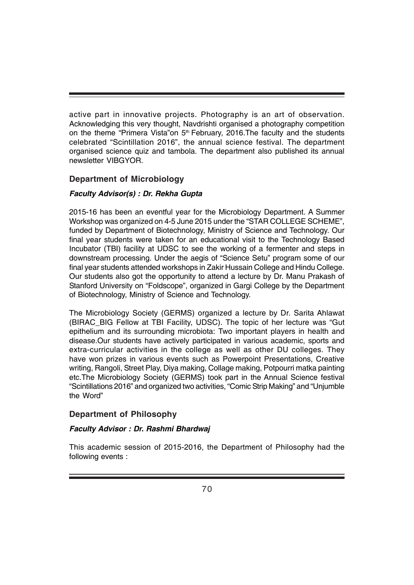active part in innovative projects. Photography is an art of observation. Acknowledging this very thought, Navdrishti organised a photography competition on the theme "Primera Vista"on 5<sup>th</sup> February, 2016. The faculty and the students celebrated "Scintillation 2016", the annual science festival. The department organised science quiz and tambola. The department also published its annual newsletter VIBGYOR.

# **Department of Microbiology**

# *Faculty Advisor(s) : Dr. Rekha Gupta*

2015-16 has been an eventful year for the Microbiology Department. A Summer Workshop was organized on 4-5 June 2015 under the "STAR COLLEGE SCHEME", funded by Department of Biotechnology, Ministry of Science and Technology. Our final year students were taken for an educational visit to the Technology Based Incubator (TBI) facility at UDSC to see the working of a fermenter and steps in downstream processing. Under the aegis of "Science Setu" program some of our final year students attended workshops in Zakir Hussain College and Hindu College. Our students also got the opportunity to attend a lecture by Dr. Manu Prakash of Stanford University on "Foldscope", organized in Gargi College by the Department of Biotechnology, Ministry of Science and Technology.

The Microbiology Society (GERMS) organized a lecture by Dr. Sarita Ahlawat (BIRAC\_BIG Fellow at TBI Facility, UDSC). The topic of her lecture was "Gut epithelium and its surrounding microbiota: Two important players in health and disease.Our students have actively participated in various academic, sports and extra-curricular activities in the college as well as other DU colleges. They have won prizes in various events such as Powerpoint Presentations, Creative writing, Rangoli, Street Play, Diya making, Collage making, Potpourri matka painting etc.The Microbiology Society (GERMS) took part in the Annual Science festival "Scintillations 2016" and organized two activities, "Comic Strip Making" and "Unjumble the Word"

# **Department of Philosophy**

#### *Faculty Advisor : Dr. Rashmi Bhardwaj*

This academic session of 2015-2016, the Department of Philosophy had the following events :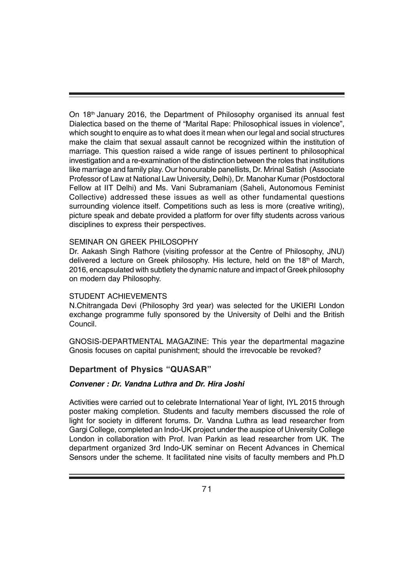On 18th January 2016, the Department of Philosophy organised its annual fest Dialectica based on the theme of "Marital Rape: Philosophical issues in violence", which sought to enquire as to what does it mean when our legal and social structures make the claim that sexual assault cannot be recognized within the institution of marriage. This question raised a wide range of issues pertinent to philosophical investigation and a re-examination of the distinction between the roles that institutions like marriage and family play. Our honourable panellists, Dr. Mrinal Satish (Associate Professor of Law at National Law University, Delhi), Dr. Manohar Kumar (Postdoctoral Fellow at IIT Delhi) and Ms. Vani Subramaniam (Saheli, Autonomous Feminist Collective) addressed these issues as well as other fundamental questions surrounding violence itself. Competitions such as less is more (creative writing), picture speak and debate provided a platform for over fifty students across various disciplines to express their perspectives.

#### SEMINAR ON GREEK PHILOSOPHY

Dr. Aakash Singh Rathore (visiting professor at the Centre of Philosophy, JNU) delivered a lecture on Greek philosophy. His lecture, held on the 18<sup>th</sup> of March, 2016, encapsulated with subtlety the dynamic nature and impact of Greek philosophy on modern day Philosophy.

#### STUDENT ACHIEVEMENTS

N.Chitrangada Devi (Philosophy 3rd year) was selected for the UKIERI London exchange programme fully sponsored by the University of Delhi and the British Council.

GNOSIS-DEPARTMENTAL MAGAZINE: This year the departmental magazine Gnosis focuses on capital punishment; should the irrevocable be revoked?

#### **Department of Physics "QUASAR"**

#### *Convener : Dr. Vandna Luthra and Dr. Hira Joshi*

Activities were carried out to celebrate International Year of light, IYL 2015 through poster making completion. Students and faculty members discussed the role of light for society in different forums. Dr. Vandna Luthra as lead researcher from Gargi College, completed an Indo-UK project under the auspice of University College London in collaboration with Prof. Ivan Parkin as lead researcher from UK. The department organized 3rd Indo-UK seminar on Recent Advances in Chemical Sensors under the scheme. It facilitated nine visits of faculty members and Ph.D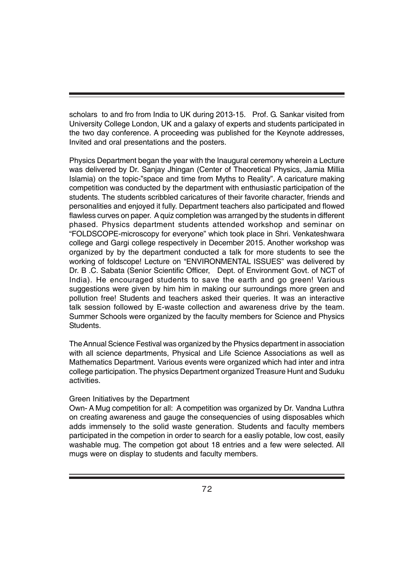scholars to and fro from India to UK during 2013-15. Prof. G. Sankar visited from University College London, UK and a galaxy of experts and students participated in the two day conference. A proceeding was published for the Keynote addresses, Invited and oral presentations and the posters.

Physics Department began the year with the Inaugural ceremony wherein a Lecture was delivered by Dr. Sanjay Jhingan (Center of Theoretical Physics, Jamia Millia Islamia) on the topic-"space and time from Myths to Reality". A caricature making competition was conducted by the department with enthusiastic participation of the students. The students scribbled caricatures of their favorite character, friends and personalities and enjoyed it fully. Department teachers also participated and flowed flawless curves on paper. A quiz completion was arranged by the students in different phased. Physics department students attended workshop and seminar on "FOLDSCOPE-microscopy for everyone" which took place in Shri. Venkateshwara college and Gargi college respectively in December 2015. Another workshop was organized by by the department conducted a talk for more students to see the working of foldscope! Lecture on "ENVIRONMENTAL ISSUES" was delivered by Dr. B .C. Sabata (Senior Scientific Officer, Dept. of Environment Govt. of NCT of India). He encouraged students to save the earth and go green! Various suggestions were given by him him in making our surroundings more green and pollution free! Students and teachers asked their queries. It was an interactive talk session followed by E-waste collection and awareness drive by the team. Summer Schools were organized by the faculty members for Science and Physics Students.

The Annual Science Festival was organized by the Physics department in association with all science departments, Physical and Life Science Associations as well as Mathematics Department. Various events were organized which had inter and intra college participation. The physics Department organized Treasure Hunt and Suduku activities.

#### Green Initiatives by the Department

Own- A Mug competition for all: A competition was organized by Dr. Vandna Luthra on creating awareness and gauge the consequencies of using disposables which adds immensely to the solid waste generation. Students and faculty members participated in the competion in order to search for a easliy potable, low cost, easily washable mug. The competion got about 18 entries and a few were selected. All mugs were on display to students and faculty members.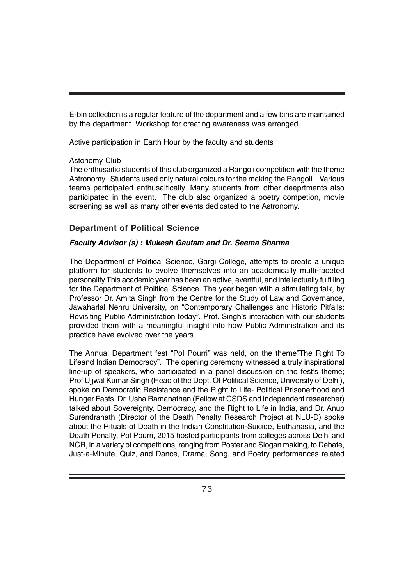E-bin collection is a regular feature of the department and a few bins are maintained by the department. Workshop for creating awareness was arranged.

Active participation in Earth Hour by the faculty and students

#### Astonomy Club

The enthusaitic students of this club organized a Rangoli competition with the theme Astronomy. Students used only natural colours for the making the Rangoli. Various teams participated enthusaitically. Many students from other deaprtments also participated in the event. The club also organized a poetry competion, movie screening as well as many other events dedicated to the Astronomy.

#### **Department of Political Science**

#### *Faculty Advisor (s) : Mukesh Gautam and Dr. Seema Sharma*

The Department of Political Science, Gargi College, attempts to create a unique platform for students to evolve themselves into an academically multi-faceted personality.This academic year has been an active, eventful, and intellectually fulfilling for the Department of Political Science. The year began with a stimulating talk, by Professor Dr. Amita Singh from the Centre for the Study of Law and Governance, Jawaharlal Nehru University, on "Contemporary Challenges and Historic Pitfalls: Revisiting Public Administration today". Prof. Singh's interaction with our students provided them with a meaningful insight into how Public Administration and its practice have evolved over the years.

The Annual Department fest "Pol Pourri" was held, on the theme"The Right To Lifeand Indian Democracy". The opening ceremony witnessed a truly inspirational line-up of speakers, who participated in a panel discussion on the fest's theme; Prof Ujjwal Kumar Singh (Head of the Dept. Of Political Science, University of Delhi), spoke on Democratic Resistance and the Right to Life- Political Prisonerhood and Hunger Fasts, Dr. Usha Ramanathan (Fellow at CSDS and independent researcher) talked about Sovereignty, Democracy, and the Right to Life in India, and Dr. Anup Surendranath (Director of the Death Penalty Research Project at NLU-D) spoke about the Rituals of Death in the Indian Constitution-Suicide, Euthanasia, and the Death Penalty. Pol Pourri, 2015 hosted participants from colleges across Delhi and NCR, in a variety of competitions, ranging from Poster and Slogan making, to Debate, Just-a-Minute, Quiz, and Dance, Drama, Song, and Poetry performances related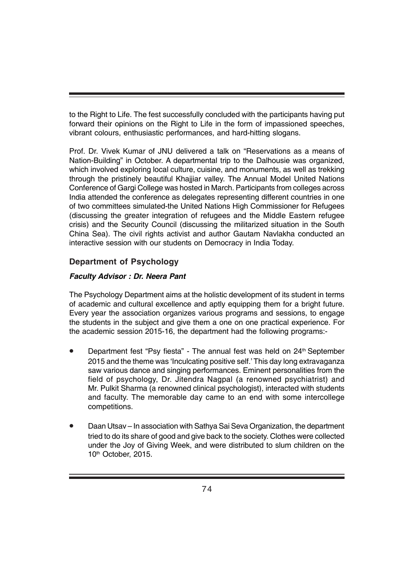to the Right to Life. The fest successfully concluded with the participants having put forward their opinions on the Right to Life in the form of impassioned speeches, vibrant colours, enthusiastic performances, and hard-hitting slogans.

Prof. Dr. Vivek Kumar of JNU delivered a talk on "Reservations as a means of Nation-Building" in October. A departmental trip to the Dalhousie was organized, which involved exploring local culture, cuisine, and monuments, as well as trekking through the pristinely beautiful Khajjiar valley. The Annual Model United Nations Conference of Gargi College was hosted in March. Participants from colleges across India attended the conference as delegates representing different countries in one of two committees simulated-the United Nations High Commissioner for Refugees (discussing the greater integration of refugees and the Middle Eastern refugee crisis) and the Security Council (discussing the militarized situation in the South China Sea). The civil rights activist and author Gautam Navlakha conducted an interactive session with our students on Democracy in India Today.

## **Department of Psychology**

#### *Faculty Advisor : Dr. Neera Pant*

The Psychology Department aims at the holistic development of its student in terms of academic and cultural excellence and aptly equipping them for a bright future. Every year the association organizes various programs and sessions, to engage the students in the subject and give them a one on one practical experience. For the academic session 2015-16, the department had the following programs:-

- Department fest "Psy fiesta" The annual fest was held on 24<sup>th</sup> September 2015 and the theme was 'Inculcating positive self.' This day long extravaganza saw various dance and singing performances. Eminent personalities from the field of psychology, Dr. Jitendra Nagpal (a renowned psychiatrist) and Mr. Pulkit Sharma (a renowned clinical psychologist), interacted with students and faculty. The memorable day came to an end with some intercollege competitions.
- Daan Utsav In association with Sathya Sai Seva Organization, the department tried to do its share of good and give back to the society. Clothes were collected under the Joy of Giving Week, and were distributed to slum children on the 10<sup>th</sup> October, 2015.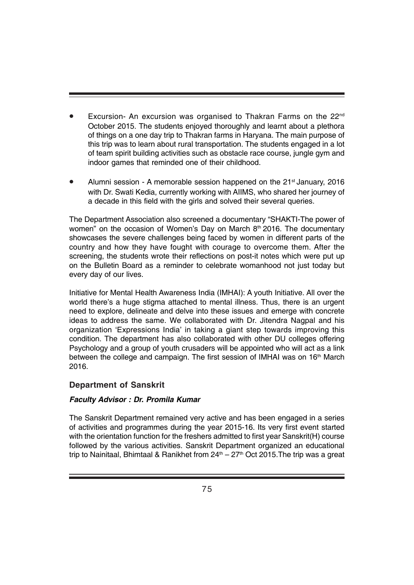- Excursion- An excursion was organised to Thakran Farms on the 22<sup>nd</sup> October 2015. The students enjoyed thoroughly and learnt about a plethora of things on a one day trip to Thakran farms in Haryana. The main purpose of this trip was to learn about rural transportation. The students engaged in a lot of team spirit building activities such as obstacle race course, jungle gym and indoor games that reminded one of their childhood.
- Alumni session A memorable session happened on the  $21<sup>st</sup>$  January, 2016 with Dr. Swati Kedia, currently working with AIIMS, who shared her journey of a decade in this field with the girls and solved their several queries.

The Department Association also screened a documentary "SHAKTI-The power of women" on the occasion of Women's Day on March 8<sup>th</sup> 2016. The documentary showcases the severe challenges being faced by women in different parts of the country and how they have fought with courage to overcome them. After the screening, the students wrote their reflections on post-it notes which were put up on the Bulletin Board as a reminder to celebrate womanhood not just today but every day of our lives.

Initiative for Mental Health Awareness India (IMHAI): A youth Initiative. All over the world there's a huge stigma attached to mental illness. Thus, there is an urgent need to explore, delineate and delve into these issues and emerge with concrete ideas to address the same. We collaborated with Dr. Jitendra Nagpal and his organization 'Expressions India' in taking a giant step towards improving this condition. The department has also collaborated with other DU colleges offering Psychology and a group of youth crusaders will be appointed who will act as a link between the college and campaign. The first session of IMHAI was on 16<sup>th</sup> March 2016.

## **Department of Sanskrit**

#### *Faculty Advisor : Dr. Promila Kumar*

The Sanskrit Department remained very active and has been engaged in a series of activities and programmes during the year 2015-16. Its very first event started with the orientation function for the freshers admitted to first year Sanskrit(H) course followed by the various activities. Sanskrit Department organized an educational trip to Nainitaal, Bhimtaal & Ranikhet from  $24<sup>th</sup> - 27<sup>th</sup>$  Oct 2015. The trip was a great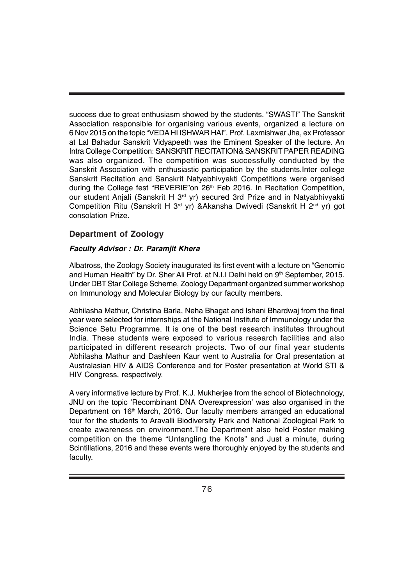success due to great enthusiasm showed by the students. "SWASTI" The Sanskrit Association responsible for organising various events, organized a lecture on 6 Nov 2015 on the topic "VEDA HI ISHWAR HAI". Prof. Laxmishwar Jha, ex Professor at Lal Bahadur Sanskrit Vidyapeeth was the Eminent Speaker of the lecture. An Intra College Competition: SANSKRIT RECITATION& SANSKRIT PAPER READING was also organized. The competition was successfully conducted by the Sanskrit Association with enthusiastic participation by the students.Inter college Sanskrit Recitation and Sanskrit Natyabhivyakti Competitions were organised during the College fest "REVERIE" on 26<sup>th</sup> Feb 2016. In Recitation Competition, our student Anjali (Sanskrit H 3<sup>rd</sup> yr) secured 3rd Prize and in Natyabhivyakti Competition Ritu (Sanskrit H 3<sup>rd</sup> yr) &Akansha Dwivedi (Sanskrit H 2<sup>nd</sup> yr) got consolation Prize.

#### **Department of Zoology**

#### *Faculty Advisor : Dr. Paramjit Khera*

Albatross, the Zoology Society inaugurated its first event with a lecture on "Genomic and Human Health" by Dr. Sher Ali Prof. at N.I.I Delhi held on  $9<sup>th</sup>$  September, 2015. Under DBT Star College Scheme, Zoology Department organized summer workshop on Immunology and Molecular Biology by our faculty members.

Abhilasha Mathur, Christina Barla, Neha Bhagat and Ishani Bhardwaj from the final year were selected for internships at the National Institute of Immunology under the Science Setu Programme. It is one of the best research institutes throughout India. These students were exposed to various research facilities and also participated in different research projects. Two of our final year students Abhilasha Mathur and Dashleen Kaur went to Australia for Oral presentation at Australasian HIV & AIDS Conference and for Poster presentation at World STI & HIV Congress, respectively.

A very informative lecture by Prof. K.J. Mukherjee from the school of Biotechnology, JNU on the topic 'Recombinant DNA Overexpression' was also organised in the Department on 16<sup>th</sup> March, 2016. Our faculty members arranged an educational tour for the students to Aravalli Biodiversity Park and National Zoological Park to create awareness on environment.The Department also held Poster making competition on the theme "Untangling the Knots" and Just a minute, during Scintillations, 2016 and these events were thoroughly enjoyed by the students and faculty.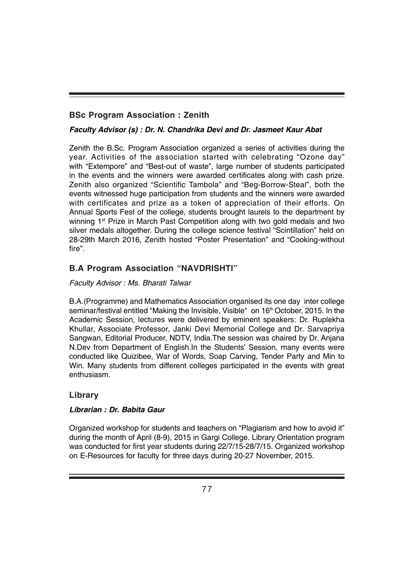## **BSc Program Association : Zenith**

## *Faculty Advisor (s) : Dr. N. Chandrika Devi and Dr. Jasmeet Kaur Abat*

Zenith the B.Sc. Program Association organized a series of activities during the year. Activities of the association started with celebrating "Ozone day" with "Extempore" and "Best-out of waste", large number of students participated in the events and the winners were awarded certificates along with cash prize. Zenith also organized "Scientific Tambola" and "Beg-Borrow-Steal", both the events witnessed huge participation from students and the winners were awarded with certificates and prize as a token of appreciation of their efforts. On Annual Sports Fest of the college, students brought laurels to the department by winning 1<sup>st</sup> Prize in March Past Competition along with two gold medals and two silver medals altogether. During the college science festival "Scintillation" held on 28-29th March 2016, Zenith hosted "Poster Presentation" and "Cooking-without fire".

## **B.A Program Association "NAVDRISHTI"**

#### *Faculty Advisor : Ms. Bharati Talwar*

B.A.(Programme) and Mathematics Association organised its one day inter college seminar/festival entitled "Making the Invisible, Visible" on 16<sup>th</sup> October, 2015. In the Academic Session, lectures were delivered by eminent speakers: Dr. Ruplekha Khullar, Associate Professor, Janki Devi Memorial College and Dr. Sarvapriya Sangwan, Editorial Producer, NDTV, India.The session was chaired by Dr. Anjana N.Dev from Department of English.In the Students' Session, many events were conducted like Quizibee, War of Words, Soap Carving, Tender Party and Min to Win. Many students from different colleges participated in the events with great enthusiasm.

## **Library**

#### *Librarian : Dr. Babita Gaur*

Organized workshop for students and teachers on "Plagiarism and how to avoid it" during the month of April (8-9), 2015 in Gargi College. Library Orientation program was conducted for first year students during 22/7/15-28/7/15. Organized workshop on E-Resources for faculty for three days during 20-27 November, 2015.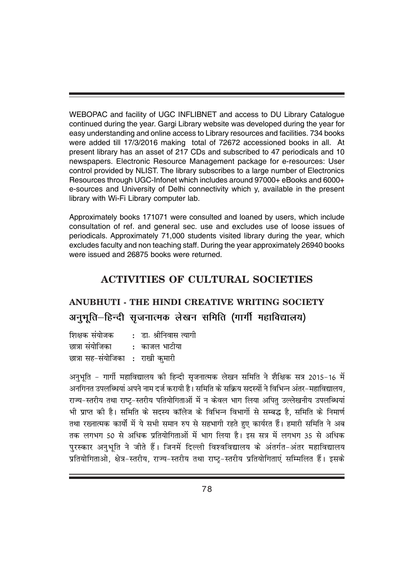WEBOPAC and facility of UGC INFLIBNET and access to DU Library Catalogue continued during the year. Gargi Library website was developed during the year for easy understanding and online access to Library resources and facilities. 734 books were added till 17/3/2016 making total of 72672 accessioned books in all. At present library has an asset of 217 CDs and subscribed to 47 periodicals and 10 newspapers. Electronic Resource Management package for e-resources: User control provided by NLIST. The library subscribes to a large number of Electronics Resources through UGC-Infonet which includes around 97000+ eBooks and 6000+ e-sources and University of Delhi connectivity which y, available in the present library with Wi-Fi Library computer lab.

Approximately books 171071 were consulted and loaned by users, which include consultation of ref. and general sec. use and excludes use of loose issues of periodicals. Approximately 71,000 students visited library during the year, which excludes faculty and non teaching staff. During the year approximately 26940 books were issued and 26875 books were returned.

## **ACTIVITIES OF CULTURAL SOCIETIES**

# **ANUBHUTI - THE HINDI CREATIVE WRITING SOCIETY** अनुभति–हिन्दी सुजनात्मक लेखन समिति (गार्गी महाविद्यालय)

शिक्षक संयोजक : डा. श्रीनिवास त्यागी <u>छात्रा संयोजिका काजल भाटीया</u> छात्रा सह-संयोजिका : राखी कुमारी

अनुभृति - गार्गी महाविद्यालय की हिन्दी सुजनात्मक लेखन समिति ने शैक्षिक सत्र 2015-16 में अनगिनत उपलब्धियां अपने नाम दर्ज करायी है। समिति के सक्रिय सदस्यों ने विभिन्न अंतर-महाविद्यालय. राज्य-स्तरीय तथा राष्ट-स्तरीय पतियोगिताओं में न केवल भाग लिया अपित उल्लेखनीय उपलब्धियां भी प्राप्त की है। समिति के सदस्य कॉलेज के विभिन्न विभागों से सम्बद्ध है, समिति के निमार्ण तथा रख्नात्मक कार्यो में ये सभी समान रुप से सहभागी रहते हुए कार्यरत हैं। हमारी समिति ने अब तक लगभग 50 से अधिक प्रतियोगिताओं में भाग लिया है। इस सत्र में लगभग 35 से अधिक परस्कार अनभति ने जीते हैं। जिनमें दिल्ली विश्वविद्यालय के अंतर्गत-अंतर महाविद्यालय प्रतियोगिताओ, क्षेत्र-स्तरीय, राज्य-स्तरीय तथा राष्ट्-स्तरीय प्रतियोगिताएं सम्मिलित हैं। इसके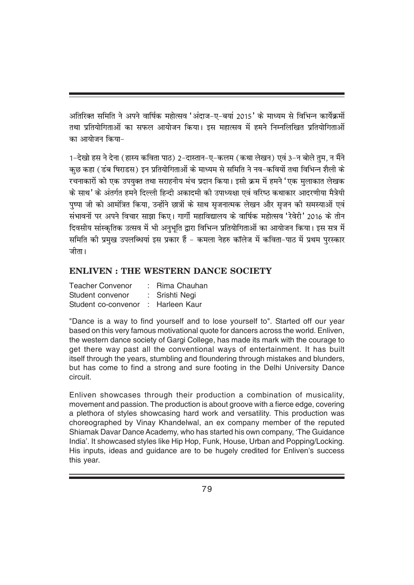अतिरिक्त समिति ने अपने वार्षिक महोत्सव 'अंदाज-ए-बयां 2015' के माध्यम से विभिन्न कार्येक्रमों तथा प्रतियोगिताओं का सफल आयोजन किया। इस महात्सव में हमने निम्नलिखित प्रतियोगिताओं का आयोजन किया-

1-देखो हस ने देना ( हास्य कविता पाठ) 2-दास्तान-ए-कलम (कथा लेखन) एवं 3-न बोले तुम, न मैंने कुछ कहा (डंब षिराडस) इन प्रतियोगिताओं के माध्यम से समिति ने नव-कवियों तथा विभिन्न शैली के रचनाकारों को एक उपयक्त तथा सराहनीय मंच प्रदान किया। इसी क्रम में हमने 'एक मलाकात लेखक के साथ' के अंतर्गत हमने दिल्ली हिन्दी अकादमी की उपाध्यक्षा एवं वरिष्ठ कथाकार आदरणीया मैत्रेयी पष्पा जी को आमंत्रित किया, उन्होंने छात्रों के साथ सजनात्मक लेखन और सजन की समस्याओं एवं संभावनों पर अपने विचार साझा किए। गार्गी महाविद्यालय के वार्षिक महोत्सव 'रेवेरी' 2016 के तीन दिवसीय सांस्कृतिक उत्सव में भी अनुभूति द्वारा विभिन्न प्रतियोगिताओं का आयोजन किया। इस सत्र में समिति की प्रमख उपलब्धियां इस प्रकार हैं – कमला नेहरु कॉलेज में कविता–पाठ में प्रथम परस्कार जीता।

## **ENLIVEN : THE WESTERN DANCE SOCIETY**

| <b>Teacher Convenor</b> | : Rima Chauhan |
|-------------------------|----------------|
| Student convenor        | : Srishti Negi |
| Student co-convenor     | : Harleen Kaur |

"Dance is a way to find yourself and to lose yourself to". Started off our year based on this very famous motivational quote for dancers across the world. Enliven, the western dance society of Gargi College, has made its mark with the courage to get there way past all the conventional ways of entertainment. It has built itself through the years, stumbling and floundering through mistakes and blunders, but has come to find a strong and sure footing in the Delhi University Dance circuit.

Enliven showcases through their production a combination of musicality, movement and passion. The production is about groove with a fierce edge, covering a plethora of styles showcasing hard work and versatility. This production was choreographed by Vinay Khandelwal, an ex company member of the reputed Shiamak Davar Dance Academy, who has started his own company, 'The Guidance India'. It showcased styles like Hip Hop, Funk, House, Urban and Popping/Locking. His inputs, ideas and guidance are to be hugely credited for Enliven's success this year.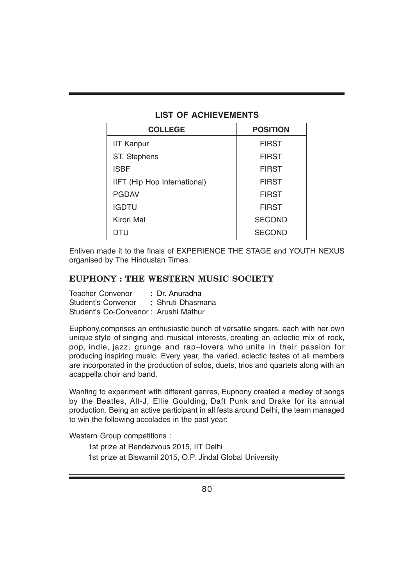#### **LIST OF ACHIEVEMENTS**

| <b>COLLEGE</b>               | <b>POSITION</b> |
|------------------------------|-----------------|
| <b>IIT Kanpur</b>            | <b>FIRST</b>    |
| ST. Stephens                 | <b>FIRST</b>    |
| <b>ISBF</b>                  | <b>FIRST</b>    |
| IIFT (Hip Hop International) | <b>FIRST</b>    |
| <b>PGDAV</b>                 | <b>FIRST</b>    |
| <b>IGDTU</b>                 | <b>FIRST</b>    |
| <b>Kirori Mal</b>            | <b>SECOND</b>   |
| DTU                          | <b>SECOND</b>   |

Enliven made it to the finals of EXPERIENCE THE STAGE and YOUTH NEXUS organised by The Hindustan Times.

#### **EUPHONY : THE WESTERN MUSIC SOCIETY**

| <b>Teacher Convenor</b>              | : Dr. Anuradha    |
|--------------------------------------|-------------------|
| Student's Convenor                   | : Shruti Dhasmana |
| Student's Co-Convenor: Arushi Mathur |                   |

Euphony,comprises an enthusiastic bunch of versatile singers, each with her own unique style of singing and musical interests, creating an eclectic mix of rock, pop, indie, jazz, grunge and rap–lovers who unite in their passion for producing inspiring music. Every year, the varied, eclectic tastes of all members are incorporated in the production of solos, duets, trios and quartets along with an acappella choir and band.

Wanting to experiment with different genres, Euphony created a medley of songs by the Beatles, Alt-J, Ellie Goulding, Daft Punk and Drake for its annual production. Being an active participant in all fests around Delhi, the team managed to win the following accolades in the past year:

Western Group competitions :

1st prize at Rendezvous 2015, IIT Delhi 1st prize at Biswamil 2015, O.P. Jindal Global University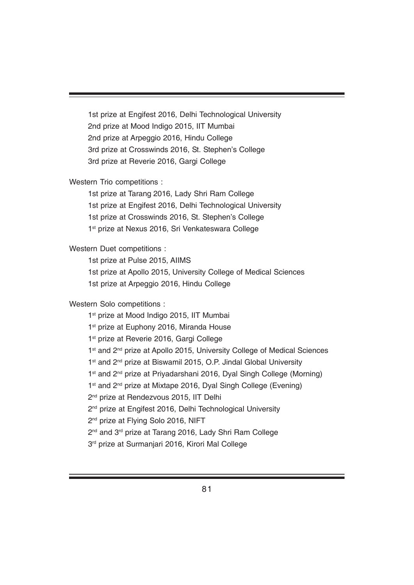1st prize at Engifest 2016, Delhi Technological University 2nd prize at Mood Indigo 2015, IIT Mumbai 2nd prize at Arpeggio 2016, Hindu College 3rd prize at Crosswinds 2016, St. Stephen's College 3rd prize at Reverie 2016, Gargi College

Western Trio competitions :

1st prize at Tarang 2016, Lady Shri Ram College 1st prize at Engifest 2016, Delhi Technological University 1st prize at Crosswinds 2016, St. Stephen's College 1<sup>st</sup> prize at Nexus 2016, Sri Venkateswara College

Western Duet competitions :

1st prize at Pulse 2015, AIIMS

1st prize at Apollo 2015, University College of Medical Sciences

1st prize at Arpeggio 2016, Hindu College

Western Solo competitions :

1<sup>st</sup> prize at Mood Indigo 2015, IIT Mumbai 1<sup>st</sup> prize at Euphony 2016, Miranda House 1<sup>st</sup> prize at Reverie 2016, Gargi College 1<sup>st</sup> and 2<sup>nd</sup> prize at Apollo 2015, University College of Medical Sciences 1<sup>st</sup> and 2<sup>nd</sup> prize at Biswamil 2015, O.P. Jindal Global University 1<sup>st</sup> and 2<sup>nd</sup> prize at Priyadarshani 2016, Dyal Singh College (Morning) 1<sup>st</sup> and 2<sup>nd</sup> prize at Mixtape 2016, Dyal Singh College (Evening) 2<sup>nd</sup> prize at Rendezvous 2015, IIT Delhi 2<sup>nd</sup> prize at Engifest 2016, Delhi Technological University 2<sup>nd</sup> prize at Flying Solo 2016, NIFT 2<sup>nd</sup> and 3<sup>rd</sup> prize at Tarang 2016, Lady Shri Ram College 3<sup>rd</sup> prize at Surmanjari 2016, Kirori Mal College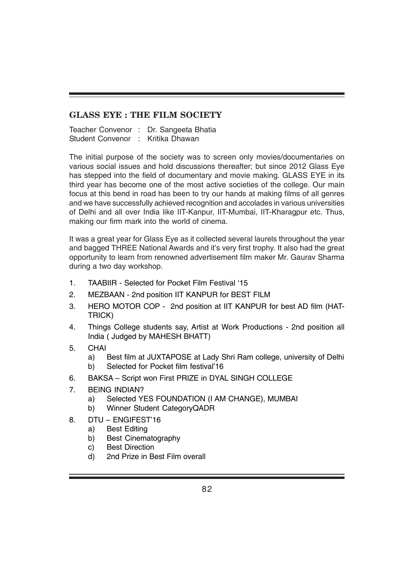### **GLASS EYE : THE FILM SOCIETY**

Teacher Convenor : Dr. Sangeeta Bhatia Student Convenor : Kritika Dhawan

The initial purpose of the society was to screen only movies/documentaries on various social issues and hold discussions thereafter; but since 2012 Glass Eye has stepped into the field of documentary and movie making. GLASS EYE in its third year has become one of the most active societies of the college. Our main focus at this bend in road has been to try our hands at making films of all genres and we have successfully achieved recognition and accolades in various universities of Delhi and all over India like IIT-Kanpur, IIT-Mumbai, IIT-Kharagpur etc. Thus, making our firm mark into the world of cinema.

It was a great year for Glass Eye as it collected several laurels throughout the year and bagged THREE National Awards and it's very first trophy. It also had the great opportunity to learn from renowned advertisement film maker Mr. Gaurav Sharma during a two day workshop.

- 1. TAABIIR Selected for Pocket Film Festival '15
- 2. MEZBAAN 2nd position IIT KANPUR for BEST FILM
- 3. HERO MOTOR COP 2nd position at IIT KANPUR for best AD film (HAT-TRICK)
- 4. Things College students say, Artist at Work Productions 2nd position all India ( Judged by MAHESH BHATT)
- 5. CHAI
	- a) Best film at JUXTAPOSE at Lady Shri Ram college, university of Delhi b) Selected for Pocket film festival'16
- 6. BAKSA Script won First PRIZE in DYAL SINGH COLLEGE
- 7. BEING INDIAN?
	- a) Selected YES FOUNDATION (I AM CHANGE), MUMBAI
	- b) Winner Student CategoryQADR
- 8. DTU ENGIFEST'16
	- a) Best Editing
	- b) Best Cinematography
	- c) Best Direction
	- d) 2nd Prize in Best Film overall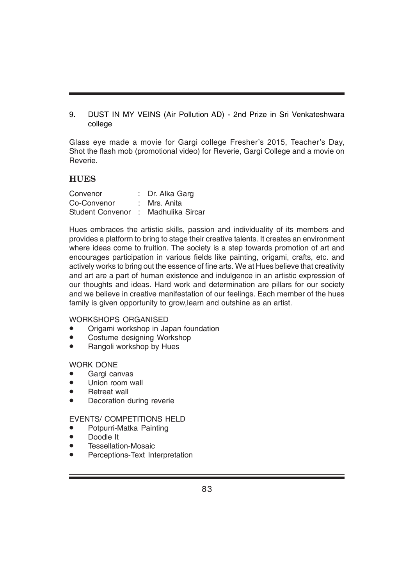9. DUST IN MY VEINS (Air Pollution AD) - 2nd Prize in Sri Venkateshwara college

Glass eye made a movie for Gargi college Fresher's 2015, Teacher's Day, Shot the flash mob (promotional video) for Reverie, Gargi College and a movie on Reverie.

#### **HUES**

| Convenor                            | : Dr. Alka Garg |
|-------------------------------------|-----------------|
| Co-Convenor                         | : Mrs. Anita    |
| Student Convenor : Madhulika Sircar |                 |

Hues embraces the artistic skills, passion and individuality of its members and provides a platform to bring to stage their creative talents. It creates an environment where ideas come to fruition. The society is a step towards promotion of art and encourages participation in various fields like painting, origami, crafts, etc. and actively works to bring out the essence of fine arts. We at Hues believe that creativity and art are a part of human existence and indulgence in an artistic expression of our thoughts and ideas. Hard work and determination are pillars for our society and we believe in creative manifestation of our feelings. Each member of the hues family is given opportunity to grow,learn and outshine as an artist.

#### WORKSHOPS ORGANISED

- Origami workshop in Japan foundation
- Costume designing Workshop
- Rangoli workshop by Hues

#### WORK DONE

- Gargi canvas
- Union room wall
- **Retreat wall**
- Decoration during reverie

#### EVENTS/ COMPETITIONS HELD

- Potpurri-Matka Painting
- Doodle It
- Tessellation-Mosaic
- Perceptions-Text Interpretation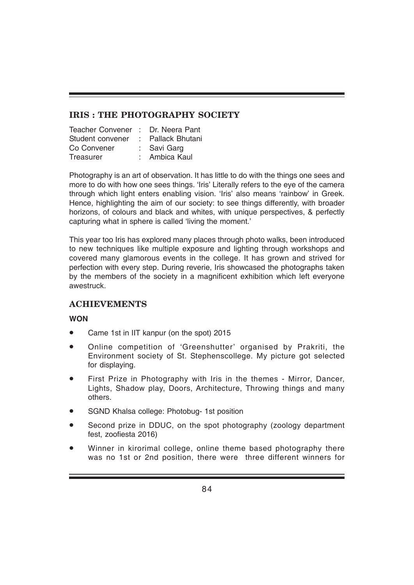## **IRIS : THE PHOTOGRAPHY SOCIETY**

| Teacher Convener : Dr. Neera Pant |                   |
|-----------------------------------|-------------------|
| Student convener                  | : Pallack Bhutani |
| Co Convener                       | : Savi Garg       |
| Treasurer                         | : Ambica Kaul     |

Photography is an art of observation. It has little to do with the things one sees and more to do with how one sees things. 'Iris' Literally refers to the eye of the camera through which light enters enabling vision. 'Iris' also means 'rainbow' in Greek. Hence, highlighting the aim of our society: to see things differently, with broader horizons, of colours and black and whites, with unique perspectives, & perfectly capturing what in sphere is called 'living the moment.'

This year too Iris has explored many places through photo walks, been introduced to new techniques like multiple exposure and lighting through workshops and covered many glamorous events in the college. It has grown and strived for perfection with every step. During reverie, Iris showcased the photographs taken by the members of the society in a magnificent exhibition which left everyone awestruck.

## **ACHIEVEMENTS**

#### **WON**

- Came 1st in IIT kanpur (on the spot) 2015
- Online competition of 'Greenshutter' organised by Prakriti, the Environment society of St. Stephenscollege. My picture got selected for displaying.
- First Prize in Photography with Iris in the themes Mirror, Dancer, Lights, Shadow play, Doors, Architecture, Throwing things and many others.
- SGND Khalsa college: Photobug- 1st position
- Second prize in DDUC, on the spot photography (zoology department fest, zoofiesta 2016)
- Winner in kirorimal college, online theme based photography there was no 1st or 2nd position, there were three different winners for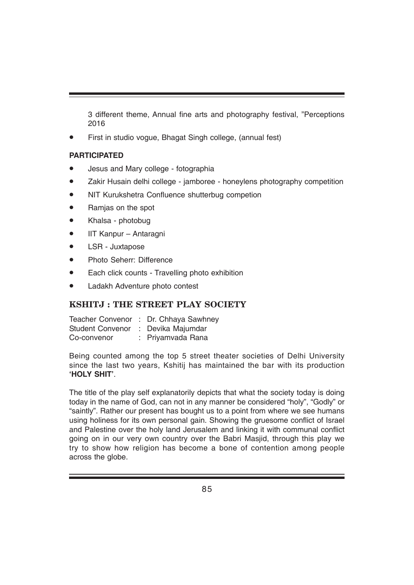3 different theme, Annual fine arts and photography festival, "Perceptions 2016

• First in studio vogue, Bhagat Singh college, (annual fest)

#### **PARTICIPATED**

- Jesus and Mary college fotographia
- Zakir Husain delhi college jamboree honeylens photography competition
- NIT Kurukshetra Confluence shutterbug competion
- Ramjas on the spot
- Khalsa photobug
- IIT Kanpur Antaragni
- LSR Juxtapose
- Photo Seherr: Difference
- Each click counts Travelling photo exhibition
- Ladakh Adventure photo contest

#### **KSHITJ : THE STREET PLAY SOCIETY**

|                         | Teacher Convenor : Dr. Chhaya Sawhney |
|-------------------------|---------------------------------------|
| <b>Student Convenor</b> | : Devika Majumdar                     |
| Co-convenor             | : Priyamvada Rana                     |

Being counted among the top 5 street theater societies of Delhi University since the last two years, Kshitij has maintained the bar with its production **'HOLY SHIT'**.

The title of the play self explanatorily depicts that what the society today is doing today in the name of God, can not in any manner be considered "holy", "Godly" or "saintly". Rather our present has bought us to a point from where we see humans using holiness for its own personal gain. Showing the gruesome conflict of Israel and Palestine over the holy land Jerusalem and linking it with communal conflict going on in our very own country over the Babri Masjid, through this play we try to show how religion has become a bone of contention among people across the globe.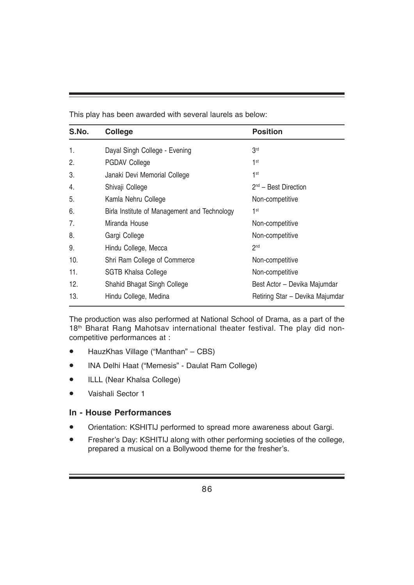This play has been awarded with several laurels as below:

| S.No. | <b>College</b>                               | <b>Position</b>                 |
|-------|----------------------------------------------|---------------------------------|
| 1.    | Dayal Singh College - Evening                | 3 <sup>rd</sup>                 |
| 2.    | <b>PGDAV College</b>                         | 1 <sup>st</sup>                 |
| 3.    | Janaki Devi Memorial College                 | 1 <sup>st</sup>                 |
| 4.    | Shivaji College                              | $2nd$ – Best Direction          |
| 5.    | Kamla Nehru College                          | Non-competitive                 |
| 6.    | Birla Institute of Management and Technology | 1 <sup>st</sup>                 |
| 7.    | Miranda House                                | Non-competitive                 |
| 8.    | Gargi College                                | Non-competitive                 |
| 9.    | Hindu College, Mecca                         | 2 <sub>nd</sub>                 |
| 10.   | Shri Ram College of Commerce                 | Non-competitive                 |
| 11.   | <b>SGTB Khalsa College</b>                   | Non-competitive                 |
| 12.   | Shahid Bhagat Singh College                  | Best Actor – Devika Majumdar    |
| 13.   | Hindu College, Medina                        | Retiring Star - Devika Majumdar |

The production was also performed at National School of Drama, as a part of the 18<sup>th</sup> Bharat Rang Mahotsav international theater festival. The play did noncompetitive performances at :

- HauzKhas Village ("Manthan" CBS)
- INA Delhi Haat ("Memesis" Daulat Ram College)
- ILLL (Near Khalsa College)
- Vaishali Sector 1

#### **In - House Performances**

- Orientation: KSHITIJ performed to spread more awareness about Gargi.
- Fresher's Day: KSHITIJ along with other performing societies of the college, prepared a musical on a Bollywood theme for the fresher's.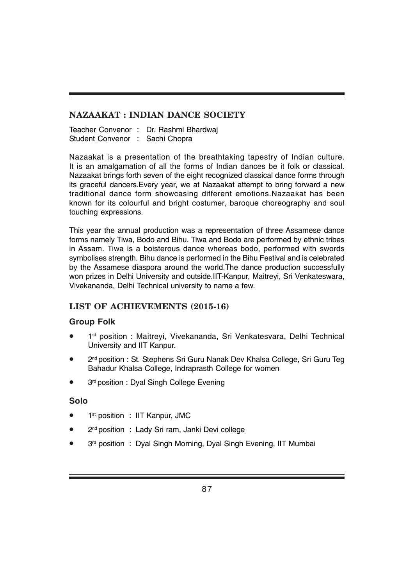### **NAZAAKAT : INDIAN DANCE SOCIETY**

Teacher Convenor : Dr. Rashmi Bhardwaj Student Convenor : Sachi Chopra

Nazaakat is a presentation of the breathtaking tapestry of Indian culture. It is an amalgamation of all the forms of Indian dances be it folk or classical. Nazaakat brings forth seven of the eight recognized classical dance forms through its graceful dancers.Every year, we at Nazaakat attempt to bring forward a new traditional dance form showcasing different emotions.Nazaakat has been known for its colourful and bright costumer, baroque choreography and soul touching expressions.

This year the annual production was a representation of three Assamese dance forms namely Tiwa, Bodo and Bihu. Tiwa and Bodo are performed by ethnic tribes in Assam. Tiwa is a boisterous dance whereas bodo, performed with swords symbolises strength. Bihu dance is performed in the Bihu Festival and is celebrated by the Assamese diaspora around the world.The dance production successfully won prizes in Delhi University and outside.IIT-Kanpur, Maitreyi, Sri Venkateswara, Vivekananda, Delhi Technical university to name a few.

#### **LIST OF ACHIEVEMENTS (2015-16)**

#### **Group Folk**

- 1<sup>st</sup> position : Maitreyi, Vivekananda, Sri Venkatesvara, Delhi Technical University and IIT Kanpur.
- 2<sup>nd</sup> position : St. Stephens Sri Guru Nanak Dev Khalsa College, Sri Guru Teg Bahadur Khalsa College, Indraprasth College for women
- 3rd position : Dyal Singh College Evening

#### **Solo**

- 1<sup>st</sup> position : IIT Kanpur, JMC
- 2<sup>nd</sup> position : Lady Sri ram, Janki Devi college
- 3<sup>rd</sup> position : Dyal Singh Morning, Dyal Singh Evening, IIT Mumbai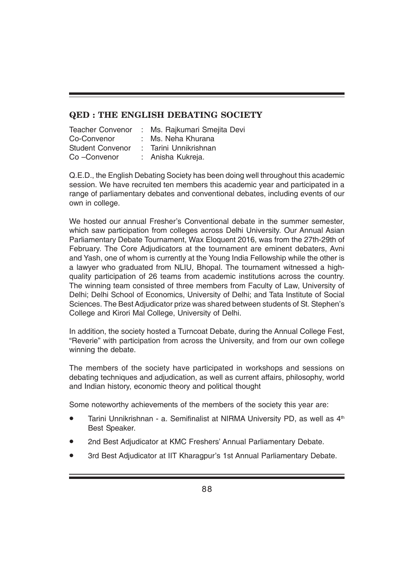#### **QED : THE ENGLISH DEBATING SOCIETY**

| <b>Teacher Convenor</b> | : Ms. Rajkumari Smejita Devi |
|-------------------------|------------------------------|
| Co-Convenor             | : Ms. Neha Khurana           |
| <b>Student Convenor</b> | : Tarini Unnikrishnan        |
| Co-Convenor             | : Anisha Kukreja.            |

Q.E.D., the English Debating Society has been doing well throughout this academic session. We have recruited ten members this academic year and participated in a range of parliamentary debates and conventional debates, including events of our own in college.

We hosted our annual Fresher's Conventional debate in the summer semester, which saw participation from colleges across Delhi University. Our Annual Asian Parliamentary Debate Tournament, Wax Eloquent 2016, was from the 27th-29th of February. The Core Adjudicators at the tournament are eminent debaters, Avni and Yash, one of whom is currently at the Young India Fellowship while the other is a lawyer who graduated from NLIU, Bhopal. The tournament witnessed a highquality participation of 26 teams from academic institutions across the country. The winning team consisted of three members from Faculty of Law, University of Delhi; Delhi School of Economics, University of Delhi; and Tata Institute of Social Sciences. The Best Adjudicator prize was shared between students of St. Stephen's College and Kirori Mal College, University of Delhi.

In addition, the society hosted a Turncoat Debate, during the Annual College Fest, "Reverie" with participation from across the University, and from our own college winning the debate.

The members of the society have participated in workshops and sessions on debating techniques and adjudication, as well as current affairs, philosophy, world and Indian history, economic theory and political thought

Some noteworthy achievements of the members of the society this year are:

- Tarini Unnikrishnan a. Semifinalist at NIRMA University PD, as well as 4<sup>th</sup> Best Speaker.
- 2nd Best Adjudicator at KMC Freshers' Annual Parliamentary Debate.
- 3rd Best Adjudicator at IIT Kharagpur's 1st Annual Parliamentary Debate.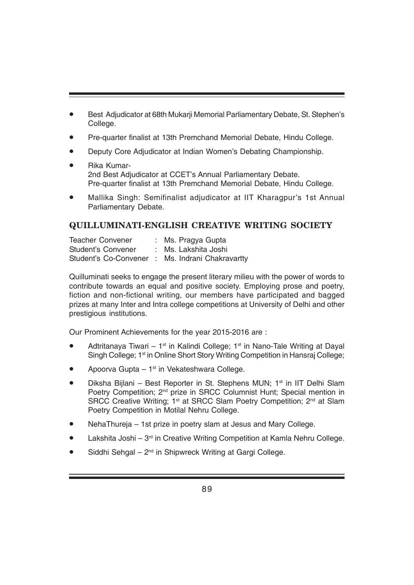- Best Adjudicator at 68th Mukarji Memorial Parliamentary Debate, St. Stephen's College.
- Pre-quarter finalist at 13th Premchand Memorial Debate, Hindu College.
- Deputy Core Adjudicator at Indian Women's Debating Championship.
- Rika Kumar-2nd Best Adjudicator at CCET's Annual Parliamentary Debate. Pre-quarter finalist at 13th Premchand Memorial Debate, Hindu College.
- Mallika Singh: Semifinalist adjudicator at IIT Kharagpur's 1st Annual Parliamentary Debate.

## **QUILLUMINATI-ENGLISH CREATIVE WRITING SOCIETY**

| <b>Teacher Convener</b> | : Ms. Pragya Gupta                               |
|-------------------------|--------------------------------------------------|
| Student's Convener      | Ms. Lakshita Joshi                               |
|                         | Student's Co-Convener : Ms. Indrani Chakravartty |

Quilluminati seeks to engage the present literary milieu with the power of words to contribute towards an equal and positive society. Employing prose and poetry, fiction and non-fictional writing, our members have participated and bagged prizes at many Inter and Intra college competitions at University of Delhi and other prestigious institutions.

Our Prominent Achievements for the year 2015-2016 are :

- Adtritanaya Tiwari 1<sup>st</sup> in Kalindi College; 1<sup>st</sup> in Nano-Tale Writing at Dayal Singh College; 1<sup>st</sup> in Online Short Story Writing Competition in Hansraj College;
- Apoorva Gupta 1st in Vekateshwara College.
- Diksha Bijlani Best Reporter in St. Stephens MUN; 1<sup>st</sup> in IIT Delhi Slam Poetry Competition; 2<sup>nd</sup> prize in SRCC Columnist Hunt; Special mention in SRCC Creative Writing; 1<sup>st</sup> at SRCC Slam Poetry Competition; 2<sup>nd</sup> at Slam Poetry Competition in Motilal Nehru College.
- NehaThureja 1st prize in poetry slam at Jesus and Mary College.
- Lakshita Joshi  $3<sup>rd</sup>$  in Creative Writing Competition at Kamla Nehru College.
- Siddhi Sehgal  $2<sup>nd</sup>$  in Shipwreck Writing at Gargi College.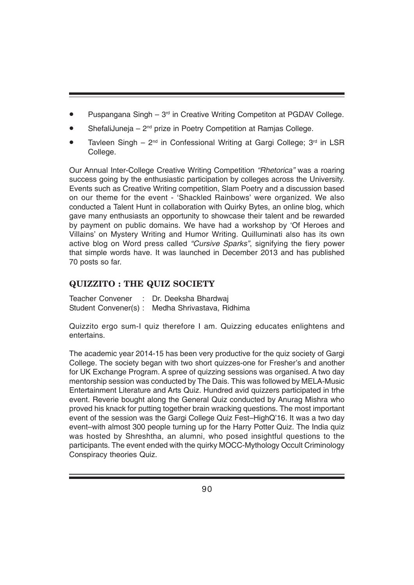- Puspangana Singh  $-3<sup>rd</sup>$  in Creative Writing Competiton at PGDAV College.
- ShefaliJuneja  $2<sup>nd</sup>$  prize in Poetry Competition at Ramias College.
- Tavleen Singh  $2^{nd}$  in Confessional Writing at Gargi College;  $3^{rd}$  in LSR College.

Our Annual Inter-College Creative Writing Competition *"Rhetorica"* was a roaring success going by the enthusiastic participation by colleges across the University. Events such as Creative Writing competition, Slam Poetry and a discussion based on our theme for the event - 'Shackled Rainbows' were organized. We also conducted a Talent Hunt in collaboration with Quirky Bytes, an online blog, which gave many enthusiasts an opportunity to showcase their talent and be rewarded by payment on public domains. We have had a workshop by 'Of Heroes and Villains' on Mystery Writing and Humor Writing. Quilluminati also has its own active blog on Word press called *"Cursive Sparks"*, signifying the fiery power that simple words have. It was launched in December 2013 and has published 70 posts so far.

## **QUIZZITO : THE QUIZ SOCIETY**

Teacher Convener : Dr. Deeksha Bhardwaj Student Convener(s) : Medha Shrivastava, Ridhima

Quizzito ergo sum-I quiz therefore I am. Quizzing educates enlightens and entertains.

The academic year 2014-15 has been very productive for the quiz society of Gargi College. The society began with two short quizzes-one for Fresher's and another for UK Exchange Program. A spree of quizzing sessions was organised. A two day mentorship session was conducted by The Dais. This was followed by MELA-Music Entertainment Literature and Arts Quiz. Hundred avid quizzers participated in trhe event. Reverie bought along the General Quiz conducted by Anurag Mishra who proved his knack for putting together brain wracking questions. The most important event of the session was the Gargi College Quiz Fest–HighQ'16. It was a two day event–with almost 300 people turning up for the Harry Potter Quiz. The India quiz was hosted by Shreshtha, an alumni, who posed insightful questions to the participants. The event ended with the quirky MOCC-Mythology Occult Criminology Conspiracy theories Quiz.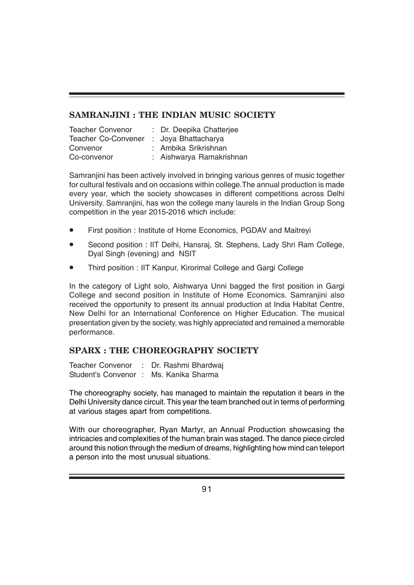### **SAMRANJINI : THE INDIAN MUSIC SOCIETY**

| <b>Teacher Convenor</b> | : Dr. Deepika Chatterjee |
|-------------------------|--------------------------|
| Teacher Co-Convener     | : Joya Bhattacharya      |
| Convenor                | : Ambika Srikrishnan     |
| Co-convenor             | : Aishwarya Ramakrishnan |

Samranjini has been actively involved in bringing various genres of music together for cultural festivals and on occasions within college.The annual production is made every year, which the society showcases in different competitions across Delhi University. Samranjini, has won the college many laurels in the Indian Group Song competition in the year 2015-2016 which include:

- First position : Institute of Home Economics, PGDAV and Maitreyi
- Second position : IIT Delhi, Hansraj, St. Stephens, Lady Shri Ram College, Dyal Singh (evening) and NSIT
- Third position : IIT Kanpur, Kirorimal College and Gargi College

In the category of Light solo, Aishwarya Unni bagged the first position in Gargi College and second position in Institute of Home Economics. Samranjini also received the opportunity to present its annual production at India Habitat Centre, New Delhi for an International Conference on Higher Education. The musical presentation given by the society, was highly appreciated and remained a memorable performance.

## **SPARX : THE CHOREOGRAPHY SOCIETY**

Teacher Convenor : Dr. Rashmi Bhardwaj Student's Convenor : Ms. Kanika Sharma

The choreography society, has managed to maintain the reputation it bears in the Delhi University dance circuit. This year the team branched out in terms of performing at various stages apart from competitions.

With our choreographer, Ryan Martyr, an Annual Production showcasing the intricacies and complexities of the human brain was staged. The dance piece circled around this notion through the medium of dreams, highlighting how mind can teleport a person into the most unusual situations.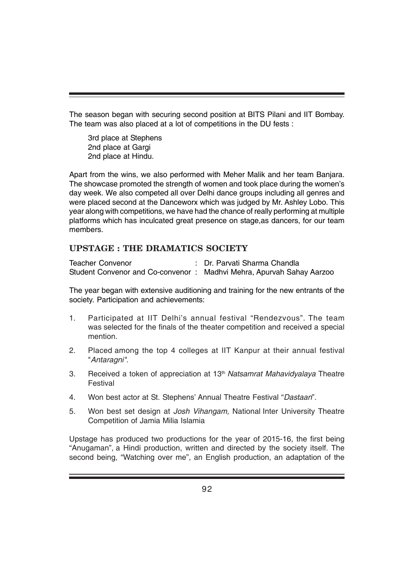The season began with securing second position at BITS Pilani and IIT Bombay. The team was also placed at a lot of competitions in the DU fests :

3rd place at Stephens 2nd place at Gargi 2nd place at Hindu.

Apart from the wins, we also performed with Meher Malik and her team Banjara. The showcase promoted the strength of women and took place during the women's day week. We also competed all over Delhi dance groups including all genres and were placed second at the Danceworx which was judged by Mr. Ashley Lobo. This year along with competitions, we have had the chance of really performing at multiple platforms which has inculcated great presence on stage,as dancers, for our team members.

#### **UPSTAGE : THE DRAMATICS SOCIETY**

Teacher Convenor : Dr. Parvati Sharma Chandla Student Convenor and Co-convenor : Madhvi Mehra, Apurvah Sahay Aarzoo

The year began with extensive auditioning and training for the new entrants of the society. Participation and achievements:

- 1. Participated at IIT Delhi's annual festival "Rendezvous". The team was selected for the finals of the theater competition and received a special mention.
- 2. Placed among the top 4 colleges at IIT Kanpur at their annual festival "*Antaragni".*
- 3. Received a token of appreciation at 13th *Natsamrat Mahavidyalaya* Theatre Festival
- 4. Won best actor at St. Stephens' Annual Theatre Festival "*Dastaan*".
- 5. Won best set design at *Josh Vihangam,* National Inter University Theatre Competition of Jamia Milia Islamia

Upstage has produced two productions for the year of 2015-16, the first being "Anugaman", a Hindi production, written and directed by the society itself. The second being, "Watching over me", an English production, an adaptation of the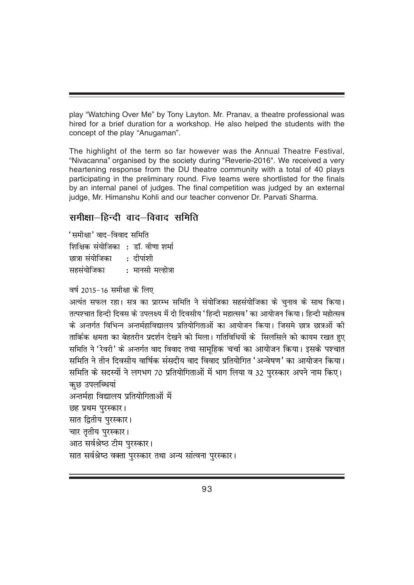play "Watching Over Me" by Tony Layton. Mr. Pranav, a theatre professional was hired for a brief duration for a workshop. He also helped the students with the concept of the play "Anugaman".

The highlight of the term so far however was the Annual Theatre Festival, "Nivacanna" organised by the society during "Reverie-2016". We received a very heartening response from the DU theatre community with a total of 40 plays participating in the preliminary round. Five teams were shortlisted for the finals by an internal panel of judges. The final competition was judged by an external judge, Mr. Himanshu Kohli and our teacher convenor Dr. Parvati Sharma.

## समीक्षा $-\epsilon$ हिन्दी वाद $-\epsilon$ विवाद समिति

'समीक्षा' वाद-विवाद समिति शिक्षिक संयोजिका : डॉ. वीणा शर्मा ब्बत्रा संयोजिका $\qquad \cdot$  तीपांशी सहसंयोजिका $\begin{array}{ccc} \cdot & \text{#} & \text{#} \end{array}$ सहसंयोजिका

वर्ष 2015-16 समीक्षा के लिए

```
अत्यंत सफल रहा। सत्र का प्रारम्भ समिति ने संयोजिका सहसंयोजिका के चनाव के साथ किया।
तत्पश्चात हिन्दी दिवस के उपलक्ष्य में दो दिवसीय 'हिन्दी महात्सव' का आयोजन किया। हिन्दी महोत्सव
के अन्तर्गत विभिन्न अन्तर्महाविद्यालय प्रतियोगिताओं का आयोजन किया। जिसमे छात्र छात्रओं की
तार्किक क्षमता का बेहतरीन प्रदर्शन देखने को मिला। गतिविधियों के  सिलसिले को कायम रखत हुए
समिति ने 'रेवरी' के अन्तर्गत वाद विवाद तथा सामहिक चर्चा का आयोजन किया। इसके पश्चात
समिति ने तीन दिवसीय वार्षिक संसदीय वाद विवाद प्रतियोगित 'अन्वेषण' का आयोजन किया।
समिति के सदस्यों ने लगभग 70 प्रतियोगिताओं में भाग लिया व 32 पुरस्कार अपने नाम किए।
कछ उपलब्धियां
अन्तर्महा विद्यालय प्रतियोगिताओं में
छह प्रथम पुरस्कार।
सात द्वितीय पुरस्कार।
चार तृतीय पुरस्कार।
आठ सर्वश्रेष्ठ टीम पुरस्कार।
सात सर्वश्रेष्ठ वक्ता पुरस्कार तथा अन्य सांत्वना पुरस्कार।
```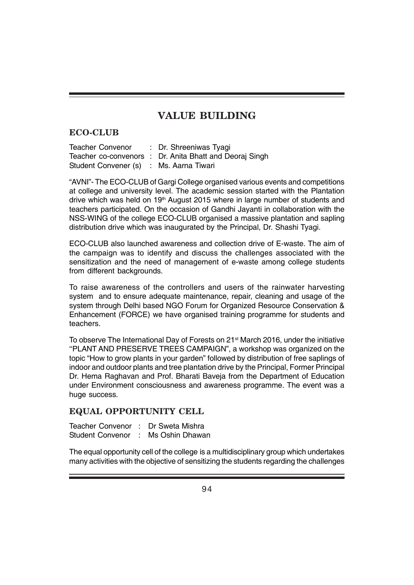## **VALUE BUILDING**

#### **ECO-CLUB**

Teacher Convenor : Dr. Shreeniwas Tyagi Teacher co-convenors : Dr. Anita Bhatt and Deoraj Singh Student Convener (s) : Ms. Aarna Tiwari

"AVNI"- The ECO-CLUB of Gargi College organised various events and competitions at college and university level. The academic session started with the Plantation drive which was held on  $19<sup>th</sup>$  August 2015 where in large number of students and teachers participated. On the occasion of Gandhi Jayanti in collaboration with the NSS-WING of the college ECO-CLUB organised a massive plantation and sapling distribution drive which was inaugurated by the Principal, Dr. Shashi Tyagi.

ECO-CLUB also launched awareness and collection drive of E-waste. The aim of the campaign was to identify and discuss the challenges associated with the sensitization and the need of management of e-waste among college students from different backgrounds.

To raise awareness of the controllers and users of the rainwater harvesting system and to ensure adequate maintenance, repair, cleaning and usage of the system through Delhi based NGO Forum for Organized Resource Conservation & Enhancement (FORCE) we have organised training programme for students and teachers.

To observe The International Day of Forests on 21<sup>st</sup> March 2016, under the initiative ''PLANT AND PRESERVE TREES CAMPAIGN", a workshop was organized on the topic "How to grow plants in your garden" followed by distribution of free saplings of indoor and outdoor plants and tree plantation drive by the Principal, Former Principal Dr. Hema Raghavan and Prof. Bharati Baveja from the Department of Education under Environment consciousness and awareness programme. The event was a huge success.

#### **EQUAL OPPORTUNITY CELL**

Teacher Convenor : Dr Sweta Mishra Student Convenor : Ms Oshin Dhawan

The equal opportunity cell of the college is a multidisciplinary group which undertakes many activities with the objective of sensitizing the students regarding the challenges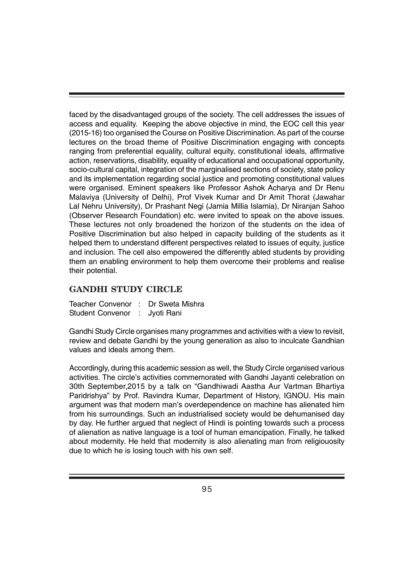faced by the disadvantaged groups of the society. The cell addresses the issues of access and equality. Keeping the above objective in mind, the EOC cell this year (2015-16) too organised the Course on Positive Discrimination. As part of the course lectures on the broad theme of Positive Discrimination engaging with concepts ranging from preferential equality, cultural equity, constitutional ideals, affirmative action, reservations, disability, equality of educational and occupational opportunity, socio-cultural capital, integration of the marginalised sections of society, state policy and its implementation regarding social justice and promoting constitutional values were organised. Eminent speakers like Professor Ashok Acharya and Dr Renu Malaviya (University of Delhi), Prof Vivek Kumar and Dr Amit Thorat (Jawahar Lal Nehru University), Dr Prashant Negi (Jamia Millia Islamia), Dr Niranjan Sahoo (Observer Research Foundation) etc. were invited to speak on the above issues. These lectures not only broadened the horizon of the students on the idea of Positive Discrimination but also helped in capacity building of the students as it helped them to understand different perspectives related to issues of equity, justice and inclusion. The cell also empowered the differently abled students by providing them an enabling environment to help them overcome their problems and realise their potential.

## **GANDHI STUDY CIRCLE**

| Teacher Convenor : Dr Sweta Mishra |  |
|------------------------------------|--|
| Student Convenor : Jyoti Rani      |  |

Gandhi Study Circle organises many programmes and activities with a view to revisit, review and debate Gandhi by the young generation as also to inculcate Gandhian values and ideals among them.

Accordingly, during this academic session as well, the Study Circle organised various activities. The circle's activities commemorated with Gandhi Jayanti celebration on 30th September,2015 by a talk on "Gandhiwadi Aastha Aur Vartman Bhartiya Paridrishya" by Prof. Ravindra Kumar, Department of History, IGNOU. His main argument was that modern man's overdependence on machine has alienated him from his surroundings. Such an industrialised society would be dehumanised day by day. He further argued that neglect of Hindi is pointing towards such a process of alienation as native language is a tool of human emancipation. Finally, he talked about modernity. He held that modernity is also alienating man from religiouosity due to which he is losing touch with his own self.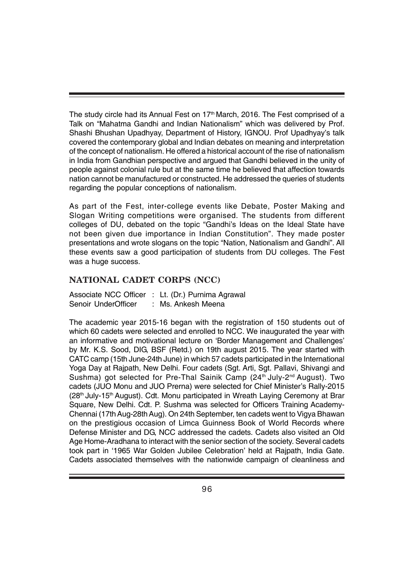The study circle had its Annual Fest on 17<sup>th</sup> March, 2016. The Fest comprised of a Talk on "Mahatma Gandhi and Indian Nationalism" which was delivered by Prof. Shashi Bhushan Upadhyay, Department of History, IGNOU. Prof Upadhyay's talk covered the contemporary global and Indian debates on meaning and interpretation of the concept of nationalism. He offered a historical account of the rise of nationalism in India from Gandhian perspective and argued that Gandhi believed in the unity of people against colonial rule but at the same time he believed that affection towards nation cannot be manufactured or constructed. He addressed the queries of students regarding the popular conceptions of nationalism.

As part of the Fest, inter-college events like Debate, Poster Making and Slogan Writing competitions were organised. The students from different colleges of DU, debated on the topic "Gandhi's Ideas on the Ideal State have not been given due importance in Indian Constitution". They made poster presentations and wrote slogans on the topic "Nation, Nationalism and Gandhi". All these events saw a good participation of students from DU colleges. The Fest was a huge success.

#### **NATIONAL CADET CORPS (NCC)**

|                     | Associate NCC Officer : Lt. (Dr.) Purnima Agrawal |
|---------------------|---------------------------------------------------|
| Senoir UnderOfficer | : Ms. Ankesh Meena                                |

The academic year 2015-16 began with the registration of 150 students out of which 60 cadets were selected and enrolled to NCC. We inaugurated the year with an informative and motivational lecture on 'Border Management and Challenges' by Mr. K.S. Sood, DIG, BSF (Retd.) on 19th august 2015. The year started with CATC camp (15th June-24th June) in which 57 cadets participated in the International Yoga Day at Rajpath, New Delhi. Four cadets (Sgt. Arti, Sgt. Pallavi, Shivangi and Sushma) got selected for Pre-Thal Sainik Camp (24<sup>th</sup> July-2<sup>nd</sup> August). Two cadets (JUO Monu and JUO Prerna) were selected for Chief Minister's Rally-2015 (28<sup>th</sup> July-15<sup>th</sup> August). Cdt. Monu participated in Wreath Laying Ceremony at Brar Square, New Delhi. Cdt. P. Sushma was selected for Officers Training Academy-Chennai (17th Aug-28th Aug). On 24th September, ten cadets went to Vigya Bhawan on the prestigious occasion of Limca Guinness Book of World Records where Defense Minister and DG, NCC addressed the cadets. Cadets also visited an Old Age Home-Aradhana to interact with the senior section of the society. Several cadets took part in '1965 War Golden Jubilee Celebration' held at Rajpath, India Gate. Cadets associated themselves with the nationwide campaign of cleanliness and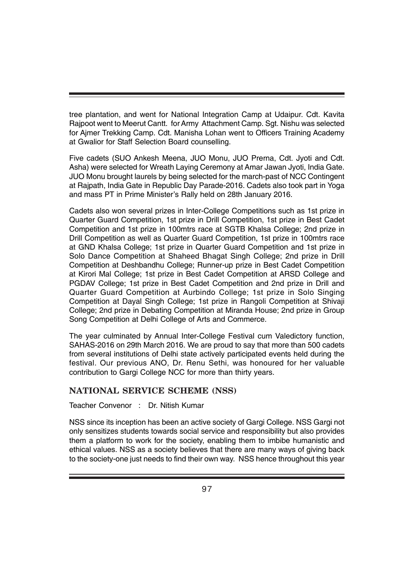tree plantation, and went for National Integration Camp at Udaipur. Cdt. Kavita Rajpoot went to Meerut Cantt. for Army Attachment Camp. Sgt. Nishu was selected for Ajmer Trekking Camp. Cdt. Manisha Lohan went to Officers Training Academy at Gwalior for Staff Selection Board counselling.

Five cadets (SUO Ankesh Meena, JUO Monu, JUO Prerna, Cdt. Jyoti and Cdt. Asha) were selected for Wreath Laying Ceremony at Amar Jawan Jyoti, India Gate. JUO Monu brought laurels by being selected for the march-past of NCC Contingent at Rajpath, India Gate in Republic Day Parade-2016. Cadets also took part in Yoga and mass PT in Prime Minister's Rally held on 28th January 2016.

Cadets also won several prizes in Inter-College Competitions such as 1st prize in Quarter Guard Competition, 1st prize in Drill Competition, 1st prize in Best Cadet Competition and 1st prize in 100mtrs race at SGTB Khalsa College; 2nd prize in Drill Competition as well as Quarter Guard Competition, 1st prize in 100mtrs race at GND Khalsa College; 1st prize in Quarter Guard Competition and 1st prize in Solo Dance Competition at Shaheed Bhagat Singh College; 2nd prize in Drill Competition at Deshbandhu College; Runner-up prize in Best Cadet Competition at Kirori Mal College; 1st prize in Best Cadet Competition at ARSD College and PGDAV College; 1st prize in Best Cadet Competition and 2nd prize in Drill and Quarter Guard Competition at Aurbindo College; 1st prize in Solo Singing Competition at Dayal Singh College; 1st prize in Rangoli Competition at Shivaji College; 2nd prize in Debating Competition at Miranda House; 2nd prize in Group Song Competition at Delhi College of Arts and Commerce.

The year culminated by Annual Inter-College Festival cum Valedictory function, SAHAS-2016 on 29th March 2016. We are proud to say that more than 500 cadets from several institutions of Delhi state actively participated events held during the festival. Our previous ANO, Dr. Renu Sethi, was honoured for her valuable contribution to Gargi College NCC for more than thirty years.

#### **NATIONAL SERVICE SCHEME (NSS)**

Teacher Convenor : Dr. Nitish Kumar

NSS since its inception has been an active society of Gargi College. NSS Gargi not only sensitizes students towards social service and responsibility but also provides them a platform to work for the society, enabling them to imbibe humanistic and ethical values. NSS as a society believes that there are many ways of giving back to the society-one just needs to find their own way. NSS hence throughout this year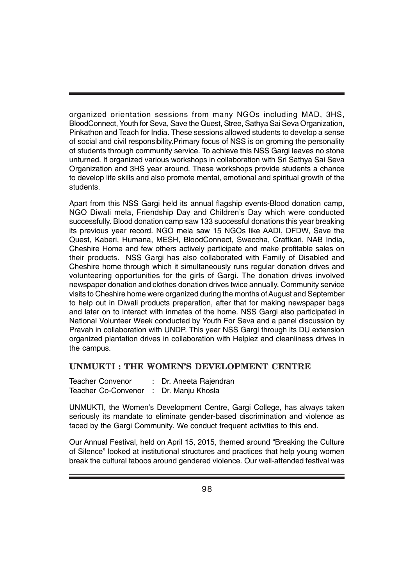organized orientation sessions from many NGOs including MAD, 3HS, BloodConnect, Youth for Seva, Save the Quest, Stree, Sathya Sai Seva Organization, Pinkathon and Teach for India. These sessions allowed students to develop a sense of social and civil responsibility.Primary focus of NSS is on groming the personality of students through community service. To achieve this NSS Gargi leaves no stone unturned. It organized various workshops in collaboration with Sri Sathya Sai Seva Organization and 3HS year around. These workshops provide students a chance to develop life skills and also promote mental, emotional and spiritual growth of the students.

Apart from this NSS Gargi held its annual flagship events-Blood donation camp, NGO Diwali mela, Friendship Day and Children's Day which were conducted successfully. Blood donation camp saw 133 successful donations this year breaking its previous year record. NGO mela saw 15 NGOs like AADI, DFDW, Save the Quest, Kaberi, Humana, MESH, BloodConnect, Sweccha, Craftkari, NAB India, Cheshire Home and few others actively participate and make profitable sales on their products. NSS Gargi has also collaborated with Family of Disabled and Cheshire home through which it simultaneously runs regular donation drives and volunteering opportunities for the girls of Gargi. The donation drives involved newspaper donation and clothes donation drives twice annually. Community service visits to Cheshire home were organized during the months of August and September to help out in Diwali products preparation, after that for making newspaper bags and later on to interact with inmates of the home. NSS Gargi also participated in National Volunteer Week conducted by Youth For Seva and a panel discussion by Pravah in collaboration with UNDP. This year NSS Gargi through its DU extension organized plantation drives in collaboration with Helpiez and cleanliness drives in the campus.

#### **UNMUKTI : THE WOMEN'S DEVELOPMENT CENTRE**

| <b>Teacher Convenor</b>                | Dr. Aneeta Rajendran |
|----------------------------------------|----------------------|
| Teacher Co-Convenor : Dr. Manju Khosla |                      |

UNMUKTI, the Women's Development Centre, Gargi College, has always taken seriously its mandate to eliminate gender-based discrimination and violence as faced by the Gargi Community. We conduct frequent activities to this end.

Our Annual Festival, held on April 15, 2015, themed around "Breaking the Culture of Silence" looked at institutional structures and practices that help young women break the cultural taboos around gendered violence. Our well-attended festival was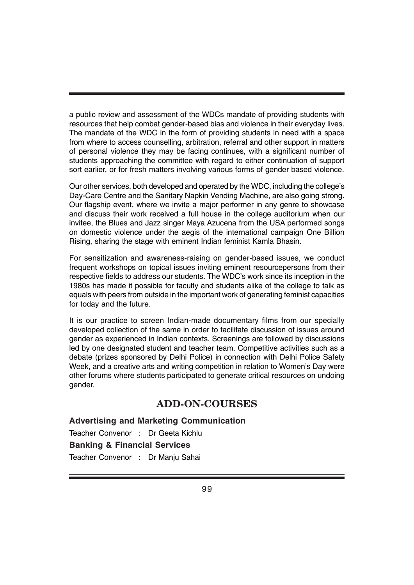a public review and assessment of the WDCs mandate of providing students with resources that help combat gender-based bias and violence in their everyday lives. The mandate of the WDC in the form of providing students in need with a space from where to access counselling, arbitration, referral and other support in matters of personal violence they may be facing continues, with a significant number of students approaching the committee with regard to either continuation of support sort earlier, or for fresh matters involving various forms of gender based violence.

Our other services, both developed and operated by the WDC, including the college's Day-Care Centre and the Sanitary Napkin Vending Machine, are also going strong. Our flagship event, where we invite a major performer in any genre to showcase and discuss their work received a full house in the college auditorium when our invitee, the Blues and Jazz singer Maya Azucena from the USA performed songs on domestic violence under the aegis of the international campaign One Billion Rising, sharing the stage with eminent Indian feminist Kamla Bhasin.

For sensitization and awareness-raising on gender-based issues, we conduct frequent workshops on topical issues inviting eminent resourcepersons from their respective fields to address our students. The WDC's work since its inception in the 1980s has made it possible for faculty and students alike of the college to talk as equals with peers from outside in the important work of generating feminist capacities for today and the future.

It is our practice to screen Indian-made documentary films from our specially developed collection of the same in order to facilitate discussion of issues around gender as experienced in Indian contexts. Screenings are followed by discussions led by one designated student and teacher team. Competitive activities such as a debate (prizes sponsored by Delhi Police) in connection with Delhi Police Safety Week, and a creative arts and writing competition in relation to Women's Day were other forums where students participated to generate critical resources on undoing gender.

## **ADD-ON-COURSES**

#### **Advertising and Marketing Communication**

Teacher Convenor : Dr Geeta Kichlu **Banking & Financial Services** Teacher Convenor : Dr Manju Sahai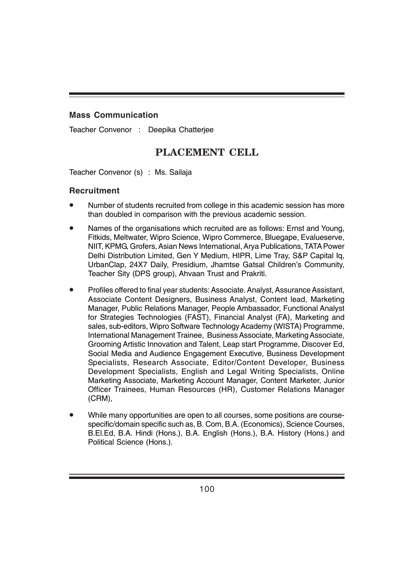#### **Mass Communication**

Teacher Convenor : Deepika Chatterjee

## **PLACEMENT CELL**

Teacher Convenor (s) : Ms. Sailaja

#### **Recruitment**

- Number of students recruited from college in this academic session has more than doubled in comparison with the previous academic session.
- Names of the organisations which recruited are as follows: Ernst and Young, Fitkids, Meltwater, Wipro Science, Wipro Commerce, Bluegape, Evalueserve, NIIT, KPMG, Grofers, Asian News International, Arya Publications, TATA Power Delhi Distribution Limited, Gen Y Medium, HIPR, Lime Tray, S&P Capital Iq, UrbanClap, 24X7 Daily, Presidium, Jhamtse Gatsal Children's Community, Teacher Sity (DPS group), Ahvaan Trust and Prakriti.
- Profiles offered to final year students: Associate. Analyst, Assurance Assistant, Associate Content Designers, Business Analyst, Content lead, Marketing Manager, Public Relations Manager, People Ambassador, Functional Analyst for Strategies Technologies (FAST), Financial Analyst (FA), Marketing and sales, sub-editors, Wipro Software Technology Academy (WISTA) Programme, International Management Trainee, Business Associate, Marketing Associate, Grooming Artistic Innovation and Talent, Leap start Programme, Discover Ed, Social Media and Audience Engagement Executive, Business Development Specialists, Research Associate, Editor/Content Developer, Business Development Specialists, English and Legal Writing Specialists, Online Marketing Associate, Marketing Account Manager, Content Marketer, Junior Officer Trainees, Human Resources (HR), Customer Relations Manager (CRM),
- While many opportunities are open to all courses, some positions are coursespecific/domain specific such as, B. Com, B.A. (Economics), Science Courses, B.El.Ed, B.A. Hindi (Hons.), B.A. English (Hons.), B.A. History (Hons.) and Political Science (Hons.).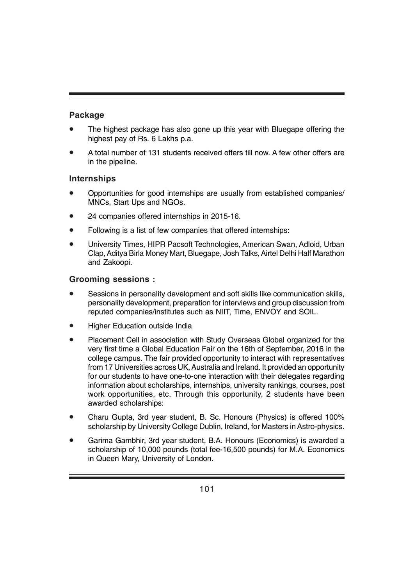#### **Package**

- The highest package has also gone up this year with Bluegape offering the highest pay of Rs. 6 Lakhs p.a.
- A total number of 131 students received offers till now. A few other offers are in the pipeline.

#### **Internships**

- Opportunities for good internships are usually from established companies/ MNCs, Start Ups and NGOs.
- 24 companies offered internships in 2015-16.
- Following is a list of few companies that offered internships:
- University Times, HIPR Pacsoft Technologies, American Swan, Adloid, Urban Clap, Aditya Birla Money Mart, Bluegape, Josh Talks, Airtel Delhi Half Marathon and Zakoopi.

#### **Grooming sessions :**

- Sessions in personality development and soft skills like communication skills, personality development, preparation for interviews and group discussion from reputed companies/institutes such as NIIT, Time, ENVOY and SOIL.
- Higher Education outside India
- Placement Cell in association with Study Overseas Global organized for the very first time a Global Education Fair on the 16th of September, 2016 in the college campus. The fair provided opportunity to interact with representatives from 17 Universities across UK, Australia and Ireland. It provided an opportunity for our students to have one-to-one interaction with their delegates regarding information about scholarships, internships, university rankings, courses, post work opportunities, etc. Through this opportunity, 2 students have been awarded scholarships:
- Charu Gupta, 3rd year student, B. Sc. Honours (Physics) is offered 100% scholarship by University College Dublin, Ireland, for Masters in Astro-physics.
- Garima Gambhir, 3rd year student, B.A. Honours (Economics) is awarded a scholarship of 10,000 pounds (total fee-16,500 pounds) for M.A. Economics in Queen Mary, University of London.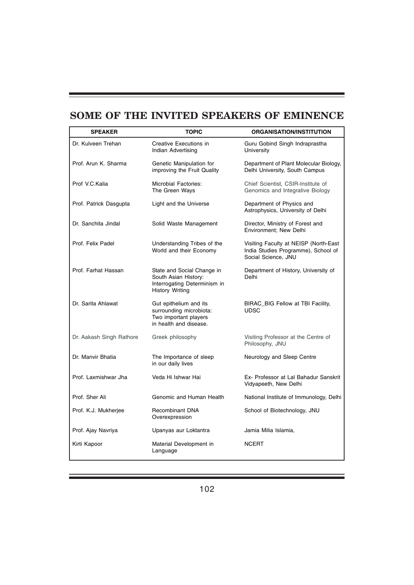# **SOME OF THE INVITED SPEAKERS OF EMINENCE**

| <b>SPEAKER</b>           | <b>TOPIC</b>                                                                                                 | <b>ORGANISATION/INSTITUTION</b>                                                                     |
|--------------------------|--------------------------------------------------------------------------------------------------------------|-----------------------------------------------------------------------------------------------------|
| Dr. Kulveen Trehan       | Creative Executions in<br>Indian Advertising                                                                 | Guru Gobind Singh Indraprastha<br>University                                                        |
| Prof. Arun K. Sharma     | Genetic Manipulation for<br>improving the Fruit Quality                                                      | Department of Plant Molecular Biology,<br>Delhi University, South Campus                            |
| Prof V.C.Kalia           | Microbial Factories:<br>The Green Ways                                                                       | Chief Scientist, CSIR-Institute of<br>Genomics and Integrative Biology                              |
| Prof. Patrick Dasgupta   | Light and the Universe                                                                                       | Department of Physics and<br>Astrophysics, University of Delhi                                      |
| Dr. Sanchita Jindal      | Solid Waste Management                                                                                       | Director, Ministry of Forest and<br>Environment; New Delhi                                          |
| Prof. Felix Padel        | Understanding Tribes of the<br>World and their Economy                                                       | Visiting Faculty at NEISP (North-East<br>India Studies Programme), School of<br>Social Science, JNU |
| Prof. Farhat Hassan      | State and Social Change in<br>South Asian History:<br>Interrogating Determinism in<br><b>History Writing</b> | Department of History, University of<br>Delhi                                                       |
| Dr. Sarita Ahlawat       | Gut epithelium and its<br>surrounding microbiota:<br>Two important players<br>in health and disease.         | BIRAC_BIG Fellow at TBI Facility,<br><b>UDSC</b>                                                    |
| Dr. Aakash Singh Rathore | Greek philosophy                                                                                             | Visiting Professor at the Centre of<br>Philosophy, JNU                                              |
| Dr. Manvir Bhatia        | The Importance of sleep<br>in our daily lives                                                                | Neurology and Sleep Centre                                                                          |
| Prof. Laxmishwar Jha     | Veda Hi Ishwar Hai                                                                                           | Ex- Professor at Lal Bahadur Sanskrit<br>Vidyapeeth, New Delhi                                      |
| Prof. Sher Ali           | Genomic and Human Health                                                                                     | National Institute of Immunology, Delhi                                                             |
| Prof. K.J. Mukherjee     | Recombinant DNA<br>Overexpression                                                                            | School of Biotechnology, JNU                                                                        |
| Prof. Ajay Navriya       | Upanyas aur Loktantra                                                                                        | Jamia Milia Islamia,                                                                                |
| Kirti Kapoor             | Material Development in<br>Language                                                                          | <b>NCERT</b>                                                                                        |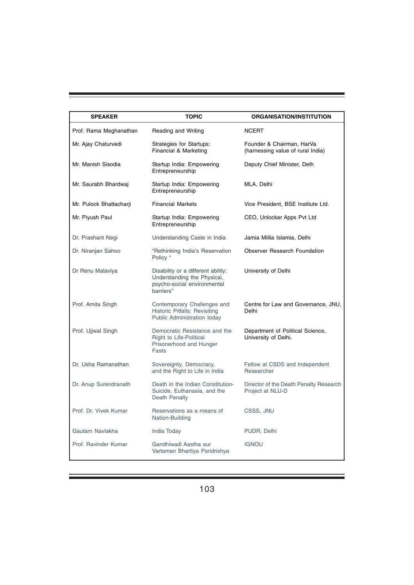| <b>SPEAKER</b>          | <b>TOPIC</b>                                                                                                  | <b>ORGANISATION/INSTITUTION</b>                                |
|-------------------------|---------------------------------------------------------------------------------------------------------------|----------------------------------------------------------------|
| Prof. Rama Meghanathan  | Reading and Writing                                                                                           | <b>NCERT</b>                                                   |
| Mr. Ajay Chaturvedi     | Strategies for Startups:<br>Financial & Marketing                                                             | Founder & Chairman, HarVa<br>(harnessing value of rural India) |
| Mr. Manish Sisodia      | Startup India: Empowering<br>Entrepreneurship                                                                 | Deputy Chief Minister, Delh                                    |
| Mr. Saurabh Bhardwai    | Startup India: Empowering<br>Entrepreneurship                                                                 | MLA, Delhi                                                     |
| Mr. Pulock Bhattacharji | <b>Financial Markets</b>                                                                                      | Vice President, BSE Institute Ltd.                             |
| Mr. Piyush Paul         | Startup India: Empowering<br>Entrepreneurship                                                                 | CEO, Unlockar Apps Pvt Ltd                                     |
| Dr. Prashant Negi       | Understanding Caste in India                                                                                  | Jamia Millia Islamia, Delhi                                    |
| Dr. Niranjan Sahoo      | "Rethinking India's Reservation<br>Policy "                                                                   | Observer Research Foundation                                   |
| Dr Renu Malaviya        | Disability or a different ability:<br>Understanding the Physical,<br>psycho-social environmental<br>barriers" | University of Delhi                                            |
| Prof. Amita Singh       | Contemporary Challenges and<br>Historic Pitfalls: Revisiting<br>Public Administration today                   | Centre for Law and Governance, JNU,<br>Delhi                   |
| Prof. Ujjwal Singh      | Democratic Resistance and the<br>Right to Life-Political<br>Prisonerhood and Hunger<br>Fasts                  | Department of Political Science,<br>University of Delhi.       |
| Dr. Usha Ramanathan     | Sovereignty, Democracy,<br>and the Right to Life in India                                                     | Fellow at CSDS and Independent<br>Researcher                   |
| Dr. Anup Surendranath   | Death in the Indian Constitution-<br>Suicide, Euthanasia, and the<br>Death Penalty                            | Director of the Death Penalty Research<br>Project at NLU-D     |
| Prof. Dr. Vivek Kumar   | Reservations as a means of<br>Nation-Building                                                                 | CSSS, JNU                                                      |
| Gautam Navlakha         | India Today                                                                                                   | PUDR, Delhi                                                    |
| Prof. Ravinder Kumar    | Gandhiwadi Aastha aur<br>Vartaman Bhartiya Paridrishya                                                        | <b>IGNOU</b>                                                   |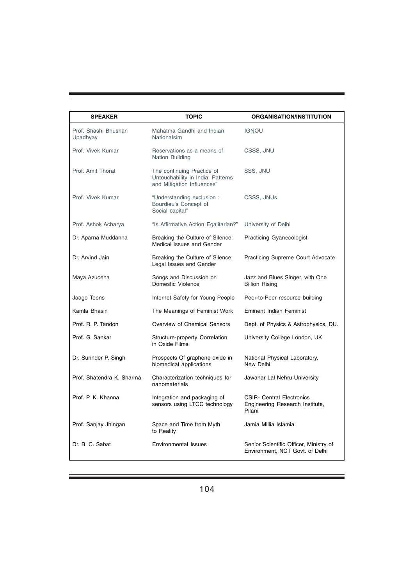| <b>SPEAKER</b>                   | <b>TOPIC</b>                                                                                  | <b>ORGANISATION/INSTITUTION</b>                                               |
|----------------------------------|-----------------------------------------------------------------------------------------------|-------------------------------------------------------------------------------|
| Prof. Shashi Bhushan<br>Upadhyay | Mahatma Gandhi and Indian<br>Nationalsim                                                      | <b>IGNOU</b>                                                                  |
| Prof. Vivek Kumar                | Reservations as a means of<br>Nation Building                                                 | CSSS, JNU                                                                     |
| Prof. Amit Thorat                | The continuing Practice of<br>Untouchability in India: Patterns<br>and Mitigation Influences" | SSS, JNU                                                                      |
| Prof. Vivek Kumar                | "Understanding exclusion :<br>Bourdieu's Concept of<br>Social capital"                        | CSSS, JNUs                                                                    |
| Prof. Ashok Acharya              | "Is Affirmative Action Egalitarian?"                                                          | University of Delhi                                                           |
| Dr. Aparna Muddanna              | Breaking the Culture of Silence:<br>Medical Issues and Gender                                 | <b>Practicing Gyanecologist</b>                                               |
| Dr. Arvind Jain                  | Breaking the Culture of Silence:<br>Legal Issues and Gender                                   | <b>Practicing Supreme Court Advocate</b>                                      |
| Maya Azucena                     | Songs and Discussion on<br>Domestic Violence                                                  | Jazz and Blues Singer, with One<br><b>Billion Rising</b>                      |
| Jaago Teens                      | Internet Safety for Young People                                                              | Peer-to-Peer resource building                                                |
| Kamla Bhasin                     | The Meanings of Feminist Work                                                                 | <b>Eminent Indian Feminist</b>                                                |
| Prof. R. P. Tandon               | Overview of Chemical Sensors                                                                  | Dept. of Physics & Astrophysics, DU.                                          |
| Prof. G. Sankar                  | Structure-property Correlation<br>in Oxide Films                                              | University College London, UK                                                 |
| Dr. Surinder P. Singh            | Prospects Of graphene oxide in<br>biomedical applications                                     | National Physical Laboratory,<br>New Delhi.                                   |
| Prof. Shatendra K. Sharma        | Characterization techniques for<br>nanomaterials                                              | Jawahar Lal Nehru University                                                  |
| Prof. P. K. Khanna               | Integration and packaging of<br>sensors using LTCC technology                                 | <b>CSIR- Central Electronics</b><br>Engineering Research Institute,<br>Pilani |
| Prof. Sanjay Jhingan             | Space and Time from Myth<br>to Reality                                                        | Jamia Millia Islamia                                                          |
| Dr. B. C. Sabat                  | Environmental Issues                                                                          | Senior Scientific Officer, Ministry of<br>Environment, NCT Govt. of Delhi     |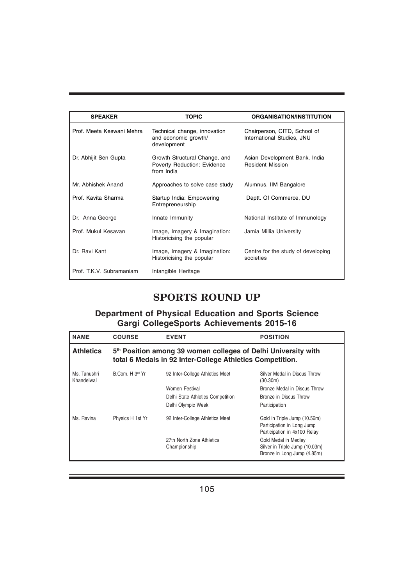| <b>SPEAKER</b>            | <b>TOPIC</b>                                                               | <b>ORGANISATION/INSTITUTION</b>                            |
|---------------------------|----------------------------------------------------------------------------|------------------------------------------------------------|
| Prof. Meeta Keswani Mehra | Technical change, innovation<br>and economic growth/<br>development        | Chairperson, CITD, School of<br>International Studies, JNU |
| Dr. Abhijit Sen Gupta     | Growth Structural Change, and<br>Poverty Reduction: Evidence<br>from India | Asian Development Bank, India<br><b>Resident Mission</b>   |
| Mr. Abhishek Anand        | Approaches to solve case study                                             | Alumnus, IIM Bangalore                                     |
| Prof. Kavita Sharma       | Startup India: Empowering<br>Entrepreneurship                              | Deptt. Of Commerce, DU                                     |
| Dr. Anna George           | Innate Immunity                                                            | National Institute of Immunology                           |
| Prof. Mukul Kesayan       | Image, Imagery & Imagination:<br>Historicising the popular                 | Jamia Millia University                                    |
| Dr. Ravi Kant             | Image, Imagery & Imagination:<br>Historicising the popular                 | Centre for the study of developing<br>societies            |
| Prof. T.K.V. Subramaniam  | Intangible Heritage                                                        |                                                            |

## **SPORTS ROUND UP**

#### **Department of Physical Education and Sports Science Gargi CollegeSports Achievements 2015-16**

| <b>NAME</b>                | <b>COURSE</b>                                                                                                              | <b>EVENT</b>                              | <b>POSITION</b>                                                                            |  |
|----------------------------|----------------------------------------------------------------------------------------------------------------------------|-------------------------------------------|--------------------------------------------------------------------------------------------|--|
| <b>Athletics</b>           | 5th Position among 39 women colleges of Delhi University with<br>total 6 Medals in 92 Inter-College Athletics Competition. |                                           |                                                                                            |  |
| Ms. Tanushri<br>Khandelwal | B.Com. H 3rd Yr                                                                                                            | 92 Inter-College Athletics Meet           | Silver Medal in Discus Throw<br>(30.30m)                                                   |  |
|                            |                                                                                                                            | Women Festival                            | Bronze Medal in Discus Throw                                                               |  |
|                            |                                                                                                                            | Delhi State Athletics Competition         | Bronze in Discus Throw                                                                     |  |
|                            |                                                                                                                            | Delhi Olympic Week                        | Participation                                                                              |  |
| Ms. Ravina                 | Physics H 1st Yr                                                                                                           | 92 Inter-College Athletics Meet           | Gold in Triple Jump (10.56m)<br>Participation in Long Jump<br>Participation in 4x100 Relay |  |
|                            |                                                                                                                            | 27th North Zone Athletics<br>Championship | Gold Medal in Medley<br>Silver in Triple Jump (10.03m)<br>Bronze in Long Jump (4.85m)      |  |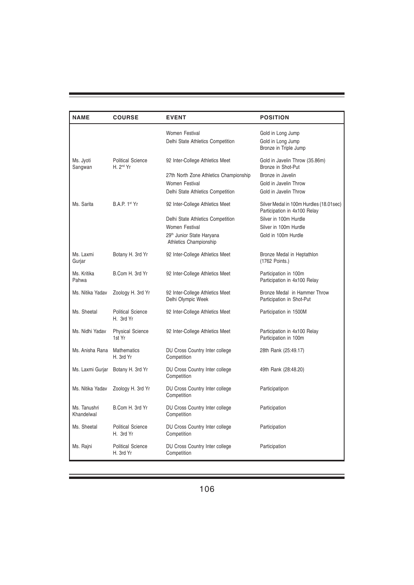| <b>NAME</b>                | <b>COURSE</b>                                     | <b>EVENT</b>                                                    | <b>POSITION</b>                                                         |  |
|----------------------------|---------------------------------------------------|-----------------------------------------------------------------|-------------------------------------------------------------------------|--|
|                            |                                                   | Women Festival<br>Delhi State Athletics Competition             | Gold in Long Jump<br>Gold in Long Jump<br>Bronze in Triple Jump         |  |
| Ms. Jyoti<br>Sangwan       | <b>Political Science</b><br>H. 2 <sup>nd</sup> Yr | 92 Inter-College Athletics Meet                                 | Gold in Javelin Throw (35.86m)<br>Bronze in Shot-Put                    |  |
|                            |                                                   | 27th North Zone Athletics Championship                          | Bronze in Javelin                                                       |  |
|                            |                                                   | Women Festival                                                  | Gold in Javelin Throw                                                   |  |
|                            |                                                   | Delhi State Athletics Competition                               | Gold in Javelin Throw                                                   |  |
| Ms. Sarita                 | <b>B.A.P.</b> 1st Yr                              | 92 Inter-College Athletics Meet                                 | Silver Medal in 100m Hurdles (18.01sec)<br>Participation in 4x100 Relay |  |
|                            |                                                   | Delhi State Athletics Competition                               | Silver in 100m Hurdle                                                   |  |
|                            |                                                   | Women Festival                                                  | Silver in 100m Hurdle                                                   |  |
|                            |                                                   | 29 <sup>th</sup> Junior State Haryana<br>Athletics Championship | Gold in 100m Hurdle                                                     |  |
| Ms. Laxmi<br>Gurjar        | Botany H. 3rd Yr                                  | 92 Inter-College Athletics Meet                                 | Bronze Medal in Heptathlon<br>(1762 Points.)                            |  |
| Ms. Kritika<br>Pahwa       | B.Com H. 3rd Yr                                   | 92 Inter-College Athletics Meet                                 | Participation in 100m<br>Participation in 4x100 Relay                   |  |
| Ms. Nitika Yadav           | Zoology H. 3rd Yr                                 | 92 Inter-College Athletics Meet<br>Delhi Olympic Week           | Bronze Medal in Hammer Throw<br>Participation in Shot-Put               |  |
| Ms. Sheetal                | <b>Political Science</b><br>H. 3rd Yr             | 92 Inter-College Athletics Meet                                 | Participation in 1500M                                                  |  |
| Ms. Nidhi Yadav            | <b>Physical Science</b><br>1st Yr                 | 92 Inter-College Athletics Meet                                 | Participation in 4x100 Relay<br>Participation in 100m                   |  |
| Ms. Anisha Rana            | <b>Mathematics</b><br>H. 3rd Yr                   | DU Cross Country Inter college<br>Competition                   | 28th Rank (25:49.17)                                                    |  |
| Ms. Laxmi Gurjar           | Botany H. 3rd Yr                                  | DU Cross Country Inter college<br>Competition                   | 49th Rank (28:48.20)                                                    |  |
| Ms. Nitika Yadav           | Zoology H. 3rd Yr                                 | DU Cross Country Inter college<br>Competition                   | Participatipon                                                          |  |
| Ms. Tanushri<br>Khandelwal | B.Com H. 3rd Yr                                   | DU Cross Country Inter college<br>Competition                   | Participation                                                           |  |
| Ms. Sheetal                | Political Science<br>H. 3rd Yr                    | DU Cross Country Inter college<br>Competition                   | Participation                                                           |  |
| Ms. Rajni                  | <b>Political Science</b><br>H. 3rd Yr             | DU Cross Country Inter college<br>Competition                   | Participation                                                           |  |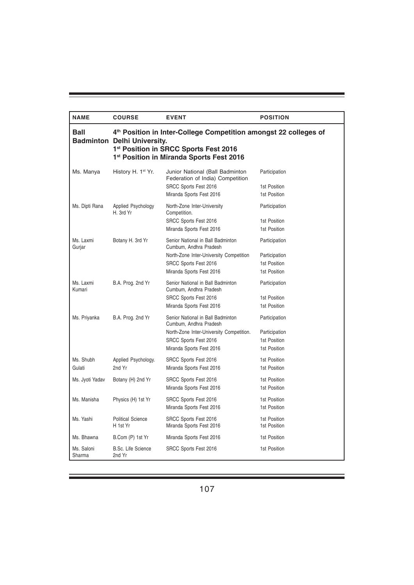| <b>NAME</b>          | <b>COURSE</b>                                                                                                                                                                                           | <b>EVENT</b>                                                                                                                                                 | <b>POSITION</b>                                                |  |
|----------------------|---------------------------------------------------------------------------------------------------------------------------------------------------------------------------------------------------------|--------------------------------------------------------------------------------------------------------------------------------------------------------------|----------------------------------------------------------------|--|
| Ball                 | 4 <sup>th</sup> Position in Inter-College Competition amongst 22 colleges of<br><b>Badminton Delhi University.</b><br>1st Position in SRCC Sports Fest 2016<br>1st Position in Miranda Sports Fest 2016 |                                                                                                                                                              |                                                                |  |
| Ms. Manya            | History H. 1 <sup>st</sup> Yr.                                                                                                                                                                          | Junior National (Ball Badminton<br>Federation of India) Competition<br>SRCC Sports Fest 2016<br>Miranda Sports Fest 2016                                     | Participation<br>1st Position<br>1st Position                  |  |
| Ms. Dipti Rana       | Applied Psychology<br>H. 3rd Yr                                                                                                                                                                         | North-Zone Inter-University<br>Competition.<br>SRCC Sports Fest 2016<br>Miranda Sports Fest 2016                                                             | Participation<br>1st Position<br>1st Position                  |  |
| Ms. Laxmi<br>Gurjar  | Botany H. 3rd Yr                                                                                                                                                                                        | Senior National in Ball Badminton<br>Cumbum, Andhra Pradesh<br>North-Zone Inter-University Competition<br>SRCC Sports Fest 2016<br>Miranda Sports Fest 2016  | Participation<br>Participation<br>1st Position<br>1st Position |  |
| Ms. Laxmi<br>Kumari  | B.A. Prog. 2nd Yr                                                                                                                                                                                       | Senior National in Ball Badminton<br>Cumbum, Andhra Pradesh<br>SRCC Sports Fest 2016<br>Miranda Sports Fest 2016                                             | Participation<br>1st Position<br>1st Position                  |  |
| Ms. Priyanka         | B.A. Prog. 2nd Yr                                                                                                                                                                                       | Senior National in Ball Badminton<br>Cumbum, Andhra Pradesh<br>North-Zone Inter-University Competition.<br>SRCC Sports Fest 2016<br>Miranda Sports Fest 2016 | Participation<br>Participation<br>1st Position<br>1st Position |  |
| Ms. Shubh<br>Gulati  | Applied Psychology.<br>2nd Yr                                                                                                                                                                           | SRCC Sports Fest 2016<br>Miranda Sports Fest 2016                                                                                                            | 1st Position<br>1st Position                                   |  |
| Ms. Jyoti Yadav      | Botany (H) 2nd Yr                                                                                                                                                                                       | SRCC Sports Fest 2016<br>Miranda Sports Fest 2016                                                                                                            | 1st Position<br>1st Position                                   |  |
| Ms. Manisha          | Physics (H) 1st Yr                                                                                                                                                                                      | SRCC Sports Fest 2016<br>Miranda Sports Fest 2016                                                                                                            | 1st Position<br>1st Position                                   |  |
| Ms. Yashi            | <b>Political Science</b><br>H 1st Yr                                                                                                                                                                    | SRCC Sports Fest 2016<br>Miranda Sports Fest 2016                                                                                                            | 1st Position<br>1st Position                                   |  |
| Ms. Bhawna           | B.Com (P) 1st Yr                                                                                                                                                                                        | Miranda Sports Fest 2016                                                                                                                                     | 1st Position                                                   |  |
| Ms. Saloni<br>Sharma | <b>B.Sc. Life Science</b><br>2nd Yr                                                                                                                                                                     | SRCC Sports Fest 2016                                                                                                                                        | 1st Position                                                   |  |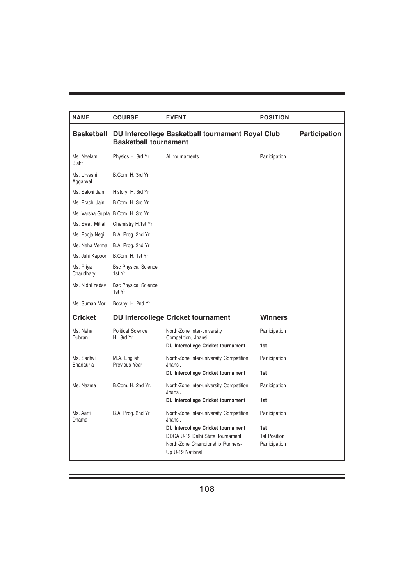| <b>NAME</b>                    | <b>COURSE</b>                         | <b>EVENT</b>                                                                             | <b>POSITION</b>               |                      |
|--------------------------------|---------------------------------------|------------------------------------------------------------------------------------------|-------------------------------|----------------------|
| <b>Basketball</b>              | <b>Basketball tournament</b>          | DU Intercollege Basketball tournament Royal Club                                         |                               | <b>Participation</b> |
| Ms. Neelam<br><b>Bisht</b>     | Physics H. 3rd Yr                     | All tournaments                                                                          | Participation                 |                      |
| Ms. Urvashi<br>Aggarwal        | B.Com H. 3rd Yr                       |                                                                                          |                               |                      |
| Ms. Saloni Jain                | History H. 3rd Yr                     |                                                                                          |                               |                      |
| Ms. Prachi Jain                | B.Com H. 3rd Yr                       |                                                                                          |                               |                      |
|                                | Ms. Varsha Gupta B.Com H. 3rd Yr      |                                                                                          |                               |                      |
| Ms. Swati Mittal               | Chemistry H.1st Yr                    |                                                                                          |                               |                      |
| Ms. Pooja Negi                 | B.A. Prog. 2nd Yr                     |                                                                                          |                               |                      |
| Ms. Neha Verma                 | B.A. Prog. 2nd Yr                     |                                                                                          |                               |                      |
| Ms. Juhi Kapoor                | B.Com H. 1st Yr                       |                                                                                          |                               |                      |
| Ms. Priva<br>Chaudhary         | <b>Bsc Physical Science</b><br>1st Yr |                                                                                          |                               |                      |
| Ms. Nidhi Yadav                | <b>Bsc Physical Science</b><br>1st Yr |                                                                                          |                               |                      |
| Ms. Suman Mor                  | Botany H. 2nd Yr                      |                                                                                          |                               |                      |
| <b>Cricket</b>                 |                                       | <b>DU Intercollege Cricket tournament</b>                                                | Winners                       |                      |
| Ms. Neha<br>Dubran             | <b>Political Science</b><br>H. 3rd Yr | North-Zone inter-university<br>Competition, Jhansi.                                      | Participation                 |                      |
|                                |                                       | DU Intercollege Cricket tournament                                                       | 1st                           |                      |
| Ms. Sadhvi<br><b>Bhadauria</b> | M.A. English<br>Previous Year         | North-Zone inter-university Competition,<br>Jhansi.                                      | Participation                 |                      |
|                                |                                       | DU Intercollege Cricket tournament                                                       | 1st                           |                      |
| Ms. Nazma                      | B.Com. H. 2nd Yr.                     | North-Zone inter-university Competition,<br>Jhansi.                                      | Participation                 |                      |
|                                |                                       | DU Intercollege Cricket tournament                                                       | 1st                           |                      |
| Ms. Aarti<br>Dhama             | B.A. Prog. 2nd Yr                     | North-Zone inter-university Competition,<br>Jhansi.                                      | Participation                 |                      |
|                                |                                       | DU Intercollege Cricket tournament                                                       | 1st                           |                      |
|                                |                                       | DDCA U-19 Delhi State Tournament<br>North-Zone Championship Runners-<br>Up U-19 National | 1st Position<br>Participation |                      |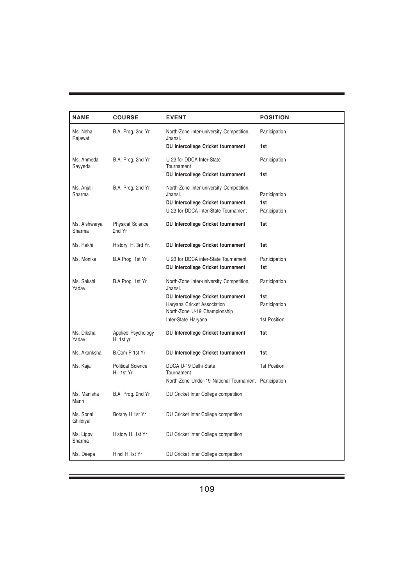| <b>NAME</b>             | <b>COURSE</b>                         | <b>EVENT</b>                                                | <b>POSITION</b> |
|-------------------------|---------------------------------------|-------------------------------------------------------------|-----------------|
| Ms. Neha<br>Rajawat     | B.A. Prog. 2nd Yr                     | North-Zone inter-university Competition,<br>Jhansi.         | Participation   |
|                         |                                       | DU Intercollege Cricket tournament                          | 1st             |
| Ms. Ahmeda<br>Sayyeda   | B.A. Prog. 2nd Yr                     | U 23 for DDCA Inter-State<br>Tournament                     | Participation   |
|                         |                                       | DU Intercollege Cricket tournament                          | 1st             |
| Ms. Anjali<br>Sharma    | B.A. Prog. 2nd Yr                     | North-Zone inter-university Competition,<br>Jhansi.         | Participation   |
|                         |                                       | DU Intercollege Cricket tournament                          | 1st             |
|                         |                                       | U 23 for DDCA Inter-State Tournament                        | Participation   |
| Ms. Aishwarya<br>Sharma | <b>Physical Science</b><br>2nd Yr     | DU Intercollege Cricket tournament                          | 1st             |
| Ms. Rakhi               | History H. 3rd Yr.                    | DU Intercollege Cricket tournament                          | 1st             |
| Ms. Monika              | B.A.Prog. 1st Yr                      | U 23 for DDCA inter-State Tournament                        | Participation   |
|                         |                                       | DU Intercollege Cricket tournament                          | 1st             |
| Ms. Sakshi<br>Yadav     | B.A.Prog. 1st Yr                      | North-Zone inter-university Competition,<br>Jhansi.         | Participation   |
|                         |                                       | DU Intercollege Cricket tournament                          | 1st             |
|                         |                                       | Haryana Cricket Association<br>North-Zone U-19 Championship | Participation   |
|                         |                                       | Inter-State Haryana                                         | 1st Position    |
| Ms. Diksha<br>Yadav     | Applied Psychology<br>H. 1st yr       | DU Intercollege Cricket tournament                          | 1st             |
| Ms. Akanksha            | B.Com P 1st Yr                        | DU Intercollege Cricket tournament                          | 1st             |
| Ms. Kajal               | <b>Political Science</b><br>H. 1st Yr | DDCA U-19 Delhi State<br>Tournament                         | 1st Position    |
|                         |                                       | North-Zone Under-19 National Tournament Participation       |                 |
| Ms. Manisha<br>Mann     | B.A. Prog. 2nd Yr                     | DU Cricket Inter College competition                        |                 |
| Ms. Sonal<br>Ghildiyal  | Botany H.1st Yr                       | DU Cricket Inter College competition                        |                 |
| Ms. Lippy<br>Sharma     | History H. 1st Yr                     | DU Cricket Inter College competition                        |                 |
| Ms. Deepa               | Hindi H.1st Yr                        | DU Cricket Inter College competition                        |                 |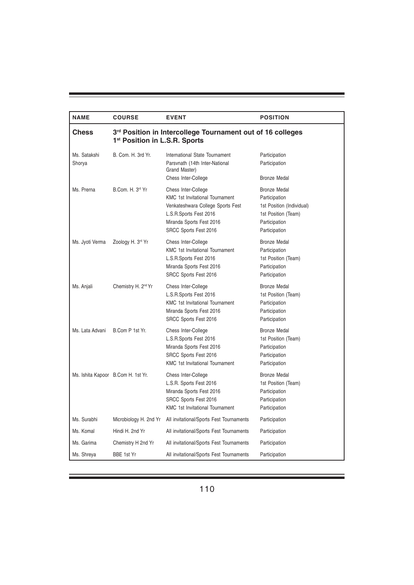| <b>NAME</b>            | <b>COURSE</b>                                                                                           | <b>EVENT</b>                                                                                                                                                                      | <b>POSITION</b>                                                                                                            |
|------------------------|---------------------------------------------------------------------------------------------------------|-----------------------------------------------------------------------------------------------------------------------------------------------------------------------------------|----------------------------------------------------------------------------------------------------------------------------|
| Chess                  | 3rd Position in Intercollege Tournament out of 16 colleges<br>1 <sup>st</sup> Position in L.S.R. Sports |                                                                                                                                                                                   |                                                                                                                            |
| Ms. Satakshi<br>Shorya | B. Com. H. 3rd Yr.                                                                                      | International State Tournament<br>Parsvnath (14th Inter-National<br>Grand Master)<br>Chess Inter-College                                                                          | Participation<br>Participation<br><b>Bronze Medal</b>                                                                      |
| Ms. Prerna             | B.Com. H. 3rd Yr                                                                                        | Chess Inter-College<br><b>KMC 1st Invitational Tournament</b><br>Venkateshwara College Sports Fest<br>L.S.R.Sports Fest 2016<br>Miranda Sports Fest 2016<br>SRCC Sports Fest 2016 | <b>Bronze Medal</b><br>Participation<br>1st Position (Individual)<br>1st Position (Team)<br>Participation<br>Participation |
| Ms. Jyoti Verma        | Zoology H. 3rd Yr                                                                                       | Chess Inter-College<br><b>KMC 1st Invitational Tournament</b><br>L.S.R.Sports Fest 2016<br>Miranda Sports Fest 2016<br>SRCC Sports Fest 2016                                      | <b>Bronze Medal</b><br>Participation<br>1st Position (Team)<br>Participation<br>Participation                              |
| Ms. Anjali             | Chemistry H. 2 <sup>nd</sup> Yr                                                                         | Chess Inter-College<br>L.S.R.Sports Fest 2016<br><b>KMC 1st Invitational Tournament</b><br>Miranda Sports Fest 2016<br>SRCC Sports Fest 2016                                      | Bronze Medal<br>1st Position (Team)<br>Participation<br>Participation<br>Participation                                     |
| Ms. Lata Advani        | B.Com P 1st Yr.                                                                                         | Chess Inter-College<br>L.S.R.Sports Fest 2016<br>Miranda Sports Fest 2016<br>SRCC Sports Fest 2016<br><b>KMC 1st Invitational Tournament</b>                                      | <b>Bronze Medal</b><br>1st Position (Team)<br>Participation<br>Participation<br>Participation                              |
|                        | Ms. Ishita Kapoor B.Com H. 1st Yr.                                                                      | Chess Inter-College<br>L.S.R. Sports Fest 2016<br>Miranda Sports Fest 2016<br>SRCC Sports Fest 2016<br><b>KMC 1st Invitational Tournament</b>                                     | <b>Bronze Medal</b><br>1st Position (Team)<br>Participation<br>Participation<br>Participation                              |
| Ms. Surabhi            | Microbiology H. 2nd Yr                                                                                  | All invitational/Sports Fest Tournaments                                                                                                                                          | Participation                                                                                                              |
| Ms. Komal              | Hindi H. 2nd Yr                                                                                         | All invitational/Sports Fest Tournaments                                                                                                                                          | Participation                                                                                                              |
| Ms. Garima             | Chemistry H 2nd Yr                                                                                      | All invitational/Sports Fest Tournaments                                                                                                                                          | Participation                                                                                                              |
| Ms. Shreya             | BBE 1st Yr                                                                                              | All invitational/Sports Fest Tournaments                                                                                                                                          | Participation                                                                                                              |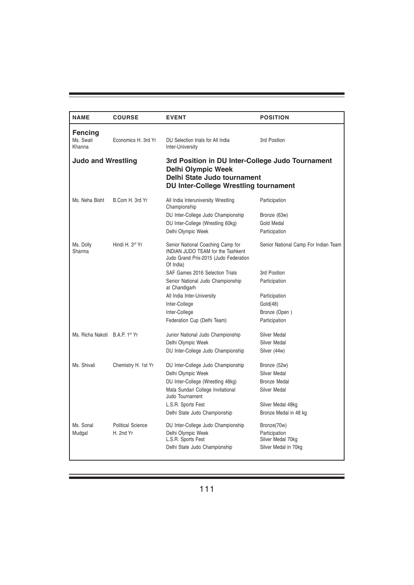| <b>NAME</b>                    | <b>COURSE</b>                         | <b>EVENT</b>                                                                                                                                                                                                                                                                                                                | <b>POSITION</b>                                                                                                                      |
|--------------------------------|---------------------------------------|-----------------------------------------------------------------------------------------------------------------------------------------------------------------------------------------------------------------------------------------------------------------------------------------------------------------------------|--------------------------------------------------------------------------------------------------------------------------------------|
| Fencing<br>Ms. Swati<br>Khanna | Economics H. 3rd Yr                   | DU Selection trials for All India<br>Inter-University                                                                                                                                                                                                                                                                       | 3rd Position                                                                                                                         |
| <b>Judo and Wrestling</b>      |                                       | 3rd Position in DU Inter-College Judo Tournament<br><b>Delhi Olympic Week</b><br>Delhi State Judo tournament<br><b>DU Inter-College Wrestling tournament</b>                                                                                                                                                                |                                                                                                                                      |
| Ms. Neha Bisht                 | B.Com H. 3rd Yr                       | All India Interuniversity Wrestling<br>Championship<br>DU Inter-College Judo Championship<br>DU Inter-College (Wrestling 60kg)<br>Delhi Olympic Week                                                                                                                                                                        | Participation<br>Bronze (63w)<br>Gold Medal<br>Participation                                                                         |
| Ms. Dolly<br>Sharma            | Hindi H. 3 <sup>rd</sup> Yr           | Senior National Coaching Camp for<br><b>INDIAN JUDO TEAM for the Tashkent</b><br>Judo Grand Prix-2015 (Judo Federation<br>Of India)<br>SAF Games 2016 Selection Trials<br>Senior National Judo Championship<br>at Chandigarh<br>All India Inter-University<br>Inter-College<br>Inter-College<br>Federation Cup (Delhi Team) | Senior National Camp For Indian Team<br>3rd Position<br>Participation<br>Participation<br>Gold(48)<br>Bronze (Open)<br>Participation |
| Ms. Richa Nakoti B.A.P. 1st Yr |                                       | Junior National Judo Championship<br>Delhi Olympic Week<br>DU Inter-College Judo Championship                                                                                                                                                                                                                               | Silver Medal<br>Silver Medal<br>Silver (44w)                                                                                         |
| Ms. Shivali                    | Chemistry H. 1st Yr                   | DU Inter-College Judo Championship<br>Delhi Olympic Week<br>DU Inter-College (Wrestling 48kg)<br>Mata Sundari College Invitational<br>Judo Tournament<br>L.S.R. Sports Fest<br>Delhi State Judo Championship                                                                                                                | Bronze (52w)<br>Silver Medal<br>Bronze Medal<br>Silver Medal<br>Silver Medal 48kg<br>Bronze Medal in 48 kg                           |
| Ms. Sonal<br>Mudgal            | <b>Political Science</b><br>H. 2nd Yr | DU Inter-College Judo Championship<br>Delhi Olympic Week<br>L.S.R. Sports Fest<br>Delhi State Judo Championship                                                                                                                                                                                                             | Bronze(70w)<br>Participation<br>Silver Medal 70kg<br>Silver Medal in 70kg                                                            |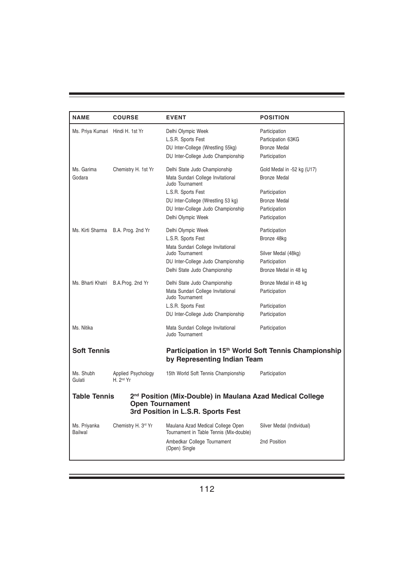| <b>NAME</b>                                                                                                                                           | <b>COURSE</b>                               | <b>EVENT</b>                                                                                    | <b>POSITION</b>            |  |
|-------------------------------------------------------------------------------------------------------------------------------------------------------|---------------------------------------------|-------------------------------------------------------------------------------------------------|----------------------------|--|
| Ms. Priya Kumari Hindi H. 1st Yr                                                                                                                      |                                             | Delhi Olympic Week                                                                              | Participation              |  |
|                                                                                                                                                       |                                             | L.S.R. Sports Fest                                                                              | Participation 63KG         |  |
|                                                                                                                                                       |                                             | DU Inter-College (Wrestling 55kg)                                                               | Bronze Medal               |  |
|                                                                                                                                                       |                                             | DU Inter-College Judo Championship                                                              | Participation              |  |
| Ms. Garima                                                                                                                                            | Chemistry H. 1st Yr                         | Delhi State Judo Championship                                                                   | Gold Medal in -52 kg (U17) |  |
| Godara                                                                                                                                                |                                             | Mata Sundari College Invitational<br>Judo Tournament                                            | <b>Bronze Medal</b>        |  |
|                                                                                                                                                       |                                             | L.S.R. Sports Fest                                                                              | Participation              |  |
|                                                                                                                                                       |                                             | DU Inter-College (Wrestling 53 kg)                                                              | <b>Bronze Medal</b>        |  |
|                                                                                                                                                       |                                             | DU Inter-College Judo Championship                                                              | Participation              |  |
|                                                                                                                                                       |                                             | Delhi Olympic Week                                                                              | Participation              |  |
|                                                                                                                                                       | Ms. Kirti Sharma B.A. Prog. 2nd Yr          | Delhi Olympic Week                                                                              | Participation              |  |
|                                                                                                                                                       |                                             | L.S.R. Sports Fest                                                                              | Bronze 48kg                |  |
|                                                                                                                                                       |                                             | Mata Sundari College Invitational<br>Judo Tournament                                            | Silver Medal (48kg)        |  |
|                                                                                                                                                       |                                             | DU Inter-College Judo Championship                                                              | Participation              |  |
|                                                                                                                                                       |                                             | Delhi State Judo Championship                                                                   | Bronze Medal in 48 kg      |  |
| Ms. Bharti Khatri                                                                                                                                     | B.A.Prog. 2nd Yr                            | Delhi State Judo Championship                                                                   | Bronze Medal in 48 kg      |  |
|                                                                                                                                                       |                                             | Mata Sundari College Invitational<br>Judo Tournament                                            | Participation              |  |
|                                                                                                                                                       |                                             | L.S.R. Sports Fest                                                                              | Participation              |  |
|                                                                                                                                                       |                                             | DU Inter-College Judo Championship                                                              | Participation              |  |
| Ms. Nitika                                                                                                                                            |                                             | Mata Sundari College Invitational<br>Judo Tournament                                            | Participation              |  |
| <b>Soft Tennis</b>                                                                                                                                    |                                             | Participation in 15 <sup>th</sup> World Soft Tennis Championship<br>by Representing Indian Team |                            |  |
| Ms. Shubh<br>Gulati                                                                                                                                   | Applied Psychology<br>H. 2 <sup>nd</sup> Yr | 15th World Soft Tennis Championship                                                             | Participation              |  |
| Table Tennis<br>2 <sup>nd</sup> Position (Mix-Double) in Maulana Azad Medical College<br><b>Open Tournament</b><br>3rd Position in L.S.R. Sports Fest |                                             |                                                                                                 |                            |  |
| Ms. Priyanka<br><b>Bailwal</b>                                                                                                                        | Chemistry H. 3rd Yr                         | Maulana Azad Medical College Open<br>Tournament in Table Tennis (Mix-double)                    | Silver Medal (Individual)  |  |
|                                                                                                                                                       |                                             | Ambedkar College Tournament<br>(Open) Single                                                    | 2nd Position               |  |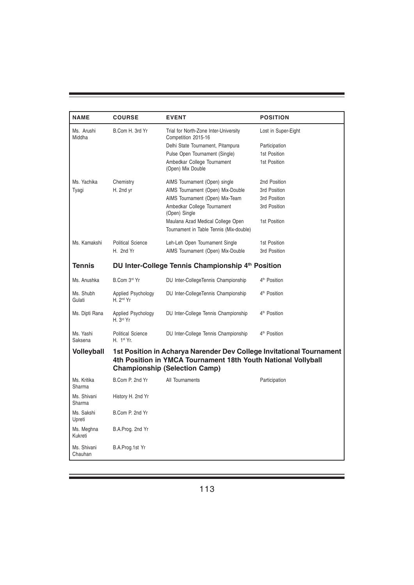| <b>NAME</b>            | <b>COURSE</b>                                                                                                                                                                 | <b>EVENT</b>                                                                 | <b>POSITION</b>          |  |
|------------------------|-------------------------------------------------------------------------------------------------------------------------------------------------------------------------------|------------------------------------------------------------------------------|--------------------------|--|
| Ms. Arushi<br>Middha   | B.Com H. 3rd Yr                                                                                                                                                               | Trial for North-Zone Inter-University<br>Competition 2015-16                 | Lost in Super-Eight      |  |
|                        |                                                                                                                                                                               | Delhi State Tournament, Pitampura                                            | Participation            |  |
|                        |                                                                                                                                                                               | Pulse Open Tournament (Single)                                               | 1st Position             |  |
|                        |                                                                                                                                                                               | Ambedkar College Tournament<br>(Open) Mix Double                             | 1st Position             |  |
| Ms. Yachika            | Chemistry                                                                                                                                                                     | AIMS Tournament (Open) single                                                | 2nd Position             |  |
| Tyagi                  | H. 2nd yr                                                                                                                                                                     | AIMS Tournament (Open) Mix-Double                                            | 3rd Position             |  |
|                        |                                                                                                                                                                               | AIMS Tournament (Open) Mix-Team                                              | 3rd Position             |  |
|                        |                                                                                                                                                                               | Ambedkar College Tournament<br>(Open) Single                                 | 3rd Position             |  |
|                        |                                                                                                                                                                               | Maulana Azad Medical College Open<br>Tournament in Table Tennis (Mix-double) | 1st Position             |  |
| Ms. Kamakshi           | <b>Political Science</b>                                                                                                                                                      | Leh-Leh Open Tournament Single                                               | 1st Position             |  |
|                        | H. 2nd Yr                                                                                                                                                                     | AIMS Tournament (Open) Mix-Double                                            | 3rd Position             |  |
| <b>Tennis</b>          |                                                                                                                                                                               | DU Inter-College Tennis Championship 4th Position                            |                          |  |
| Ms. Anushka            | B.Com 3rd Yr                                                                                                                                                                  | DU Inter-CollegeTennis Championship                                          | 4 <sup>th</sup> Position |  |
| Ms. Shubh<br>Gulati    | Applied Psychology<br>H. 2 <sup>nd</sup> Yr                                                                                                                                   | DU Inter-CollegeTennis Championship                                          | 4 <sup>th</sup> Position |  |
| Ms. Dipti Rana         | Applied Psychology<br>H. 3 <sup>rd</sup> Yr                                                                                                                                   | DU Inter-College Tennis Championship                                         | 4 <sup>th</sup> Position |  |
| Ms. Yashi<br>Saksena   | <b>Political Science</b><br>H. 1st Yr.                                                                                                                                        | DU Inter-College Tennis Championship                                         | 4 <sup>th</sup> Position |  |
| <b>Volleyball</b>      | 1st Position in Acharya Narender Dev College Invitational Tournament<br>4th Position in YMCA Tournament 18th Youth National Vollyball<br><b>Championship (Selection Camp)</b> |                                                                              |                          |  |
| Ms. Kritika<br>Sharma  | B.Com P. 2nd Yr                                                                                                                                                               | All Tournaments                                                              | Participation            |  |
| Ms. Shivani<br>Sharma  | History H. 2nd Yr                                                                                                                                                             |                                                                              |                          |  |
| Ms. Sakshi<br>Upreti   | B.Com P. 2nd Yr                                                                                                                                                               |                                                                              |                          |  |
| Ms. Meghna<br>Kukreti  | B.A.Prog. 2nd Yr                                                                                                                                                              |                                                                              |                          |  |
| Ms. Shivani<br>Chauhan | B.A.Prog.1st Yr                                                                                                                                                               |                                                                              |                          |  |